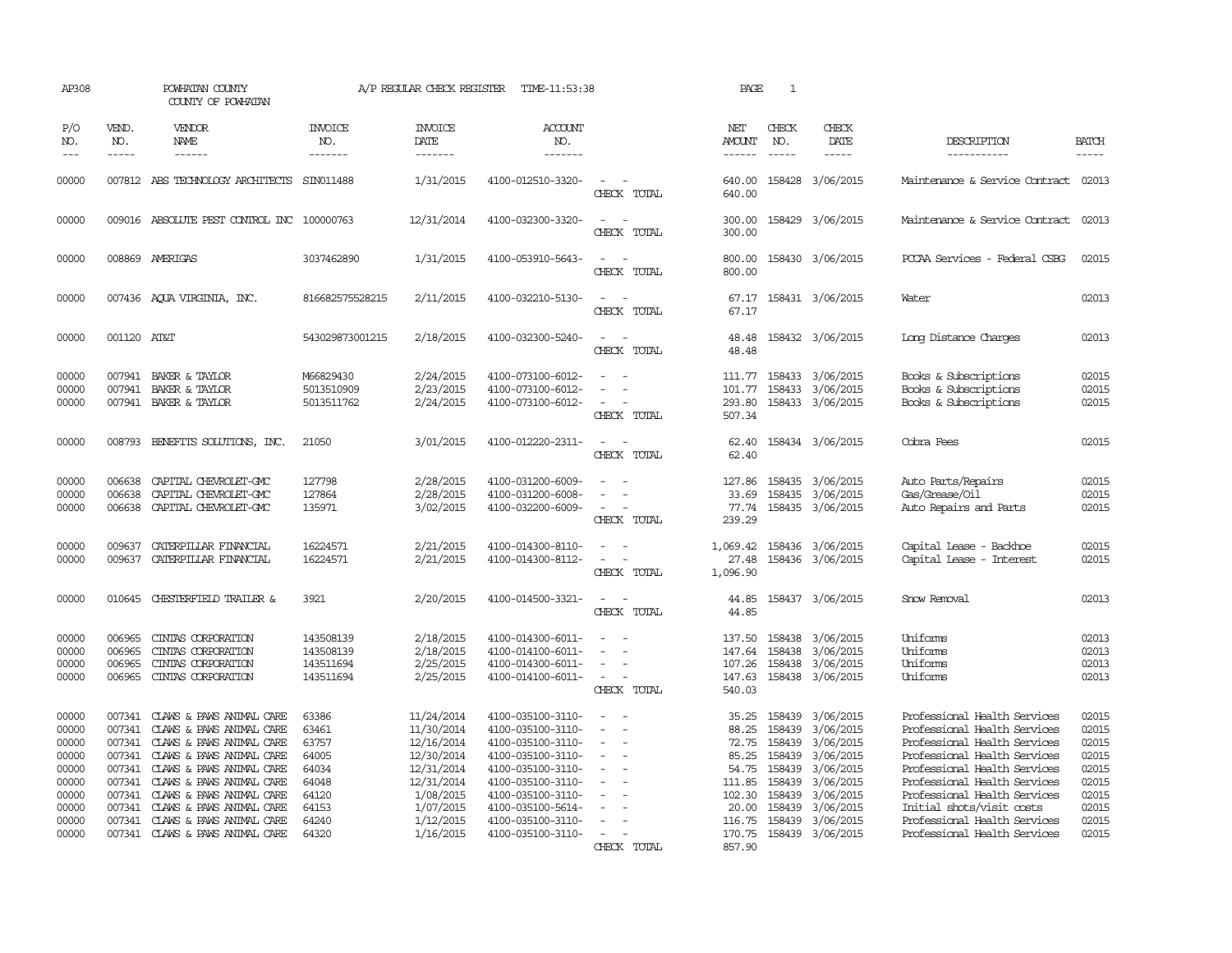| AP308                                                                                  |                                                | POWHATAN COUNTY<br>COUNTY OF POWHATAN                                                                                                                                                                                                                                                                                   |                                                                                        | A/P REGULAR CHECK REGISTER                                                                                                           | TIME-11:53:38                                                                                                                                                                                                  |                                                                       | PAGE                                                                                                 | $\mathbf{1}$                                                                 |                                                                                                                                              |                                                                                                                                                                                                                                                                                                                           |                                                                                        |
|----------------------------------------------------------------------------------------|------------------------------------------------|-------------------------------------------------------------------------------------------------------------------------------------------------------------------------------------------------------------------------------------------------------------------------------------------------------------------------|----------------------------------------------------------------------------------------|--------------------------------------------------------------------------------------------------------------------------------------|----------------------------------------------------------------------------------------------------------------------------------------------------------------------------------------------------------------|-----------------------------------------------------------------------|------------------------------------------------------------------------------------------------------|------------------------------------------------------------------------------|----------------------------------------------------------------------------------------------------------------------------------------------|---------------------------------------------------------------------------------------------------------------------------------------------------------------------------------------------------------------------------------------------------------------------------------------------------------------------------|----------------------------------------------------------------------------------------|
| P/O<br>NO.<br>$\qquad \qquad - -$                                                      | VEND.<br>NO.<br>$\frac{1}{2}$                  | VENDOR<br>NAME<br>------                                                                                                                                                                                                                                                                                                | <b>INVOICE</b><br>NO.<br>-------                                                       | <b>INVOICE</b><br>DATE<br>-------                                                                                                    | <b>ACCOUNT</b><br>NO.<br>-------                                                                                                                                                                               |                                                                       | NET<br>AMOUNT<br>------                                                                              | CHECK<br>NO.<br>$- - - - -$                                                  | CHECK<br>DATE<br>-----                                                                                                                       | DESCRIPTION<br>__________                                                                                                                                                                                                                                                                                                 | <b>BATCH</b><br>-----                                                                  |
| 00000                                                                                  |                                                | 007812 ABS TECHNOLOGY ARCHITECTS                                                                                                                                                                                                                                                                                        | SIN011488                                                                              | 1/31/2015                                                                                                                            | 4100-012510-3320-                                                                                                                                                                                              | CHECK TOTAL                                                           | 640.00<br>640.00                                                                                     |                                                                              | 158428 3/06/2015                                                                                                                             | Maintenance & Service Contract 02013                                                                                                                                                                                                                                                                                      |                                                                                        |
| 00000                                                                                  |                                                | 009016 ABSOLUTE PEST CONTROL INC 100000763                                                                                                                                                                                                                                                                              |                                                                                        | 12/31/2014                                                                                                                           | 4100-032300-3320-                                                                                                                                                                                              | $\sim$<br>CHECK TOTAL                                                 | 300.00<br>300.00                                                                                     |                                                                              | 158429 3/06/2015                                                                                                                             | Maintenance & Service Contract 02013                                                                                                                                                                                                                                                                                      |                                                                                        |
| 00000                                                                                  |                                                | 008869 AMERIGAS                                                                                                                                                                                                                                                                                                         | 3037462890                                                                             | 1/31/2015                                                                                                                            | 4100-053910-5643-                                                                                                                                                                                              | CHECK TOTAL                                                           | 800.00<br>800.00                                                                                     |                                                                              | 158430 3/06/2015                                                                                                                             | PCCAA Services - Federal CSBG                                                                                                                                                                                                                                                                                             | 02015                                                                                  |
| 00000                                                                                  |                                                | 007436 AQUA VIRGINIA, INC.                                                                                                                                                                                                                                                                                              | 816682575528215                                                                        | 2/11/2015                                                                                                                            | 4100-032210-5130-                                                                                                                                                                                              | CHECK TOTAL                                                           | 67.17<br>67.17                                                                                       |                                                                              | 158431 3/06/2015                                                                                                                             | Water                                                                                                                                                                                                                                                                                                                     | 02013                                                                                  |
| 00000                                                                                  | 001120 AT&T                                    |                                                                                                                                                                                                                                                                                                                         | 543029873001215                                                                        | 2/18/2015                                                                                                                            | 4100-032300-5240-                                                                                                                                                                                              | CHECK TOTAL                                                           | 48.48<br>48.48                                                                                       |                                                                              | 158432 3/06/2015                                                                                                                             | Long Distance Charges                                                                                                                                                                                                                                                                                                     | 02013                                                                                  |
| 00000<br>00000<br>00000                                                                | 007941<br>007941                               | BAKER & TAYLOR<br>BAKER & TAYLOR<br>007941 BAKER & TAYLOR                                                                                                                                                                                                                                                               | M66829430<br>5013510909<br>5013511762                                                  | 2/24/2015<br>2/23/2015<br>2/24/2015                                                                                                  | 4100-073100-6012-<br>4100-073100-6012-<br>4100-073100-6012-                                                                                                                                                    | $\sim$<br>CHECK TOTAL                                                 | 111.77<br>101.77<br>293.80<br>507.34                                                                 |                                                                              | 158433 3/06/2015<br>158433 3/06/2015<br>158433 3/06/2015                                                                                     | Books & Subscriptions<br>Books & Subscriptions<br>Books & Subscriptions                                                                                                                                                                                                                                                   | 02015<br>02015<br>02015                                                                |
| 00000                                                                                  | 008793                                         | BENEFITS SOLUTIONS, INC.                                                                                                                                                                                                                                                                                                | 21050                                                                                  | 3/01/2015                                                                                                                            | 4100-012220-2311-                                                                                                                                                                                              | $\overline{\phantom{a}}$<br>CHECK TOTAL                               | 62.40<br>62.40                                                                                       |                                                                              | 158434 3/06/2015                                                                                                                             | Cobra Fees                                                                                                                                                                                                                                                                                                                | 02015                                                                                  |
| 00000<br>00000<br>00000                                                                | 006638<br>006638<br>006638                     | CAPITAL CHEVROLET-GMC<br>CAPITAL CHEVROLET-GMC<br>CAPITAL CHEVROLET-GMC                                                                                                                                                                                                                                                 | 127798<br>127864<br>135971                                                             | 2/28/2015<br>2/28/2015<br>3/02/2015                                                                                                  | 4100-031200-6009-<br>4100-031200-6008-<br>4100-032200-6009-                                                                                                                                                    | $\overline{\phantom{a}}$<br>CHECK TOTAL                               | 127.86<br>33.69<br>77.74<br>239.29                                                                   | 158435                                                                       | 158435 3/06/2015<br>3/06/2015<br>158435 3/06/2015                                                                                            | Auto Parts/Repairs<br>Gas/Grease/Oil<br>Auto Repairs and Parts                                                                                                                                                                                                                                                            | 02015<br>02015<br>02015                                                                |
| 00000<br>00000                                                                         | 009637<br>009637                               | CATERPILLAR FINANCIAL<br>CATERPILLAR FINANCIAL                                                                                                                                                                                                                                                                          | 16224571<br>16224571                                                                   | 2/21/2015<br>2/21/2015                                                                                                               | 4100-014300-8110-<br>4100-014300-8112-                                                                                                                                                                         | CHECK TOTAL                                                           | 1,069.42<br>27.48<br>1,096.90                                                                        |                                                                              | 158436 3/06/2015<br>158436 3/06/2015                                                                                                         | Capital Lease - Backhoe<br>Capital Lease - Interest                                                                                                                                                                                                                                                                       | 02015<br>02015                                                                         |
| 00000                                                                                  | 010645                                         | <b>CHESTERFIELD TRAILER &amp;</b>                                                                                                                                                                                                                                                                                       | 3921                                                                                   | 2/20/2015                                                                                                                            | 4100-014500-3321-                                                                                                                                                                                              | CHECK TOTAL                                                           | 44.85<br>44.85                                                                                       |                                                                              | 158437 3/06/2015                                                                                                                             | Snow Removal                                                                                                                                                                                                                                                                                                              | 02013                                                                                  |
| 00000<br>00000<br>00000<br>00000                                                       | 006965<br>006965<br>006965<br>006965           | CINIAS CORPORATION<br>CINIAS CORPORATION<br>CINIAS CORPORATION<br>CINIAS CORPORATION                                                                                                                                                                                                                                    | 143508139<br>143508139<br>143511694<br>143511694                                       | 2/18/2015<br>2/18/2015<br>2/25/2015<br>2/25/2015                                                                                     | 4100-014300-6011-<br>4100-014100-6011-<br>4100-014300-6011-<br>4100-014100-6011-                                                                                                                               | $\overline{\phantom{a}}$<br>CHECK TOTAL                               | 137.50<br>147.64<br>107.26<br>147.63<br>540.03                                                       | 158438<br>158438                                                             | 158438 3/06/2015<br>3/06/2015<br>3/06/2015<br>158438 3/06/2015                                                                               | Uniforms<br>Uniforms<br>Uniforms<br>Uniforms                                                                                                                                                                                                                                                                              | 02013<br>02013<br>02013<br>02013                                                       |
| 00000<br>00000<br>00000<br>00000<br>00000<br>00000<br>00000<br>00000<br>00000<br>00000 | 007341<br>007341<br>007341<br>007341<br>007341 | 007341 CLAWS & PAWS ANIMAL CARE<br>CLAWS & PAWS ANIMAL CARE<br>CLAWS & PAWS ANIMAL CARE<br>CLAWS & PAWS ANIMAL CARE<br>007341 CLAWS & PAWS ANIMAL CARE<br>CLAWS & PAWS ANIMAL CARE<br>007341 CLAWS & PAWS ANIMAL CARE<br>CLAWS & PAWS ANIMAL CARE<br>007341 CLAWS & PAWS ANIMAL CARE<br>007341 CLAWS & PAWS ANIMAL CARE | 63386<br>63461<br>63757<br>64005<br>64034<br>64048<br>64120<br>64153<br>64240<br>64320 | 11/24/2014<br>11/30/2014<br>12/16/2014<br>12/30/2014<br>12/31/2014<br>12/31/2014<br>1/08/2015<br>1/07/2015<br>1/12/2015<br>1/16/2015 | 4100-035100-3110-<br>4100-035100-3110-<br>4100-035100-3110-<br>4100-035100-3110-<br>4100-035100-3110-<br>4100-035100-3110-<br>4100-035100-3110-<br>4100-035100-5614-<br>4100-035100-3110-<br>4100-035100-3110- | $\sim$<br>$\overline{\phantom{a}}$<br>$\sim$<br>$\sim$<br>CHECK TOTAL | 35.25<br>88.25<br>72.75<br>85.25<br>54.75<br>111.85<br>102.30<br>20.00<br>116.75<br>170.75<br>857.90 | 158439<br>158439<br>158439<br>158439<br>158439<br>158439<br>158439<br>158439 | 158439 3/06/2015<br>3/06/2015<br>3/06/2015<br>3/06/2015<br>3/06/2015<br>3/06/2015<br>3/06/2015<br>3/06/2015<br>3/06/2015<br>158439 3/06/2015 | Professional Health Services<br>Professional Health Services<br>Professional Health Services<br>Professional Health Services<br>Professional Health Services<br>Professional Health Services<br>Professional Health Services<br>Initial shots/visit costs<br>Professional Health Services<br>Professional Health Services | 02015<br>02015<br>02015<br>02015<br>02015<br>02015<br>02015<br>02015<br>02015<br>02015 |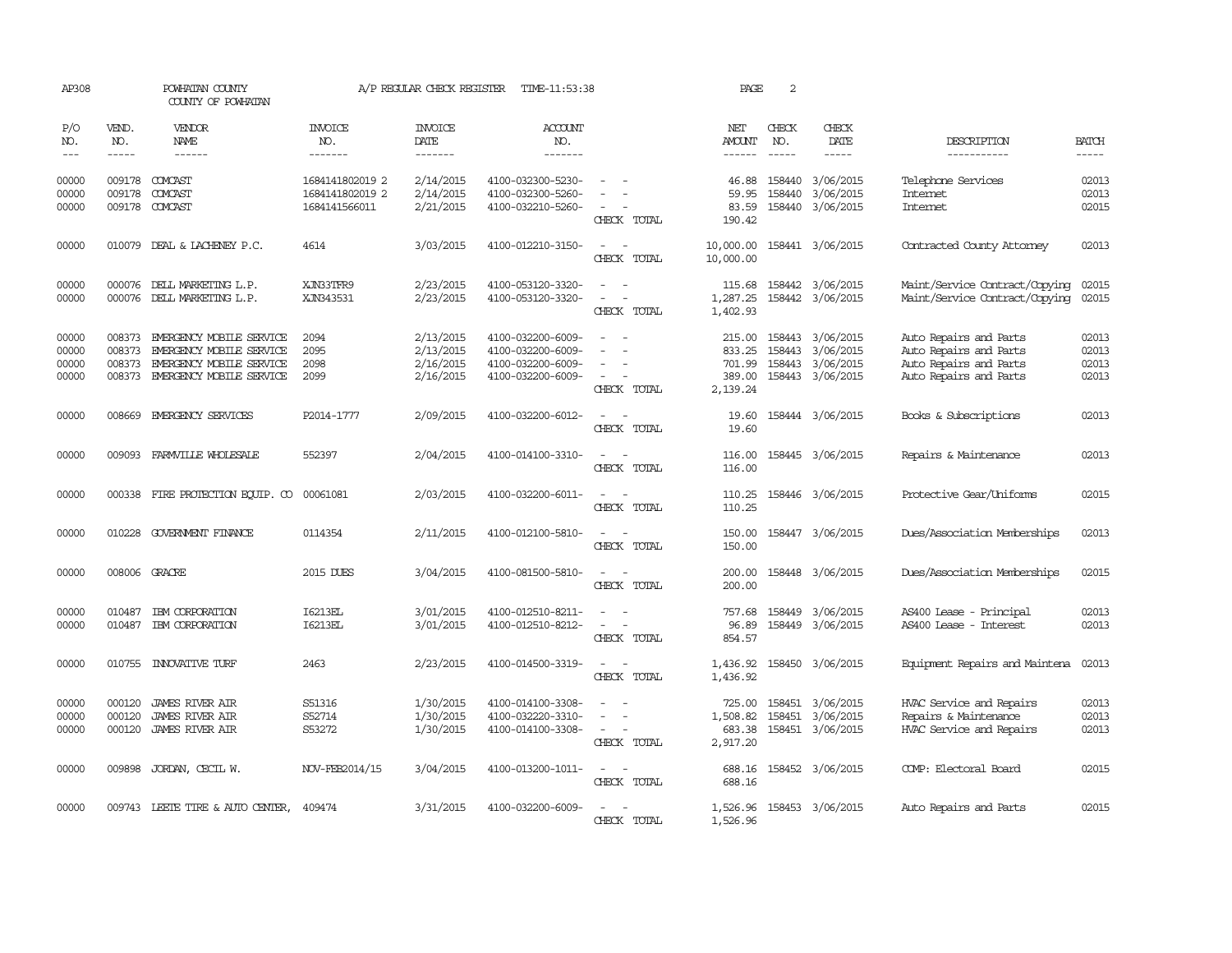| AP308                                                                                                                                                                                                                                                                                                                                                                                                      |                             | POWHATAN COUNTY<br>COUNTY OF POWHATAN                                                                                      |                                                     | A/P REGULAR CHECK REGISTER                       | TIME-11:53:38                                                                    |                                                   | PAGE                                             | 2                           |                                                         |                                                                                                      |                                  |
|------------------------------------------------------------------------------------------------------------------------------------------------------------------------------------------------------------------------------------------------------------------------------------------------------------------------------------------------------------------------------------------------------------|-----------------------------|----------------------------------------------------------------------------------------------------------------------------|-----------------------------------------------------|--------------------------------------------------|----------------------------------------------------------------------------------|---------------------------------------------------|--------------------------------------------------|-----------------------------|---------------------------------------------------------|------------------------------------------------------------------------------------------------------|----------------------------------|
| P/O<br>NO.<br>$\frac{1}{2} \frac{1}{2} \frac{1}{2} \frac{1}{2} \frac{1}{2} \frac{1}{2} \frac{1}{2} \frac{1}{2} \frac{1}{2} \frac{1}{2} \frac{1}{2} \frac{1}{2} \frac{1}{2} \frac{1}{2} \frac{1}{2} \frac{1}{2} \frac{1}{2} \frac{1}{2} \frac{1}{2} \frac{1}{2} \frac{1}{2} \frac{1}{2} \frac{1}{2} \frac{1}{2} \frac{1}{2} \frac{1}{2} \frac{1}{2} \frac{1}{2} \frac{1}{2} \frac{1}{2} \frac{1}{2} \frac{$ | VEND.<br>NO.<br>$- - - - -$ | VENDOR<br><b>NAME</b><br>------                                                                                            | <b>INVOICE</b><br>NO.<br>-------                    | <b>INVOICE</b><br>DATE<br>-------                | <b>ACCOUNT</b><br>NO.<br>-------                                                 |                                                   | NET<br><b>AMOUNT</b><br>$- - - - - -$            | CHECK<br>NO.<br>$- - - - -$ | CHECK<br>DATE<br>-----                                  | DESCRIPTION<br>-----------                                                                           | <b>BATCH</b><br>$- - - - -$      |
| 00000<br>00000<br>00000                                                                                                                                                                                                                                                                                                                                                                                    | 009178<br>009178            | COMCAST<br>COMCAST<br>009178 COMCAST                                                                                       | 1684141802019 2<br>1684141802019 2<br>1684141566011 | 2/14/2015<br>2/14/2015<br>2/21/2015              | 4100-032300-5230-<br>4100-032300-5260-<br>4100-032210-5260-                      | CHECK TOTAL                                       | 46.88<br>59.95<br>83.59<br>190.42                | 158440<br>158440            | 3/06/2015<br>3/06/2015<br>158440 3/06/2015              | Telephone Services<br><b>Internet</b><br><b>Internet</b>                                             | 02013<br>02013<br>02015          |
| 00000                                                                                                                                                                                                                                                                                                                                                                                                      |                             | 010079 DEAL & LACHENEY P.C.                                                                                                | 4614                                                | 3/03/2015                                        | 4100-012210-3150-                                                                | $\sim$<br>CHECK TOTAL                             | 10,000.00<br>10,000.00                           |                             | 158441 3/06/2015                                        | Contracted County Attomey                                                                            | 02013                            |
| 00000<br>00000                                                                                                                                                                                                                                                                                                                                                                                             | 000076                      | DELL MARKETING L.P.<br>000076 DELL MARKETING L.P.                                                                          | XJN33TFR9<br>XJN343531                              | 2/23/2015<br>2/23/2015                           | 4100-053120-3320-<br>4100-053120-3320-                                           | $\sim$<br>$\overline{\phantom{a}}$<br>CHECK TOTAL | 115.68<br>1,287.25<br>1,402.93                   | 158442                      | 3/06/2015<br>158442 3/06/2015                           | Maint/Service Contract/Copying<br>Maint/Service Contract/Copying                                     | 02015<br>02015                   |
| 00000<br>00000<br>00000<br>00000                                                                                                                                                                                                                                                                                                                                                                           | 008373<br>008373            | 008373 EMERGENCY MOBILE SERVICE<br>EMERGENCY MOBILE SERVICE<br>EMERGENCY MOBILE SERVICE<br>008373 EMERGENCY MOBILE SERVICE | 2094<br>2095<br>2098<br>2099                        | 2/13/2015<br>2/13/2015<br>2/16/2015<br>2/16/2015 | 4100-032200-6009-<br>4100-032200-6009-<br>4100-032200-6009-<br>4100-032200-6009- | $\sim$<br>$\overline{\phantom{a}}$<br>CHECK TOTAL | 215.00<br>833.25<br>701.99<br>389.00<br>2,139.24 | 158443<br>158443<br>158443  | 3/06/2015<br>3/06/2015<br>3/06/2015<br>158443 3/06/2015 | Auto Repairs and Parts<br>Auto Repairs and Parts<br>Auto Repairs and Parts<br>Auto Repairs and Parts | 02013<br>02013<br>02013<br>02013 |
| 00000                                                                                                                                                                                                                                                                                                                                                                                                      |                             | 008669 EMERGENCY SERVICES                                                                                                  | P2014-1777                                          | 2/09/2015                                        | 4100-032200-6012-                                                                | $\overline{\phantom{a}}$<br>CHECK TOTAL           | 19.60<br>19.60                                   |                             | 158444 3/06/2015                                        | Books & Subscriptions                                                                                | 02013                            |
| 00000                                                                                                                                                                                                                                                                                                                                                                                                      |                             | 009093 FARMVILLE WHOLESALE                                                                                                 | 552397                                              | 2/04/2015                                        | 4100-014100-3310-                                                                | $\sim$<br>CHECK TOTAL                             | 116.00<br>116.00                                 |                             | 158445 3/06/2015                                        | Repairs & Maintenance                                                                                | 02013                            |
| 00000                                                                                                                                                                                                                                                                                                                                                                                                      |                             | 000338 FIRE PROTECTION EQUIP. CO                                                                                           | 00061081                                            | 2/03/2015                                        | 4100-032200-6011-                                                                | $\sim$<br>$\sim$<br>CHECK TOTAL                   | 110.25<br>110.25                                 |                             | 158446 3/06/2015                                        | Protective Gear/Uniforms                                                                             | 02015                            |
| 00000                                                                                                                                                                                                                                                                                                                                                                                                      |                             | 010228 GOVERNMENT FINANCE                                                                                                  | 0114354                                             | 2/11/2015                                        | 4100-012100-5810-                                                                | $\overline{\phantom{a}}$<br>CHECK TOTAL           | 150.00<br>150.00                                 |                             | 158447 3/06/2015                                        | Dues/Association Memberships                                                                         | 02013                            |
| 00000                                                                                                                                                                                                                                                                                                                                                                                                      |                             | 008006 GRACRE                                                                                                              | 2015 DUES                                           | 3/04/2015                                        | 4100-081500-5810-                                                                | $\overline{\phantom{a}}$<br>CHECK TOTAL           | 200.00<br>200.00                                 |                             | 158448 3/06/2015                                        | Dues/Association Memberships                                                                         | 02015                            |
| 00000<br>00000                                                                                                                                                                                                                                                                                                                                                                                             | 010487<br>010487            | IBM CORPORATION<br>IBM CORPORATION                                                                                         | <b>I6213EL</b><br>I6213EL                           | 3/01/2015<br>3/01/2015                           | 4100-012510-8211-<br>4100-012510-8212-                                           | CHECK TOTAL                                       | 757.68<br>96.89<br>854.57                        | 158449                      | 3/06/2015<br>158449 3/06/2015                           | AS400 Lease - Principal<br>AS400 Lease - Interest                                                    | 02013<br>02013                   |
| 00000                                                                                                                                                                                                                                                                                                                                                                                                      | 010755                      | <b>INNOVATIVE TURF</b>                                                                                                     | 2463                                                | 2/23/2015                                        | 4100-014500-3319-                                                                | CHECK TOTAL                                       | 1,436.92<br>1,436.92                             |                             | 158450 3/06/2015                                        | Equipment Repairs and Maintena                                                                       | 02013                            |
| 00000<br>00000<br>00000                                                                                                                                                                                                                                                                                                                                                                                    | 000120<br>000120<br>000120  | <b>JAMES RIVER AIR</b><br><b>JAMES RIVER AIR</b><br>JAMES RIVER AIR                                                        | S51316<br>S52714<br>S53272                          | 1/30/2015<br>1/30/2015<br>1/30/2015              | 4100-014100-3308-<br>4100-032220-3310-<br>4100-014100-3308-                      | $\overline{\phantom{a}}$<br>CHECK TOTAL           | 725.00<br>1,508.82<br>683.38<br>2,917.20         | 158451<br>158451            | 3/06/2015<br>3/06/2015<br>158451 3/06/2015              | HVAC Service and Repairs<br>Repairs & Maintenance<br>HVAC Service and Repairs                        | 02013<br>02013<br>02013          |
| 00000                                                                                                                                                                                                                                                                                                                                                                                                      |                             | 009898 JORDAN, CECIL W.                                                                                                    | NOV-FEB2014/15                                      | 3/04/2015                                        | 4100-013200-1011-                                                                | $\sim$<br>$\sim$<br>CHECK TOTAL                   | 688.16<br>688.16                                 |                             | 158452 3/06/2015                                        | COMP: Electoral Board                                                                                | 02015                            |
| 00000                                                                                                                                                                                                                                                                                                                                                                                                      |                             | 009743 LEETE TIRE & AUTO CENTER,                                                                                           | 409474                                              | 3/31/2015                                        | 4100-032200-6009-                                                                | CHECK TOTAL                                       | 1,526.96<br>1,526.96                             |                             | 158453 3/06/2015                                        | Auto Repairs and Parts                                                                               | 02015                            |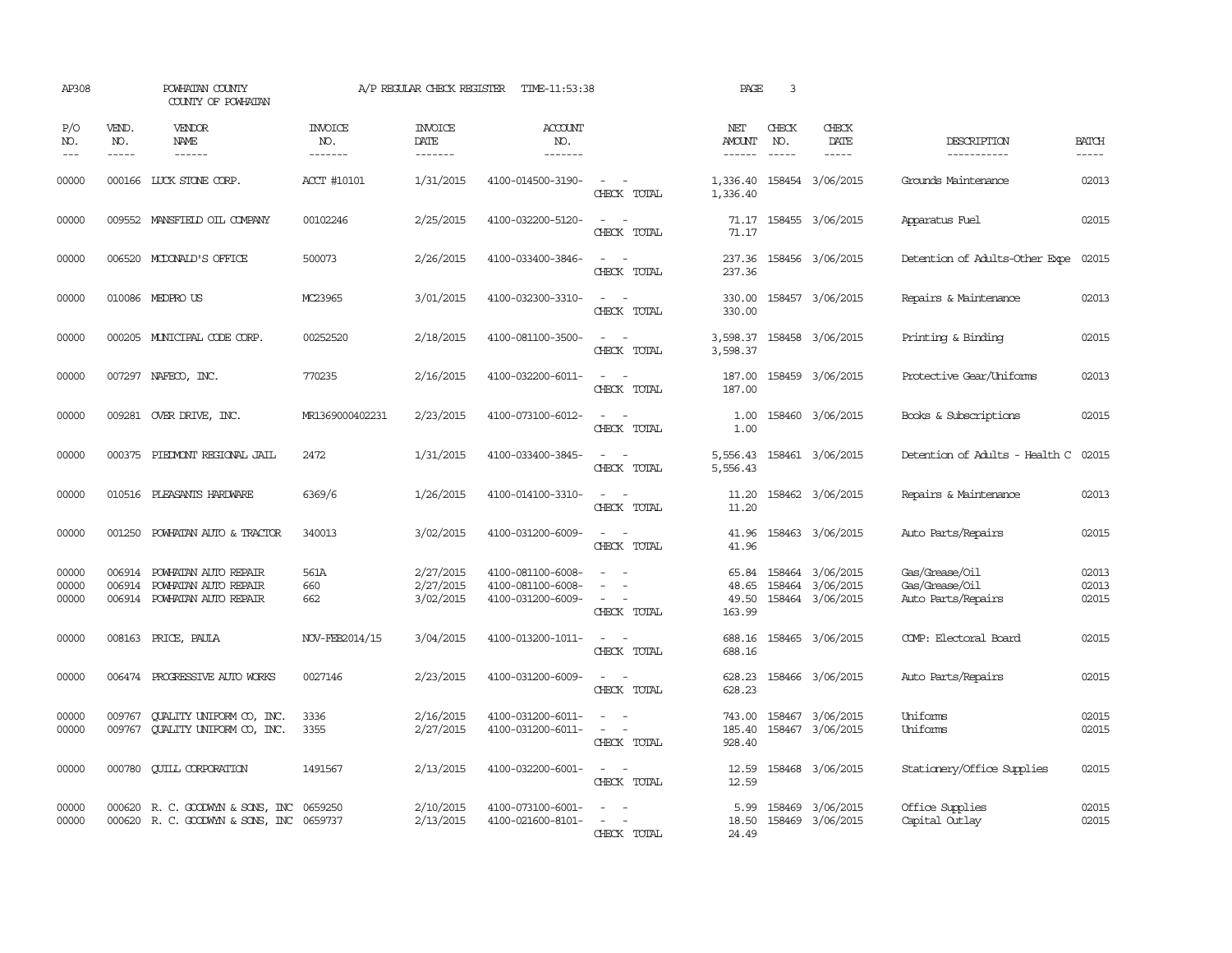| AP308               |                             | POWHATAN COUNTY<br>COUNTY OF POWHATAN                                 |                                  | A/P REGULAR CHECK REGISTER        | TIME-11:53:38                          |                                                                                                                             | PAGE                       | $\overline{3}$                |                                            |                                   |                       |
|---------------------|-----------------------------|-----------------------------------------------------------------------|----------------------------------|-----------------------------------|----------------------------------------|-----------------------------------------------------------------------------------------------------------------------------|----------------------------|-------------------------------|--------------------------------------------|-----------------------------------|-----------------------|
| P/O<br>NO.<br>$---$ | VEND.<br>NO.<br>$- - - - -$ | VENDOR<br>NAME<br>$- - - - - -$                                       | <b>INVOICE</b><br>NO.<br>------- | <b>INVOICE</b><br>DATE<br>------- | <b>ACCOUNT</b><br>NO.<br>-------       |                                                                                                                             | NET<br>AMOUNT<br>------    | CHECK<br>NO.<br>$\frac{1}{2}$ | CHECK<br>DATE<br>-----                     | DESCRIPTION<br>-----------        | <b>BATCH</b><br>----- |
| 00000               |                             | 000166 LUCK STONE CORP.                                               | ACCT #10101                      | 1/31/2015                         | 4100-014500-3190-                      | $\sim$<br>CHECK TOTAL                                                                                                       | 1,336.40<br>1,336.40       |                               | 158454 3/06/2015                           | Grounds Maintenance               | 02013                 |
| 00000               |                             | 009552 MANSFIELD OIL COMPANY                                          | 00102246                         | 2/25/2015                         | 4100-032200-5120-                      | $\overline{\phantom{a}}$<br>CHECK TOTAL                                                                                     | 71.17                      |                               | 71.17 158455 3/06/2015                     | Apparatus Fuel                    | 02015                 |
| 00000               |                             | 006520 MCDONALD'S OFFICE                                              | 500073                           | 2/26/2015                         | 4100-033400-3846-                      | CHECK TOTAL                                                                                                                 | 237.36<br>237.36           |                               | 158456 3/06/2015                           | Detention of Adults-Other Expe    | 02015                 |
| 00000               |                             | 010086 MEDPRO US                                                      | MC23965                          | 3/01/2015                         | 4100-032300-3310-                      | $\frac{1}{2} \left( \frac{1}{2} \right) \left( \frac{1}{2} \right) = \frac{1}{2} \left( \frac{1}{2} \right)$<br>CHECK TOTAL | 330.00<br>330.00           |                               | 158457 3/06/2015                           | Repairs & Maintenance             | 02013                 |
| 00000               |                             | 000205 MUNICIPAL CODE CORP.                                           | 00252520                         | 2/18/2015                         | 4100-081100-3500-                      | $\sim$ 10 $\sim$ 10 $\sim$<br>CHECK TOTAL                                                                                   | 3,598.37                   |                               | 3,598.37 158458 3/06/2015                  | Printing & Binding                | 02015                 |
| 00000               |                             | 007297 NAFECO, INC.                                                   | 770235                           | 2/16/2015                         | 4100-032200-6011-                      | $\sim$<br>$\sim$<br>CHECK TOTAL                                                                                             | 187.00<br>187.00           |                               | 158459 3/06/2015                           | Protective Gear/Uniforms          | 02013                 |
| 00000               |                             | 009281 OVER DRIVE, INC.                                               | MR1369000402231                  | 2/23/2015                         | 4100-073100-6012-                      | $\sim$<br>$\sim$<br>CHECK TOTAL                                                                                             | 1.00<br>1.00               |                               | 158460 3/06/2015                           | Books & Subscriptions             | 02015                 |
| 00000               | 000375                      | PIEDMONT REGIONAL JAIL                                                | 2472                             | 1/31/2015                         | 4100-033400-3845-                      | CHECK TOTAL                                                                                                                 | 5,556.43<br>5,556.43       |                               | 158461 3/06/2015                           | Detention of Adults - Health C    | 02015                 |
| 00000               |                             | 010516 PLEASANTS HARDWARE                                             | 6369/6                           | 1/26/2015                         | 4100-014100-3310-                      | $\sim$<br>$\sim$<br>CHECK TOTAL                                                                                             | 11.20<br>11.20             |                               | 158462 3/06/2015                           | Repairs & Maintenance             | 02013                 |
| 00000               | 001250                      | POWHATAN AUTO & TRACTOR                                               | 340013                           | 3/02/2015                         | 4100-031200-6009-                      | $\sim$<br>CHECK TOTAL                                                                                                       | 41.96<br>41.96             |                               | 158463 3/06/2015                           | Auto Parts/Repairs                | 02015                 |
| 00000               | 006914                      | POWHATAN AUTO REPAIR                                                  | 561A                             | 2/27/2015                         | 4100-081100-6008-                      | $\overline{\phantom{a}}$                                                                                                    | 65.84                      |                               | 158464 3/06/2015                           | Gas/Grease/Oil                    | 02013                 |
| 00000               | 006914                      | POWHATAN AUTO REPAIR                                                  | 660                              | 2/27/2015                         | 4100-081100-6008-                      | $\equiv$                                                                                                                    | 48.65                      |                               | 158464 3/06/2015                           | Gas/Grease/Oil                    | 02013                 |
| 00000               |                             | 006914 POWHATAN AUTO REPAIR                                           | 662                              | 3/02/2015                         | 4100-031200-6009-                      | CHECK TOTAL                                                                                                                 | 49.50<br>163.99            |                               | 158464 3/06/2015                           | Auto Parts/Repairs                | 02015                 |
| 00000               |                             | 008163 PRICE, PAULA                                                   | NOV-FEB2014/15                   | 3/04/2015                         | 4100-013200-1011-                      | $\sim$ 100 $\sim$<br>CHECK TOTAL                                                                                            | 688.16<br>688.16           |                               | 158465 3/06/2015                           | COMP: Electoral Board             | 02015                 |
| 00000               |                             | 006474 PROGRESSIVE AUTO WORKS                                         | 0027146                          | 2/23/2015                         | 4100-031200-6009-                      | $\sim$<br>CHECK TOTAL                                                                                                       | 628.23<br>628.23           |                               | 158466 3/06/2015                           | Auto Parts/Repairs                | 02015                 |
| 00000<br>00000      | 009767<br>009767            | <b>CUALITY UNIFORM CO, INC.</b><br><b>OUALITY UNIFORM CO, INC.</b>    | 3336<br>3355                     | 2/16/2015<br>2/27/2015            | 4100-031200-6011-<br>4100-031200-6011- | CHECK TOTAL                                                                                                                 | 743.00<br>185.40<br>928.40 |                               | 158467 3/06/2015<br>158467 3/06/2015       | Uniforms<br>Uniforms              | 02015<br>02015        |
| 00000               | 000780                      | <b>CUILL CORPORATION</b>                                              | 1491567                          | 2/13/2015                         | 4100-032200-6001-                      | CHECK TOTAL                                                                                                                 | 12.59                      |                               | 12.59 158468 3/06/2015                     | Stationery/Office Supplies        | 02015                 |
| 00000<br>00000      | 000620                      | R. C. GOODWYN & SONS, INC<br>000620 R. C. GOODWYN & SONS, INC 0659737 | 0659250                          | 2/10/2015<br>2/13/2015            | 4100-073100-6001-<br>4100-021600-8101- | $\overline{\phantom{a}}$<br>CHECK TOTAL                                                                                     | 5.99<br>24.49              |                               | 158469 3/06/2015<br>18.50 158469 3/06/2015 | Office Supplies<br>Capital Outlay | 02015<br>02015        |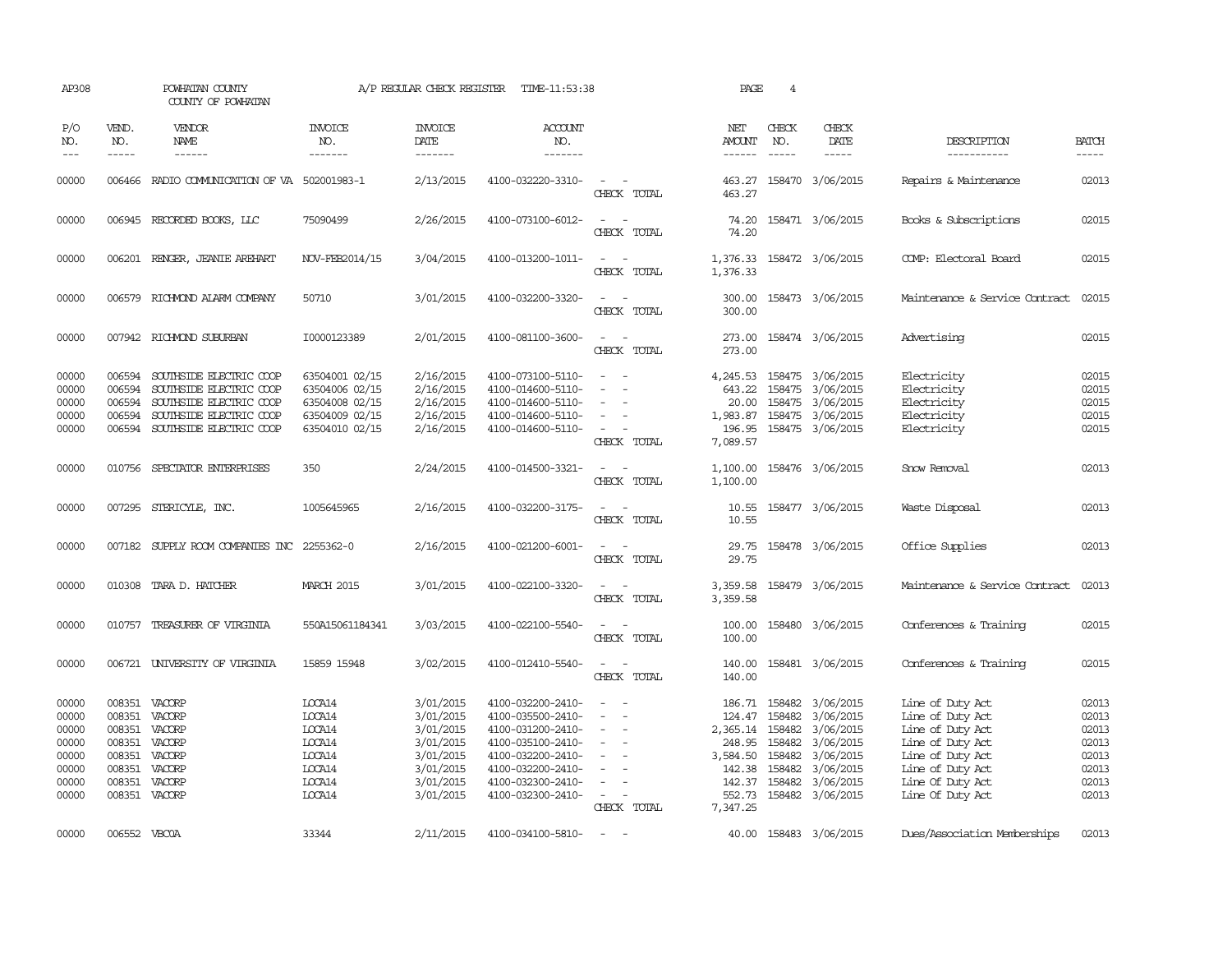| AP308                                                                |                                                                                     | POWHATAN COUNTY<br>COUNTY OF POWHATAN                                                                                               |                                                                                        | A/P REGULAR CHECK REGISTER                                                                           | TIME-11:53:38                                                                                                                                                        |                                                                           | PAGE                                                                                         | $\overline{4}$                                                     |                                                                                                             |                                                                                                                                                              |                                                                      |
|----------------------------------------------------------------------|-------------------------------------------------------------------------------------|-------------------------------------------------------------------------------------------------------------------------------------|----------------------------------------------------------------------------------------|------------------------------------------------------------------------------------------------------|----------------------------------------------------------------------------------------------------------------------------------------------------------------------|---------------------------------------------------------------------------|----------------------------------------------------------------------------------------------|--------------------------------------------------------------------|-------------------------------------------------------------------------------------------------------------|--------------------------------------------------------------------------------------------------------------------------------------------------------------|----------------------------------------------------------------------|
| P/O<br>NO.<br>$---$                                                  | VEND.<br>NO.<br>$- - - - -$                                                         | VENDOR<br>NAME<br>------                                                                                                            | <b>INVOICE</b><br>NO.<br>-------                                                       | <b>INVOICE</b><br>DATE<br>-------                                                                    | <b>ACCOUNT</b><br>NO.<br>-------                                                                                                                                     |                                                                           | NET<br>AMOUNT<br>$- - - - - -$                                                               | CHECK<br>NO.<br>$\frac{1}{2}$                                      | CHECK<br>DATE<br>$- - - - -$                                                                                | DESCRIPTION<br>-----------                                                                                                                                   | <b>BATCH</b><br>$- - - - -$                                          |
| 00000                                                                |                                                                                     | 006466 RADIO COMMUNICATION OF VA 502001983-1                                                                                        |                                                                                        | 2/13/2015                                                                                            | 4100-032220-3310-                                                                                                                                                    | $\sim$<br>CHECK TOTAL                                                     | 463.27<br>463.27                                                                             |                                                                    | 158470 3/06/2015                                                                                            | Repairs & Maintenance                                                                                                                                        | 02013                                                                |
| 00000                                                                |                                                                                     | 006945 RECORDED BOOKS, LLC                                                                                                          | 75090499                                                                               | 2/26/2015                                                                                            | 4100-073100-6012-                                                                                                                                                    | $\sim$<br>CHECK TOTAL                                                     | 74.20<br>74.20                                                                               |                                                                    | 158471 3/06/2015                                                                                            | Books & Subscriptions                                                                                                                                        | 02015                                                                |
| 00000                                                                |                                                                                     | 006201 RENGER, JEANIE AREHART                                                                                                       | NOV-FEB2014/15                                                                         | 3/04/2015                                                                                            | 4100-013200-1011-                                                                                                                                                    | $\sim$ 100 $\mu$<br>$\sim$<br>CHECK TOTAL                                 | 1,376.33<br>1,376.33                                                                         |                                                                    | 158472 3/06/2015                                                                                            | COMP: Electoral Board                                                                                                                                        | 02015                                                                |
| 00000                                                                |                                                                                     | 006579 RICHMOND ALARM COMPANY                                                                                                       | 50710                                                                                  | 3/01/2015                                                                                            | 4100-032200-3320-                                                                                                                                                    | $\sim$<br>$\sim$<br>CHECK TOTAL                                           | 300.00<br>300.00                                                                             |                                                                    | 158473 3/06/2015                                                                                            | Maintenance & Service Contract                                                                                                                               | 02015                                                                |
| 00000                                                                |                                                                                     | 007942 RICHMOND SUBURBAN                                                                                                            | I0000123389                                                                            | 2/01/2015                                                                                            | 4100-081100-3600-                                                                                                                                                    | $\sim$<br>$\overline{\phantom{a}}$<br>CHECK TOTAL                         | 273.00<br>273.00                                                                             |                                                                    | 158474 3/06/2015                                                                                            | Advertising                                                                                                                                                  | 02015                                                                |
| 00000<br>00000<br>00000<br>00000<br>00000                            | 006594<br>006594<br>006594<br>006594<br>006594                                      | SOUTHSIDE ELECTRIC COOP<br>SOUTHSIDE ELECTRIC COOP<br>SOUTHSIDE ELECTRIC COOP<br>SOUTHSIDE ELECTRIC COOP<br>SOUTHSIDE ELECTRIC COOP | 63504001 02/15<br>63504006 02/15<br>63504008 02/15<br>63504009 02/15<br>63504010 02/15 | 2/16/2015<br>2/16/2015<br>2/16/2015<br>2/16/2015<br>2/16/2015                                        | 4100-073100-5110-<br>4100-014600-5110-<br>4100-014600-5110-<br>4100-014600-5110-<br>4100-014600-5110-                                                                | $\sim$<br>$\sim$<br>$\sim$<br>CHECK TOTAL                                 | 4,245.53<br>643.22<br>20.00<br>1,983.87<br>196.95<br>7,089.57                                | 158475<br>158475<br>158475<br>158475<br>158475                     | 3/06/2015<br>3/06/2015<br>3/06/2015<br>3/06/2015<br>3/06/2015                                               | Electricity<br>Electricity<br>Electricity<br>Electricity<br>Electricity                                                                                      | 02015<br>02015<br>02015<br>02015<br>02015                            |
| 00000                                                                | 010756                                                                              | SPECIATOR ENTERPRISES                                                                                                               | 350                                                                                    | 2/24/2015                                                                                            | 4100-014500-3321-                                                                                                                                                    | $\sim$<br>CHECK TOTAL                                                     | 1,100.00<br>1,100.00                                                                         |                                                                    | 158476 3/06/2015                                                                                            | Snow Removal                                                                                                                                                 | 02013                                                                |
| 00000                                                                |                                                                                     | 007295 STERICYLE, INC.                                                                                                              | 1005645965                                                                             | 2/16/2015                                                                                            | 4100-032200-3175-                                                                                                                                                    | CHECK TOTAL                                                               | 10.55<br>10.55                                                                               |                                                                    | 158477 3/06/2015                                                                                            | Waste Disposal                                                                                                                                               | 02013                                                                |
| 00000                                                                |                                                                                     | 007182 SUPPLY ROOM COMPANIES INC 2255362-0                                                                                          |                                                                                        | 2/16/2015                                                                                            | 4100-021200-6001-                                                                                                                                                    | $\equiv$<br>$\overline{\phantom{a}}$<br>CHECK TOTAL                       | 29.75<br>29.75                                                                               |                                                                    | 158478 3/06/2015                                                                                            | Office Supplies                                                                                                                                              | 02013                                                                |
| 00000                                                                |                                                                                     | 010308 TARA D. HATCHER                                                                                                              | <b>MARCH 2015</b>                                                                      | 3/01/2015                                                                                            | 4100-022100-3320-                                                                                                                                                    | CHECK TOTAL                                                               | 3,359.58<br>3,359.58                                                                         |                                                                    | 158479 3/06/2015                                                                                            | Maintenance & Service Contract                                                                                                                               | 02013                                                                |
| 00000                                                                |                                                                                     | 010757 TREASURER OF VIRGINIA                                                                                                        | 550A15061184341                                                                        | 3/03/2015                                                                                            | 4100-022100-5540-                                                                                                                                                    | $\sim$<br>$\sim$<br>CHECK TOTAL                                           | 100.00<br>100.00                                                                             |                                                                    | 158480 3/06/2015                                                                                            | Conferences & Training                                                                                                                                       | 02015                                                                |
| 00000                                                                | 006721                                                                              | UNIVERSITY OF VIRGINIA                                                                                                              | 15859 15948                                                                            | 3/02/2015                                                                                            | 4100-012410-5540-                                                                                                                                                    | $\equiv$<br>CHECK TOTAL                                                   | 140.00<br>140.00                                                                             |                                                                    | 158481 3/06/2015                                                                                            | Conferences & Training                                                                                                                                       | 02015                                                                |
| 00000<br>00000<br>00000<br>00000<br>00000<br>00000<br>00000<br>00000 | 008351<br>008351<br>008351<br>008351<br>008351<br>008351<br>008351<br>008351 VACORP | VACORP<br>VACORP<br>VACORP<br>VACORP<br>VACORP<br>VACORP<br>VACORP                                                                  | LOCA14<br>LOCA14<br>LOCA14<br>LOCA14<br>LOCA14<br>LOCA14<br>LOCA14<br>LOCA14           | 3/01/2015<br>3/01/2015<br>3/01/2015<br>3/01/2015<br>3/01/2015<br>3/01/2015<br>3/01/2015<br>3/01/2015 | 4100-032200-2410-<br>4100-035500-2410-<br>4100-031200-2410-<br>4100-035100-2410-<br>4100-032200-2410-<br>4100-032200-2410-<br>4100-032300-2410-<br>4100-032300-2410- | $\equiv$<br>$\sim$<br>$\equiv$<br>$\overline{\phantom{a}}$<br>CHECK TOTAL | 186.71<br>124.47<br>2,365.14<br>248.95<br>3,584.50<br>142.38<br>142.37<br>552.73<br>7,347.25 | 158482<br>158482<br>158482<br>158482<br>158482<br>158482<br>158482 | 3/06/2015<br>3/06/2015<br>3/06/2015<br>3/06/2015<br>3/06/2015<br>3/06/2015<br>3/06/2015<br>158482 3/06/2015 | Line of Duty Act<br>Line of Duty Act<br>Line of Duty Act<br>Line of Duty Act<br>Line of Duty Act<br>Line of Duty Act<br>Line Of Duty Act<br>Line Of Duty Act | 02013<br>02013<br>02013<br>02013<br>02013<br>02013<br>02013<br>02013 |
| 00000                                                                | 006552 VBC0A                                                                        |                                                                                                                                     | 33344                                                                                  | 2/11/2015                                                                                            | 4100-034100-5810-                                                                                                                                                    | $\overline{\phantom{a}}$                                                  |                                                                                              |                                                                    | 40.00 158483 3/06/2015                                                                                      | Dues/Association Memberships                                                                                                                                 | 02013                                                                |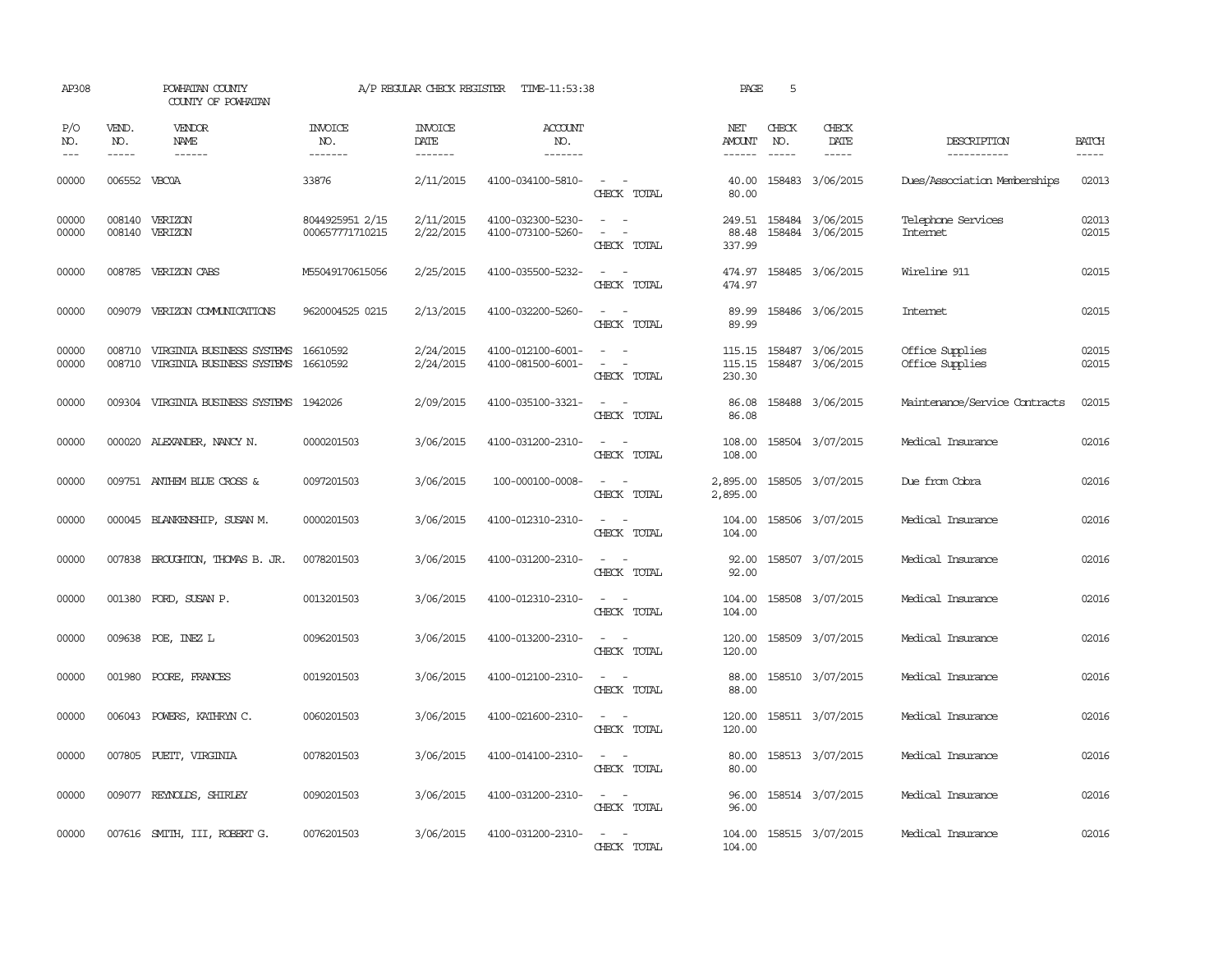| AP308               |                             | POWHATAN COUNTY<br>COUNTY OF POWHATAN                                         |                                    | A/P REGULAR CHECK REGISTER        | TIME-11:53:38                          |                                                                                                                             | PAGE                       | 5                             |                                      |                                    |                             |
|---------------------|-----------------------------|-------------------------------------------------------------------------------|------------------------------------|-----------------------------------|----------------------------------------|-----------------------------------------------------------------------------------------------------------------------------|----------------------------|-------------------------------|--------------------------------------|------------------------------------|-----------------------------|
| P/O<br>NO.<br>$---$ | VEND.<br>NO.<br>$- - - - -$ | <b>VENDOR</b><br>NAME<br>$- - - - - -$                                        | <b>INVOICE</b><br>NO.<br>-------   | <b>INVOICE</b><br>DATE<br>------- | ACCOUNT<br>NO.<br>-------              |                                                                                                                             | NET<br>AMOUNT<br>------    | CHECK<br>NO.<br>$\frac{1}{2}$ | CHECK<br>DATE<br>$- - - - -$         | DESCRIPTION<br>-----------         | <b>BATCH</b><br>$- - - - -$ |
| 00000               | 006552 VBC0A                |                                                                               | 33876                              | 2/11/2015                         | 4100-034100-5810-                      | $\sim$ $ -$<br>CHECK TOTAL                                                                                                  | 40.00<br>80.00             |                               | 158483 3/06/2015                     | Dues/Association Memberships       | 02013                       |
| 00000<br>00000      |                             | 008140 VERIZON<br>008140 VERIZON                                              | 8044925951 2/15<br>000657771710215 | 2/11/2015<br>2/22/2015            | 4100-032300-5230-<br>4100-073100-5260- | $\sim$<br>$\sim$<br>$\equiv$<br>$\overline{\phantom{a}}$<br>CHECK TOTAL                                                     | 249.51<br>88.48<br>337.99  |                               | 158484 3/06/2015<br>158484 3/06/2015 | Telephone Services<br>Internet     | 02013<br>02015              |
| 00000               |                             | 008785 VERIZON CABS                                                           | M55049170615056                    | 2/25/2015                         | 4100-035500-5232-                      | CHECK TOTAL                                                                                                                 | 474.97<br>474.97           |                               | 158485 3/06/2015                     | Wireline 911                       | 02015                       |
| 00000               |                             | 009079 VERIZON COMUNICATIONS                                                  | 9620004525 0215                    | 2/13/2015                         | 4100-032200-5260-                      | $\frac{1}{2} \left( \frac{1}{2} \right) \left( \frac{1}{2} \right) = \frac{1}{2} \left( \frac{1}{2} \right)$<br>CHECK TOTAL | 89.99<br>89.99             |                               | 158486 3/06/2015                     | Internet                           | 02015                       |
| 00000<br>00000      |                             | 008710 VIRGINIA BUSINESS SYSTEMS<br>008710 VIRGINIA BUSINESS SYSTEMS 16610592 | 16610592                           | 2/24/2015<br>2/24/2015            | 4100-012100-6001-<br>4100-081500-6001- | $\sim$ 100 $\sim$<br>$\sim$ 100 $\sim$<br>CHECK TOTAL                                                                       | 115.15<br>115.15<br>230.30 |                               | 158487 3/06/2015<br>158487 3/06/2015 | Office Supplies<br>Office Supplies | 02015<br>02015              |
| 00000               |                             | 009304 VIRGINIA BUSINESS SYSTEMS 1942026                                      |                                    | 2/09/2015                         | 4100-035100-3321-                      | $\sim$ 10 $\sim$ 10 $\sim$<br>CHECK TOTAL                                                                                   | 86.08<br>86.08             |                               | 158488 3/06/2015                     | Maintenance/Service Contracts      | 02015                       |
| 00000               |                             | 000020 ALEXANDER, NANCY N.                                                    | 0000201503                         | 3/06/2015                         | 4100-031200-2310-                      | $\sim$ $\sim$<br>CHECK TOTAL                                                                                                | 108.00<br>108.00           |                               | 158504 3/07/2015                     | Medical Insurance                  | 02016                       |
| 00000               |                             | 009751 ANTHEM BLUE CROSS &                                                    | 0097201503                         | 3/06/2015                         | 100-000100-0008-                       | $\sim$ 100 $\sim$ 100 $\sim$<br>CHECK TOTAL                                                                                 | 2,895.00<br>2,895.00       |                               | 158505 3/07/2015                     | Due from Cobra                     | 02016                       |
| 00000               |                             | 000045 BLANKENSHIP, SUSAN M.                                                  | 0000201503                         | 3/06/2015                         | 4100-012310-2310-                      | $\sim$ 100 $\sim$ 100 $\sim$<br>CHECK TOTAL                                                                                 | 104.00<br>104.00           |                               | 158506 3/07/2015                     | Medical Insurance                  | 02016                       |
| 00000               |                             | 007838 BROUGHTON, THOMAS B. JR.                                               | 0078201503                         | 3/06/2015                         | 4100-031200-2310-                      | $\sim$<br>CHECK TOTAL                                                                                                       | 92.00<br>92.00             |                               | 158507 3/07/2015                     | Medical Insurance                  | 02016                       |
| 00000               |                             | 001380 FORD, SUSAN P.                                                         | 0013201503                         | 3/06/2015                         | 4100-012310-2310-                      | $\sim$ 10 $\sim$ 10 $\sim$<br>CHECK TOTAL                                                                                   | 104.00<br>104.00           |                               | 158508 3/07/2015                     | Medical Insurance                  | 02016                       |
| 00000               |                             | 009638 POE, INEZ L                                                            | 0096201503                         | 3/06/2015                         | 4100-013200-2310-                      | $\frac{1}{2} \left( \frac{1}{2} \right) \left( \frac{1}{2} \right) = \frac{1}{2} \left( \frac{1}{2} \right)$<br>CHECK TOTAL | 120.00<br>120.00           |                               | 158509 3/07/2015                     | Medical Insurance                  | 02016                       |
| 00000               |                             | 001980 POORE, FRANCES                                                         | 0019201503                         | 3/06/2015                         | 4100-012100-2310-                      | $\overline{\phantom{a}}$<br>CHECK TOTAL                                                                                     | 88.00<br>88.00             |                               | 158510 3/07/2015                     | Medical Insurance                  | 02016                       |
| 00000               |                             | 006043 POWERS, KATHRYN C.                                                     | 0060201503                         | 3/06/2015                         | 4100-021600-2310-                      | $\frac{1}{2} \left( \frac{1}{2} \right) \left( \frac{1}{2} \right) = \frac{1}{2} \left( \frac{1}{2} \right)$<br>CHECK TOTAL | 120.00<br>120.00           |                               | 158511 3/07/2015                     | Medical Insurance                  | 02016                       |
| 00000               |                             | 007805 PUETT, VIRGINIA                                                        | 0078201503                         | 3/06/2015                         | 4100-014100-2310-                      | CHECK TOTAL                                                                                                                 | 80.00<br>80.00             |                               | 158513 3/07/2015                     | Medical Insurance                  | 02016                       |
| 00000               |                             | 009077 REYNOLDS, SHIRLEY                                                      | 0090201503                         | 3/06/2015                         | 4100-031200-2310-                      | $\sim$ 100 $\sim$ 100 $\sim$<br>CHECK TOTAL                                                                                 | 96.00<br>96.00             |                               | 158514 3/07/2015                     | Medical Insurance                  | 02016                       |
| 00000               |                             | 007616 SMITH, III, ROBERT G.                                                  | 0076201503                         | 3/06/2015                         | 4100-031200-2310-                      | $\sim$<br>$\sim$<br>CHECK TOTAL                                                                                             | 104.00<br>104.00           |                               | 158515 3/07/2015                     | Medical Insurance                  | 02016                       |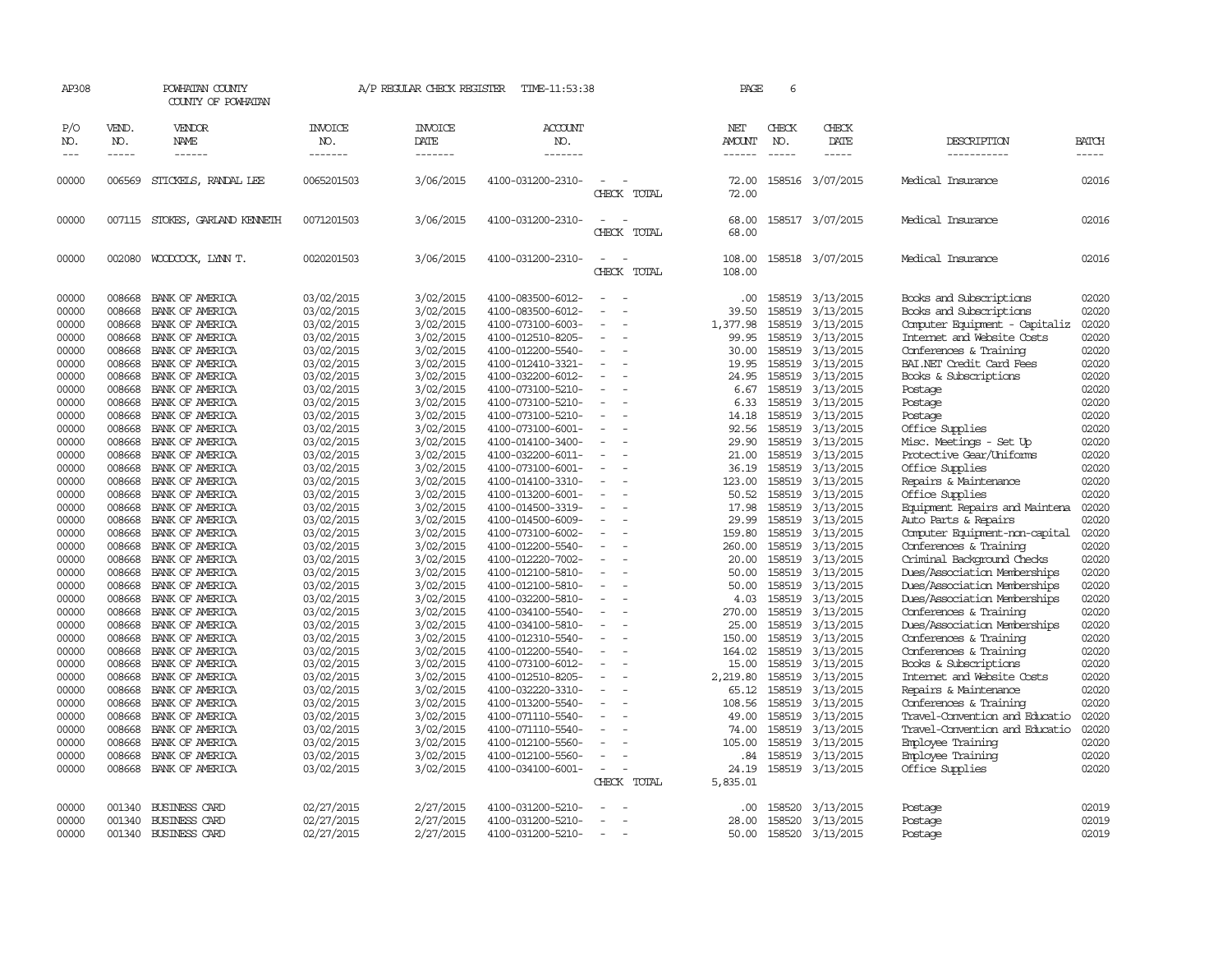| AP308                                                                                                                                                                                                                                  |                                                                                                                                                                                                                                                                  | POWHATAN COUNTY<br>COUNTY OF POWHATAN                                                                                                                                                                                                                                                                                                                                                                                                                                                                      |                                                                                                                                                                                                                                                                                                                                                                          | A/P REGULAR CHECK REGISTER                                                                                                                                                                                                                                                                                                                     | TIME-11:53:38                                                                                                                                                                                                                                                                                                                                                                                                                                                                                                                                                  |                                                  | PAGE                                                                                                                                                                                                                                        | 6                                                                                                                                                                                                                                                                |                                                                                                                                                                                                                                                                                                                                                |                                                                                                                                                                                                                                                                                                                                                                                                                                                                                                                                                                                                                                                                                          |                                                                                                                                                                                                                                        |
|----------------------------------------------------------------------------------------------------------------------------------------------------------------------------------------------------------------------------------------|------------------------------------------------------------------------------------------------------------------------------------------------------------------------------------------------------------------------------------------------------------------|------------------------------------------------------------------------------------------------------------------------------------------------------------------------------------------------------------------------------------------------------------------------------------------------------------------------------------------------------------------------------------------------------------------------------------------------------------------------------------------------------------|--------------------------------------------------------------------------------------------------------------------------------------------------------------------------------------------------------------------------------------------------------------------------------------------------------------------------------------------------------------------------|------------------------------------------------------------------------------------------------------------------------------------------------------------------------------------------------------------------------------------------------------------------------------------------------------------------------------------------------|----------------------------------------------------------------------------------------------------------------------------------------------------------------------------------------------------------------------------------------------------------------------------------------------------------------------------------------------------------------------------------------------------------------------------------------------------------------------------------------------------------------------------------------------------------------|--------------------------------------------------|---------------------------------------------------------------------------------------------------------------------------------------------------------------------------------------------------------------------------------------------|------------------------------------------------------------------------------------------------------------------------------------------------------------------------------------------------------------------------------------------------------------------|------------------------------------------------------------------------------------------------------------------------------------------------------------------------------------------------------------------------------------------------------------------------------------------------------------------------------------------------|------------------------------------------------------------------------------------------------------------------------------------------------------------------------------------------------------------------------------------------------------------------------------------------------------------------------------------------------------------------------------------------------------------------------------------------------------------------------------------------------------------------------------------------------------------------------------------------------------------------------------------------------------------------------------------------|----------------------------------------------------------------------------------------------------------------------------------------------------------------------------------------------------------------------------------------|
| P/O<br>NO.                                                                                                                                                                                                                             | VEND.<br>NO.                                                                                                                                                                                                                                                     | VENDOR<br>NAME.                                                                                                                                                                                                                                                                                                                                                                                                                                                                                            | <b>INVOICE</b><br>NO.                                                                                                                                                                                                                                                                                                                                                    | <b>INVOICE</b><br>DATE                                                                                                                                                                                                                                                                                                                         | <b>ACCOUNT</b><br>NO.                                                                                                                                                                                                                                                                                                                                                                                                                                                                                                                                          |                                                  | NET<br><b>AMOUNT</b>                                                                                                                                                                                                                        | CHECK<br>NO.                                                                                                                                                                                                                                                     | CHECK<br>DATE                                                                                                                                                                                                                                                                                                                                  | DESCRIPTION                                                                                                                                                                                                                                                                                                                                                                                                                                                                                                                                                                                                                                                                              | <b>BATCH</b>                                                                                                                                                                                                                           |
| $\frac{1}{2}$                                                                                                                                                                                                                          | $\frac{1}{2}$                                                                                                                                                                                                                                                    | ------                                                                                                                                                                                                                                                                                                                                                                                                                                                                                                     | -------                                                                                                                                                                                                                                                                                                                                                                  | -------                                                                                                                                                                                                                                                                                                                                        | -------                                                                                                                                                                                                                                                                                                                                                                                                                                                                                                                                                        |                                                  | ------                                                                                                                                                                                                                                      | $- - - - -$                                                                                                                                                                                                                                                      | $- - - - -$                                                                                                                                                                                                                                                                                                                                    | -----------                                                                                                                                                                                                                                                                                                                                                                                                                                                                                                                                                                                                                                                                              | -----                                                                                                                                                                                                                                  |
| 00000                                                                                                                                                                                                                                  | 006569                                                                                                                                                                                                                                                           | STICKELS, RANDAL LEE                                                                                                                                                                                                                                                                                                                                                                                                                                                                                       | 0065201503                                                                                                                                                                                                                                                                                                                                                               | 3/06/2015                                                                                                                                                                                                                                                                                                                                      | 4100-031200-2310-                                                                                                                                                                                                                                                                                                                                                                                                                                                                                                                                              | CHECK TOTAL                                      | 72.00<br>72.00                                                                                                                                                                                                                              |                                                                                                                                                                                                                                                                  | 158516 3/07/2015                                                                                                                                                                                                                                                                                                                               | Medical Insurance                                                                                                                                                                                                                                                                                                                                                                                                                                                                                                                                                                                                                                                                        | 02016                                                                                                                                                                                                                                  |
| 00000                                                                                                                                                                                                                                  |                                                                                                                                                                                                                                                                  | 007115 STOKES, GARLAND KENNETH                                                                                                                                                                                                                                                                                                                                                                                                                                                                             | 0071201503                                                                                                                                                                                                                                                                                                                                                               | 3/06/2015                                                                                                                                                                                                                                                                                                                                      | 4100-031200-2310-                                                                                                                                                                                                                                                                                                                                                                                                                                                                                                                                              | CHECK TOTAL                                      | 68.00<br>68.00                                                                                                                                                                                                                              |                                                                                                                                                                                                                                                                  | 158517 3/07/2015                                                                                                                                                                                                                                                                                                                               | Medical Insurance                                                                                                                                                                                                                                                                                                                                                                                                                                                                                                                                                                                                                                                                        | 02016                                                                                                                                                                                                                                  |
| 00000                                                                                                                                                                                                                                  | 002080                                                                                                                                                                                                                                                           | WOODCOCK, LYNN T.                                                                                                                                                                                                                                                                                                                                                                                                                                                                                          | 0020201503                                                                                                                                                                                                                                                                                                                                                               | 3/06/2015                                                                                                                                                                                                                                                                                                                                      | 4100-031200-2310-                                                                                                                                                                                                                                                                                                                                                                                                                                                                                                                                              | CHECK TOTAL                                      | 108.00<br>108.00                                                                                                                                                                                                                            |                                                                                                                                                                                                                                                                  | 158518 3/07/2015                                                                                                                                                                                                                                                                                                                               | Medical Insurance                                                                                                                                                                                                                                                                                                                                                                                                                                                                                                                                                                                                                                                                        | 02016                                                                                                                                                                                                                                  |
| 00000<br>00000<br>00000<br>00000<br>00000<br>00000<br>00000<br>00000<br>00000<br>00000<br>00000<br>00000<br>00000<br>00000<br>00000<br>00000<br>00000<br>00000<br>00000<br>00000<br>00000<br>00000<br>00000<br>00000<br>00000<br>00000 | 008668<br>008668<br>008668<br>008668<br>008668<br>008668<br>008668<br>008668<br>008668<br>008668<br>008668<br>008668<br>008668<br>008668<br>008668<br>008668<br>008668<br>008668<br>008668<br>008668<br>008668<br>008668<br>008668<br>008668<br>008668<br>008668 | BANK OF AMERICA<br>BANK OF AMERICA<br>BANK OF AMERICA<br>BANK OF AMERICA<br>BANK OF AMERICA<br>BANK OF AMERICA<br>BANK OF AMERICA<br>BANK OF AMERICA<br>BANK OF AMERICA<br>BANK OF AMERICA<br>BANK OF AMERICA<br>BANK OF AMERICA<br>BANK OF AMERICA<br>BANK OF AMERICA<br>BANK OF AMERICA<br>BANK OF AMERICA<br>BANK OF AMERICA<br>BANK OF AMERICA<br>BANK OF AMERICA<br>BANK OF AMERICA<br>BANK OF AMERICA<br>BANK OF AMERICA<br>BANK OF AMERICA<br>BANK OF AMERICA<br>BANK OF AMERICA<br>BANK OF AMERICA | 03/02/2015<br>03/02/2015<br>03/02/2015<br>03/02/2015<br>03/02/2015<br>03/02/2015<br>03/02/2015<br>03/02/2015<br>03/02/2015<br>03/02/2015<br>03/02/2015<br>03/02/2015<br>03/02/2015<br>03/02/2015<br>03/02/2015<br>03/02/2015<br>03/02/2015<br>03/02/2015<br>03/02/2015<br>03/02/2015<br>03/02/2015<br>03/02/2015<br>03/02/2015<br>03/02/2015<br>03/02/2015<br>03/02/2015 | 3/02/2015<br>3/02/2015<br>3/02/2015<br>3/02/2015<br>3/02/2015<br>3/02/2015<br>3/02/2015<br>3/02/2015<br>3/02/2015<br>3/02/2015<br>3/02/2015<br>3/02/2015<br>3/02/2015<br>3/02/2015<br>3/02/2015<br>3/02/2015<br>3/02/2015<br>3/02/2015<br>3/02/2015<br>3/02/2015<br>3/02/2015<br>3/02/2015<br>3/02/2015<br>3/02/2015<br>3/02/2015<br>3/02/2015 | 4100-083500-6012-<br>4100-073100-6003-<br>4100-012510-8205-<br>4100-012200-5540-<br>4100-012410-3321-<br>4100-032200-6012-<br>4100-073100-5210-<br>4100-073100-5210-<br>4100-073100-5210-<br>4100-073100-6001-<br>4100-014100-3400-<br>4100-032200-6011-<br>4100-073100-6001-<br>4100-014100-3310-<br>4100-013200-6001-<br>4100-014500-3319-<br>4100-014500-6009-<br>4100-073100-6002-<br>4100-012200-5540-<br>4100-012220-7002-<br>4100-012100-5810-<br>4100-012100-5810-<br>4100-032200-5810-<br>4100-034100-5540-<br>4100-034100-5810-<br>4100-012310-5540- | $\equiv$<br>$\overline{\phantom{a}}$<br>$\equiv$ | 39.50<br>1,377.98<br>99.95<br>30.00<br>19.95<br>24.95<br>6.67<br>6.33<br>14.18<br>92.56<br>29.90<br>21.00<br>36.19<br>123.00<br>50.52<br>17.98<br>29.99<br>159.80<br>260.00<br>20.00<br>50.00<br>50.00<br>4.03<br>270.00<br>25.00<br>150.00 | 158519<br>158519<br>158519<br>158519<br>158519<br>158519<br>158519<br>158519<br>158519<br>158519<br>158519<br>158519<br>158519<br>158519<br>158519<br>158519<br>158519<br>158519<br>158519<br>158519<br>158519<br>158519<br>158519<br>158519<br>158519<br>158519 | 3/13/2015<br>3/13/2015<br>3/13/2015<br>3/13/2015<br>3/13/2015<br>3/13/2015<br>3/13/2015<br>3/13/2015<br>3/13/2015<br>3/13/2015<br>3/13/2015<br>3/13/2015<br>3/13/2015<br>3/13/2015<br>3/13/2015<br>3/13/2015<br>3/13/2015<br>3/13/2015<br>3/13/2015<br>3/13/2015<br>3/13/2015<br>3/13/2015<br>3/13/2015<br>3/13/2015<br>3/13/2015<br>3/13/2015 | Books and Subscriptions<br>Computer Equipment - Capitaliz<br>Internet and Website Costs<br>Conferences & Training<br>BAI.NET Credit Card Fees<br>Books & Subscriptions<br>Postage<br>Postage<br>Postage<br>Office Supplies<br>Misc. Meetings - Set Up<br>Protective Gear/Uniforms<br>Office Supplies<br>Repairs & Maintenance<br>Office Supplies<br>Equipment Repairs and Maintena<br>Auto Parts & Repairs<br>Computer Equipment-non-capital<br>Conferences & Training<br>Criminal Background Checks<br>Dues/Association Memberships<br>Dues/Association Memberships<br>Dues/Association Memberships<br>Conferences & Training<br>Dues/Association Memberships<br>Conferences & Training | 02020<br>02020<br>02020<br>02020<br>02020<br>02020<br>02020<br>02020<br>02020<br>02020<br>02020<br>02020<br>02020<br>02020<br>02020<br>02020<br>02020<br>02020<br>02020<br>02020<br>02020<br>02020<br>02020<br>02020<br>02020<br>02020 |
| 00000<br>00000<br>00000<br>00000<br>00000<br>00000<br>00000<br>00000<br>00000<br>00000                                                                                                                                                 | 008668<br>008668<br>008668<br>008668<br>008668<br>008668<br>008668<br>008668<br>008668<br>008668                                                                                                                                                                 | BANK OF AMERICA<br>BANK OF AMERICA<br>BANK OF AMERICA<br>BANK OF AMERICA<br>BANK OF AMERICA<br>BANK OF AMERICA<br>BANK OF AMERICA<br>BANK OF AMERICA<br>BANK OF AMERICA<br>BANK OF AMERICA                                                                                                                                                                                                                                                                                                                 | 03/02/2015<br>03/02/2015<br>03/02/2015<br>03/02/2015<br>03/02/2015<br>03/02/2015<br>03/02/2015<br>03/02/2015<br>03/02/2015<br>03/02/2015                                                                                                                                                                                                                                 | 3/02/2015<br>3/02/2015<br>3/02/2015<br>3/02/2015<br>3/02/2015<br>3/02/2015<br>3/02/2015<br>3/02/2015<br>3/02/2015<br>3/02/2015                                                                                                                                                                                                                 | 4100-012200-5540-<br>4100-073100-6012-<br>4100-012510-8205-<br>4100-032220-3310-<br>4100-013200-5540-<br>4100-071110-5540-<br>4100-071110-5540-<br>4100-012100-5560-<br>4100-012100-5560-<br>4100-034100-6001-                                                                                                                                                                                                                                                                                                                                                 | $\sim$<br>$\equiv$<br>CHECK TOTAL                | 164.02<br>15.00<br>2,219.80<br>65.12<br>108.56<br>49.00<br>74.00<br>105.00<br>. 84<br>24.19<br>5,835.01                                                                                                                                     | 158519<br>158519<br>158519<br>158519<br>158519<br>158519<br>158519<br>158519<br>158519                                                                                                                                                                           | 3/13/2015<br>3/13/2015<br>3/13/2015<br>3/13/2015<br>3/13/2015<br>3/13/2015<br>3/13/2015<br>3/13/2015<br>158519 3/13/2015<br>3/13/2015                                                                                                                                                                                                          | Conferences & Training<br>Books & Subscriptions<br>Internet and Website Costs<br>Repairs & Maintenance<br>Conferences & Training<br>Travel-Convention and Educatio<br>Travel-Convention and Educatio<br>Employee Training<br>Employee Training<br>Office Supplies                                                                                                                                                                                                                                                                                                                                                                                                                        | 02020<br>02020<br>02020<br>02020<br>02020<br>02020<br>02020<br>02020<br>02020<br>02020                                                                                                                                                 |
| 00000<br>00000<br>00000                                                                                                                                                                                                                | 001340<br>001340<br>001340                                                                                                                                                                                                                                       | <b>BUSINESS CARD</b><br>BUSINESS CARD<br><b>BUSINESS CARD</b>                                                                                                                                                                                                                                                                                                                                                                                                                                              | 02/27/2015<br>02/27/2015<br>02/27/2015                                                                                                                                                                                                                                                                                                                                   | 2/27/2015<br>2/27/2015<br>2/27/2015                                                                                                                                                                                                                                                                                                            | 4100-031200-5210-<br>4100-031200-5210-<br>4100-031200-5210-                                                                                                                                                                                                                                                                                                                                                                                                                                                                                                    |                                                  | .00<br>28.00<br>50.00                                                                                                                                                                                                                       | 158520<br>158520                                                                                                                                                                                                                                                 | 3/13/2015<br>3/13/2015<br>158520 3/13/2015                                                                                                                                                                                                                                                                                                     | Postage<br>Postage<br>Postage                                                                                                                                                                                                                                                                                                                                                                                                                                                                                                                                                                                                                                                            | 02019<br>02019<br>02019                                                                                                                                                                                                                |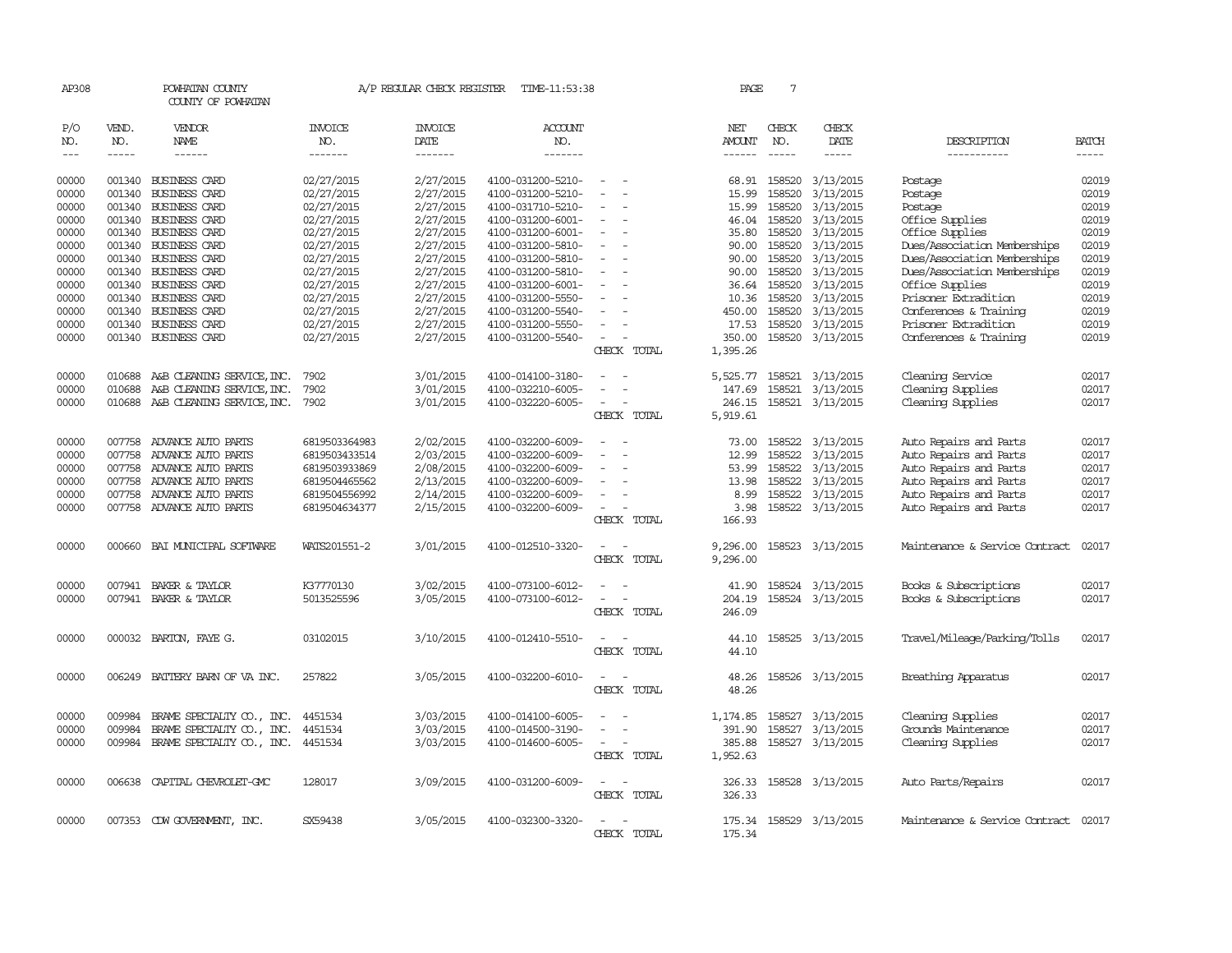| AP308      |              | POWHATAN COUNTY<br>COUNTY OF POWHATAN |                | A/P REGULAR CHECK REGISTER | TIME-11:53:38     |                          | PAGE                 | 7            |                  |                                |              |
|------------|--------------|---------------------------------------|----------------|----------------------------|-------------------|--------------------------|----------------------|--------------|------------------|--------------------------------|--------------|
| P/O<br>NO. | VEND.<br>NO. | VENDOR<br>NAME                        | INVOICE<br>NO. | <b>INVOICE</b><br>DATE     | ACCOUNT<br>NO.    |                          | NET<br>AMOUNT        | CHECK<br>NO. | CHECK<br>DATE    | DESCRIPTION                    | <b>BATCH</b> |
| $---$      | $\cdots$     | ------                                | -------        | -------                    | -------           |                          |                      | $- - - - -$  | -----            | -----------                    | $- - - - -$  |
| 00000      |              | 001340 BUSINESS CARD                  | 02/27/2015     | 2/27/2015                  | 4100-031200-5210- |                          |                      | 68.91 158520 | 3/13/2015        | Postage                        | 02019        |
| 00000      | 001340       | <b>BUSINESS CARD</b>                  | 02/27/2015     | 2/27/2015                  | 4100-031200-5210- |                          | 15.99                | 158520       | 3/13/2015        | Postage                        | 02019        |
| 00000      | 001340       | BUSINESS CARD                         | 02/27/2015     | 2/27/2015                  | 4100-031710-5210- |                          | 15.99                | 158520       | 3/13/2015        | Postage                        | 02019        |
| 00000      |              | 001340 BUSINESS CARD                  | 02/27/2015     | 2/27/2015                  | 4100-031200-6001- |                          | 46.04                | 158520       | 3/13/2015        | Office Supplies                | 02019        |
| 00000      |              | 001340 BUSINESS CARD                  | 02/27/2015     | 2/27/2015                  | 4100-031200-6001- |                          | 35.80                | 158520       | 3/13/2015        | Office Supplies                | 02019        |
| 00000      |              | 001340 BUSINESS CARD                  | 02/27/2015     | 2/27/2015                  | 4100-031200-5810- |                          | 90.00                | 158520       | 3/13/2015        | Dues/Association Memberships   | 02019        |
| 00000      |              | 001340 BUSINESS CARD                  | 02/27/2015     | 2/27/2015                  | 4100-031200-5810- |                          | 90.00                | 158520       | 3/13/2015        | Dues/Association Memberships   | 02019        |
| 00000      | 001340       | BUSINESS CARD                         | 02/27/2015     | 2/27/2015                  | 4100-031200-5810- | $\overline{\phantom{a}}$ | 90.00                | 158520       | 3/13/2015        | Dues/Association Memberships   | 02019        |
| 00000      | 001340       | <b>BUSINESS CARD</b>                  | 02/27/2015     | 2/27/2015                  | 4100-031200-6001- |                          | 36.64                | 158520       | 3/13/2015        | Office Supplies                | 02019        |
| 00000      |              | 001340 BUSINESS CARD                  | 02/27/2015     | 2/27/2015                  | 4100-031200-5550- |                          | 10.36                | 158520       | 3/13/2015        | Prisoner Extradition           | 02019        |
| 00000      |              | 001340 BUSINESS CARD                  | 02/27/2015     | 2/27/2015                  | 4100-031200-5540- | $\sim$                   | 450.00               | 158520       | 3/13/2015        | Conferences & Training         | 02019        |
| 00000      | 001340       | <b>BUSINESS CARD</b>                  | 02/27/2015     | 2/27/2015                  | 4100-031200-5550- |                          | 17.53                | 158520       | 3/13/2015        | Prisoner Extradition           | 02019        |
| 00000      |              | 001340 BUSINESS CARD                  | 02/27/2015     | 2/27/2015                  | 4100-031200-5540- | $\overline{\phantom{a}}$ | 350.00               |              | 158520 3/13/2015 | Conferences & Training         | 02019        |
|            |              |                                       |                |                            |                   | CHECK TOTAL              | 1,395.26             |              |                  |                                |              |
| 00000      | 010688       | A&B CLEANING SERVICE, INC.            | 7902           | 3/01/2015                  | 4100-014100-3180- |                          | 5,525.77             | 158521       | 3/13/2015        | Cleaning Service               | 02017        |
| 00000      | 010688       | A&B CLEANING SERVICE, INC.            | 7902           | 3/01/2015                  | 4100-032210-6005- |                          | 147.69               | 158521       | 3/13/2015        | Cleaning Supplies              | 02017        |
| 00000      | 010688       | A&B CLEANING SERVICE, INC.            | 7902           | 3/01/2015                  | 4100-032220-6005- | $\equiv$                 | 246.15               |              | 158521 3/13/2015 | Cleaning Supplies              | 02017        |
|            |              |                                       |                |                            |                   | CHECK TOTAL              | 5,919.61             |              |                  |                                |              |
| 00000      | 007758       | ADVANCE AUTO PARTS                    | 6819503364983  | 2/02/2015                  | 4100-032200-6009- | $\overline{\phantom{a}}$ | 73.00                | 158522       | 3/13/2015        | Auto Repairs and Parts         | 02017        |
| 00000      | 007758       | ADVANCE AUTO PARTS                    | 6819503433514  | 2/03/2015                  | 4100-032200-6009- |                          | 12.99                | 158522       | 3/13/2015        | Auto Repairs and Parts         | 02017        |
| 00000      | 007758       | ADVANCE AUTO PARTS                    | 6819503933869  | 2/08/2015                  | 4100-032200-6009- |                          | 53.99                | 158522       | 3/13/2015        | Auto Repairs and Parts         | 02017        |
| 00000      | 007758       | ADVANCE AUTO PARTS                    | 6819504465562  | 2/13/2015                  | 4100-032200-6009- |                          | 13.98                | 158522       | 3/13/2015        | Auto Repairs and Parts         | 02017        |
| 00000      | 007758       | ADVANCE AUTO PARTS                    | 6819504556992  | 2/14/2015                  | 4100-032200-6009- |                          | 8.99                 | 158522       | 3/13/2015        | Auto Repairs and Parts         | 02017        |
| 00000      | 007758       | ADVANCE AUTO PARTS                    | 6819504634377  | 2/15/2015                  | 4100-032200-6009- |                          | 3.98                 | 158522       | 3/13/2015        | Auto Repairs and Parts         | 02017        |
|            |              |                                       |                |                            |                   | CHECK TOTAL              | 166.93               |              |                  |                                |              |
| 00000      | 000660       | BAI MUNICIPAL SOFTWARE                | WATS201551-2   | 3/01/2015                  | 4100-012510-3320- |                          |                      |              |                  | Maintenance & Service Contract | 02017        |
|            |              |                                       |                |                            |                   | CHECK TOTAL              | 9,296.00<br>9,296.00 |              | 158523 3/13/2015 |                                |              |
|            |              |                                       |                |                            |                   |                          |                      |              |                  |                                |              |
| 00000      |              | 007941 BAKER & TAYLOR                 | K37770130      | 3/02/2015                  | 4100-073100-6012- |                          | 41.90                |              | 158524 3/13/2015 | Books & Subscriptions          | 02017        |
| 00000      |              | 007941 BAKER & TAYLOR                 | 5013525596     | 3/05/2015                  | 4100-073100-6012- | $\overline{\phantom{a}}$ | 204.19               |              | 158524 3/13/2015 | Books & Subscriptions          | 02017        |
|            |              |                                       |                |                            |                   | CHECK TOTAL              | 246.09               |              |                  |                                |              |
| 00000      |              | 000032 BARTON, FAYE G.                | 03102015       | 3/10/2015                  | 4100-012410-5510- |                          | 44.10                |              | 158525 3/13/2015 | Travel/Mileage/Parking/Tolls   | 02017        |
|            |              |                                       |                |                            |                   | CHECK TOTAL              | 44.10                |              |                  |                                |              |
| 00000      | 006249       | BATTERY BARN OF VA INC.               | 257822         | 3/05/2015                  | 4100-032200-6010- | $\overline{\phantom{a}}$ | 48.26                |              | 158526 3/13/2015 | Breathing Apparatus            | 02017        |
|            |              |                                       |                |                            |                   | CHECK TOTAL              | 48.26                |              |                  |                                |              |
|            |              |                                       |                |                            |                   |                          |                      |              |                  |                                |              |
| 00000      | 009984       | BRAME SPECIALITY CO., INC.            | 4451534        | 3/03/2015                  | 4100-014100-6005- |                          | 1,174.85             | 158527       | 3/13/2015        | Cleaning Supplies              | 02017        |
| 00000      | 009984       | BRAME SPECIALITY CO., INC.            | 4451534        | 3/03/2015                  | 4100-014500-3190- |                          | 391.90               | 158527       | 3/13/2015        | Grounds Maintenance            | 02017        |
| 00000      | 009984       | BRAME SPECIALITY CO., INC.            | 4451534        | 3/03/2015                  | 4100-014600-6005- | $\overline{\phantom{a}}$ | 385.88               |              | 158527 3/13/2015 | Cleaning Supplies              | 02017        |
|            |              |                                       |                |                            |                   | CHECK TOTAL              | 1,952.63             |              |                  |                                |              |
| 00000      | 006638       | CAPITAL CHEVROLET-GMC                 | 128017         | 3/09/2015                  | 4100-031200-6009- | $\overline{\phantom{a}}$ | 326.33               |              | 158528 3/13/2015 | Auto Parts/Repairs             | 02017        |
|            |              |                                       |                |                            |                   | CHECK TOTAL              | 326.33               |              |                  |                                |              |
|            |              |                                       |                |                            |                   |                          |                      |              |                  |                                |              |
| 00000      |              | 007353 CDW GOVERNMENT, INC.           | SX59438        | 3/05/2015                  | 4100-032300-3320- |                          | 175.34               |              | 158529 3/13/2015 | Maintenance & Service Contract | 02017        |
|            |              |                                       |                |                            |                   | CHECK<br>TOTAL           | 175.34               |              |                  |                                |              |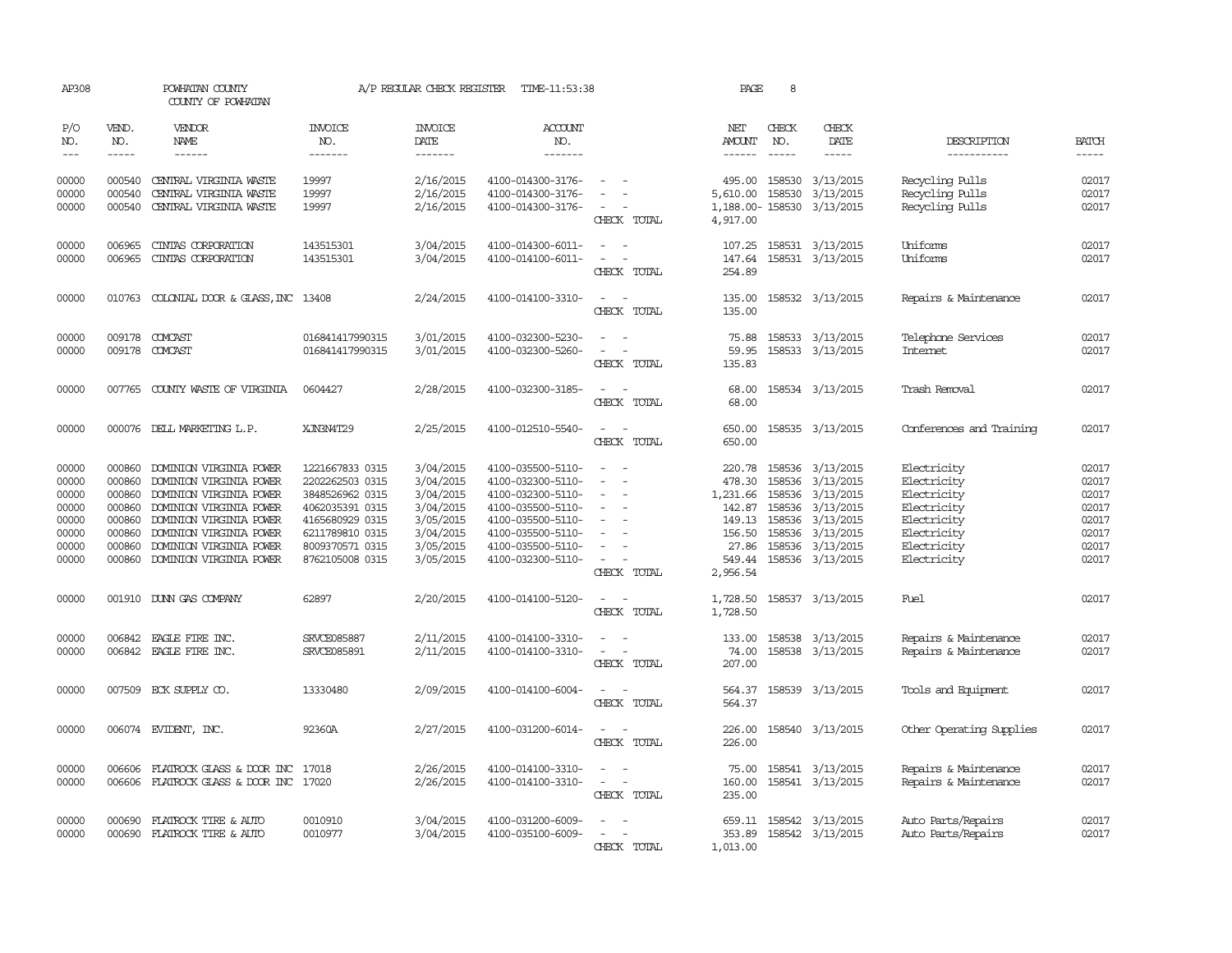| AP308                                                                |                                                                    | POWHATAN COUNTY<br>COUNTY OF POWHATAN                                                                                                                                                                                       |                                                                                                                                                      | A/P REGULAR CHECK REGISTER                                                                           | TIME-11:53:38                                                                                                                                                        |                                                                                                                                                                                                                               | PAGE                                                                                                                                                                                                                                                                                                                                                                                                                                                                                | 8                                                               |                                                                                                                    |                                                                                                                      |                                                                      |
|----------------------------------------------------------------------|--------------------------------------------------------------------|-----------------------------------------------------------------------------------------------------------------------------------------------------------------------------------------------------------------------------|------------------------------------------------------------------------------------------------------------------------------------------------------|------------------------------------------------------------------------------------------------------|----------------------------------------------------------------------------------------------------------------------------------------------------------------------|-------------------------------------------------------------------------------------------------------------------------------------------------------------------------------------------------------------------------------|-------------------------------------------------------------------------------------------------------------------------------------------------------------------------------------------------------------------------------------------------------------------------------------------------------------------------------------------------------------------------------------------------------------------------------------------------------------------------------------|-----------------------------------------------------------------|--------------------------------------------------------------------------------------------------------------------|----------------------------------------------------------------------------------------------------------------------|----------------------------------------------------------------------|
| P/O<br>NO.                                                           | VEND.<br>NO.                                                       | VENDOR<br>NAME                                                                                                                                                                                                              | INVOICE<br>NO.                                                                                                                                       | <b>INVOICE</b><br>DATE                                                                               | <b>ACCOUNT</b><br>NO.                                                                                                                                                |                                                                                                                                                                                                                               | NET<br>AMOUNT                                                                                                                                                                                                                                                                                                                                                                                                                                                                       | CHECK<br>NO.                                                    | CHECK<br>DATE                                                                                                      | DESCRIPTION                                                                                                          | <b>BATCH</b>                                                         |
| $\frac{1}{2}$                                                        | $\frac{1}{2}$                                                      | ------                                                                                                                                                                                                                      | -------                                                                                                                                              | -------                                                                                              | -------                                                                                                                                                              |                                                                                                                                                                                                                               | $\begin{tabular}{ccccc} \multicolumn{2}{c}{} & \multicolumn{2}{c}{} & \multicolumn{2}{c}{} & \multicolumn{2}{c}{} & \multicolumn{2}{c}{} & \multicolumn{2}{c}{} & \multicolumn{2}{c}{} & \multicolumn{2}{c}{} & \multicolumn{2}{c}{} & \multicolumn{2}{c}{} & \multicolumn{2}{c}{} & \multicolumn{2}{c}{} & \multicolumn{2}{c}{} & \multicolumn{2}{c}{} & \multicolumn{2}{c}{} & \multicolumn{2}{c}{} & \multicolumn{2}{c}{} & \multicolumn{2}{c}{} & \multicolumn{2}{c}{} & \mult$ | $- - - - -$                                                     | -----                                                                                                              | -----------                                                                                                          | $- - - - -$                                                          |
| 00000<br>00000<br>00000                                              | 000540<br>000540<br>000540                                         | CENTRAL VIRGINIA WASTE<br>CENTRAL VIRGINIA WASTE<br>CENTRAL VIRGINIA WASTE                                                                                                                                                  | 19997<br>19997<br>19997                                                                                                                              | 2/16/2015<br>2/16/2015<br>2/16/2015                                                                  | 4100-014300-3176-<br>4100-014300-3176-<br>4100-014300-3176-                                                                                                          | $\sim$<br>$\sim$<br>$\sim$<br>$\overline{\phantom{a}}$<br>CHECK TOTAL                                                                                                                                                         | 5,610.00<br>4,917.00                                                                                                                                                                                                                                                                                                                                                                                                                                                                | 158530                                                          | 495.00 158530 3/13/2015<br>3/13/2015<br>1,188.00-158530 3/13/2015                                                  | Recycling Pulls<br>Recycling Pulls<br>Recycling Pulls                                                                | 02017<br>02017<br>02017                                              |
| 00000<br>00000                                                       | 006965<br>006965                                                   | CINIAS CORPORATION<br>CINIAS CORPORATION                                                                                                                                                                                    | 143515301<br>143515301                                                                                                                               | 3/04/2015<br>3/04/2015                                                                               | 4100-014300-6011-<br>4100-014100-6011-                                                                                                                               | $\overline{\phantom{a}}$<br>$\sim$<br>$\sim$ 100 $\sim$ 100 $\sim$<br>CHECK TOTAL                                                                                                                                             | 107.25<br>147.64<br>254.89                                                                                                                                                                                                                                                                                                                                                                                                                                                          |                                                                 | 158531 3/13/2015<br>158531 3/13/2015                                                                               | Uniforms<br>Uniforms                                                                                                 | 02017<br>02017                                                       |
| 00000                                                                | 010763                                                             | COLONIAL DOOR & GLASS, INC 13408                                                                                                                                                                                            |                                                                                                                                                      | 2/24/2015                                                                                            | 4100-014100-3310-                                                                                                                                                    | $\sim$<br>$\sim$<br>CHECK TOTAL                                                                                                                                                                                               | 135.00<br>135.00                                                                                                                                                                                                                                                                                                                                                                                                                                                                    |                                                                 | 158532 3/13/2015                                                                                                   | Repairs & Maintenance                                                                                                | 02017                                                                |
| 00000<br>00000                                                       | 009178                                                             | COMCAST<br>009178 COMCAST                                                                                                                                                                                                   | 016841417990315<br>016841417990315                                                                                                                   | 3/01/2015<br>3/01/2015                                                                               | 4100-032300-5230-<br>4100-032300-5260-                                                                                                                               | $\sim$<br>$\hspace{0.1mm}-\hspace{0.1mm}$<br>CHECK TOTAL                                                                                                                                                                      | 75.88<br>59.95<br>135.83                                                                                                                                                                                                                                                                                                                                                                                                                                                            |                                                                 | 158533 3/13/2015<br>158533 3/13/2015                                                                               | Telephone Services<br><b>Internet</b>                                                                                | 02017<br>02017                                                       |
| 00000                                                                |                                                                    | 007765 COUNTY WASTE OF VIRGINIA                                                                                                                                                                                             | 0604427                                                                                                                                              | 2/28/2015                                                                                            | 4100-032300-3185-                                                                                                                                                    | $\sim$<br>$\sim$<br>CHECK TOTAL                                                                                                                                                                                               | 68.00<br>68.00                                                                                                                                                                                                                                                                                                                                                                                                                                                                      |                                                                 | 158534 3/13/2015                                                                                                   | Trash Removal                                                                                                        | 02017                                                                |
| 00000                                                                |                                                                    | 000076 DELL MARKETING L.P.                                                                                                                                                                                                  | XJN3N4T29                                                                                                                                            | 2/25/2015                                                                                            | 4100-012510-5540-                                                                                                                                                    | $\sim$<br>$\sim$<br>CHECK TOTAL                                                                                                                                                                                               | 650.00<br>650.00                                                                                                                                                                                                                                                                                                                                                                                                                                                                    |                                                                 | 158535 3/13/2015                                                                                                   | Conferences and Training                                                                                             | 02017                                                                |
| 00000<br>00000<br>00000<br>00000<br>00000<br>00000<br>00000<br>00000 | 000860<br>000860<br>000860<br>000860<br>000860<br>000860<br>000860 | DOMINION VIRGINIA POWER<br>DOMINION VIRGINIA POWER<br>DOMINION VIRGINIA POWER<br>DOMINION VIRGINIA POWER<br>000860 DOMINION VIRGINIA POWER<br>DOMINION VIRGINIA POWER<br>DOMINION VIRGINIA POWER<br>DOMINION VIRGINIA POWER | 1221667833 0315<br>2202262503 0315<br>3848526962 0315<br>4062035391 0315<br>4165680929 0315<br>6211789810 0315<br>8009370571 0315<br>8762105008 0315 | 3/04/2015<br>3/04/2015<br>3/04/2015<br>3/04/2015<br>3/05/2015<br>3/04/2015<br>3/05/2015<br>3/05/2015 | 4100-035500-5110-<br>4100-032300-5110-<br>4100-032300-5110-<br>4100-035500-5110-<br>4100-035500-5110-<br>4100-035500-5110-<br>4100-035500-5110-<br>4100-032300-5110- | $\overline{\phantom{a}}$<br>$\overline{\phantom{a}}$<br>$\sim$<br>$\overline{\phantom{a}}$<br>$\overline{\phantom{a}}$<br>$\overline{\phantom{a}}$<br>$\overline{\phantom{a}}$<br>$\sim$ 100 $\sim$ 100 $\sim$<br>CHECK TOTAL | 220.78<br>478.30<br>1,231.66<br>142.87<br>156.50<br>27.86<br>549.44<br>2,956.54                                                                                                                                                                                                                                                                                                                                                                                                     | 158536<br>158536<br>158536<br>149.13 158536<br>158536<br>158536 | 158536 3/13/2015<br>3/13/2015<br>3/13/2015<br>3/13/2015<br>3/13/2015<br>3/13/2015<br>3/13/2015<br>158536 3/13/2015 | Electricity<br>Electricity<br>Electricity<br>Electricity<br>Electricity<br>Electricity<br>Electricity<br>Electricity | 02017<br>02017<br>02017<br>02017<br>02017<br>02017<br>02017<br>02017 |
| 00000                                                                |                                                                    | 001910 DUNN GAS COMPANY                                                                                                                                                                                                     | 62897                                                                                                                                                | 2/20/2015                                                                                            | 4100-014100-5120-                                                                                                                                                    | $\sim$ 100 $\sim$ 100 $\sim$<br>CHECK TOTAL                                                                                                                                                                                   | 1,728.50<br>1,728.50                                                                                                                                                                                                                                                                                                                                                                                                                                                                |                                                                 | 158537 3/13/2015                                                                                                   | Fuel                                                                                                                 | 02017                                                                |
| 00000<br>00000                                                       | 006842                                                             | EAGLE FIRE INC.<br>006842 EAGLE FIRE INC.                                                                                                                                                                                   | SRVCE085887<br>SRVCE085891                                                                                                                           | 2/11/2015<br>2/11/2015                                                                               | 4100-014100-3310-<br>4100-014100-3310-                                                                                                                               | $\overline{\phantom{a}}$<br>$\sim$<br>$\sim$ 100 $\sim$ 100 $\sim$<br>CHECK TOTAL                                                                                                                                             | 133.00<br>74.00<br>207.00                                                                                                                                                                                                                                                                                                                                                                                                                                                           |                                                                 | 158538 3/13/2015<br>158538 3/13/2015                                                                               | Repairs & Maintenance<br>Repairs & Maintenance                                                                       | 02017<br>02017                                                       |
| 00000                                                                |                                                                    | 007509 ECK SUPPLY CO.                                                                                                                                                                                                       | 13330480                                                                                                                                             | 2/09/2015                                                                                            | 4100-014100-6004-                                                                                                                                                    | CHECK TOTAL                                                                                                                                                                                                                   | 564.37<br>564.37                                                                                                                                                                                                                                                                                                                                                                                                                                                                    |                                                                 | 158539 3/13/2015                                                                                                   | Tools and Equipment                                                                                                  | 02017                                                                |
| 00000                                                                |                                                                    | 006074 EVIDENT, INC.                                                                                                                                                                                                        | 92360A                                                                                                                                               | 2/27/2015                                                                                            | 4100-031200-6014-                                                                                                                                                    | $\overline{a}$<br>$\sim$<br>CHECK TOTAL                                                                                                                                                                                       | 226.00<br>226.00                                                                                                                                                                                                                                                                                                                                                                                                                                                                    |                                                                 | 158540 3/13/2015                                                                                                   | Other Operating Supplies                                                                                             | 02017                                                                |
| 00000<br>00000                                                       | 006606<br>006606                                                   | FLATROCK GLASS & DOOR INC 17018<br>FLATROCK GLASS & DOOR INC                                                                                                                                                                | 17020                                                                                                                                                | 2/26/2015<br>2/26/2015                                                                               | 4100-014100-3310-<br>4100-014100-3310-                                                                                                                               | $\sim$ 100 $\sim$<br>$\sim$<br>$\sim$<br>CHECK TOTAL                                                                                                                                                                          | 75.00<br>160.00<br>235.00                                                                                                                                                                                                                                                                                                                                                                                                                                                           |                                                                 | 158541 3/13/2015<br>158541 3/13/2015                                                                               | Repairs & Maintenance<br>Repairs & Maintenance                                                                       | 02017<br>02017                                                       |
| 00000<br>00000                                                       | 000690<br>000690                                                   | FLATROCK TIRE & AUTO<br>FLATROCK TIRE & AUTO                                                                                                                                                                                | 0010910<br>0010977                                                                                                                                   | 3/04/2015<br>3/04/2015                                                                               | 4100-031200-6009-<br>4100-035100-6009-                                                                                                                               | $\sim$<br>$\sim$<br>$\sim$<br>$\sim$<br>CHECK TOTAL                                                                                                                                                                           | 353.89<br>1,013.00                                                                                                                                                                                                                                                                                                                                                                                                                                                                  |                                                                 | 659.11 158542 3/13/2015<br>158542 3/13/2015                                                                        | Auto Parts/Repairs<br>Auto Parts/Repairs                                                                             | 02017<br>02017                                                       |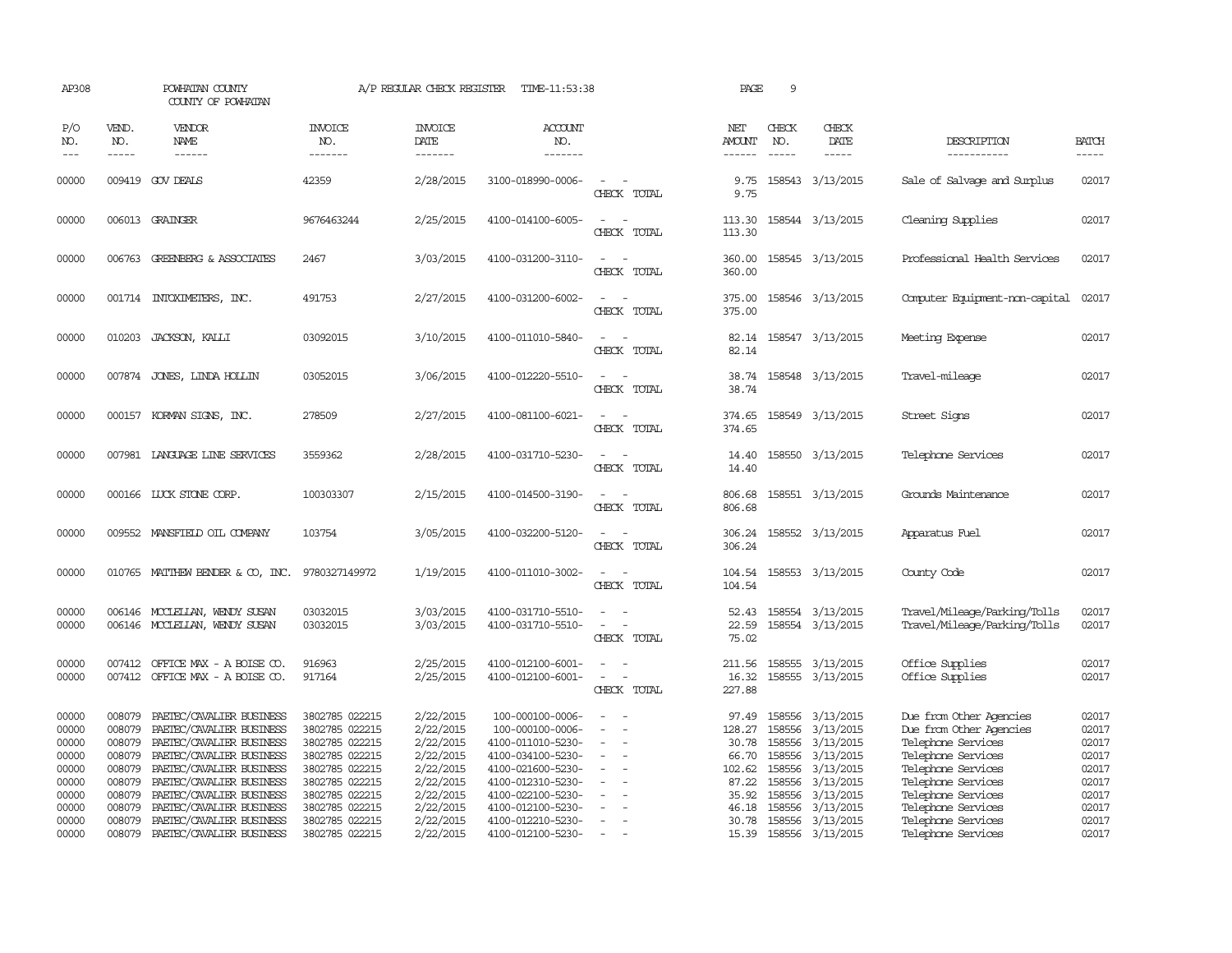| AP308                                                                         |                                                                                                                                                                                                                                                                                                                                                                                                                                                                         | POWHATAN COUNTY<br>COUNTY OF POWHATAN                                                                                                                                                                                                                    |                                                                                                                                                                | A/P REGULAR CHECK REGISTER                                                                                        | TIME-11:53:38                                                                                                                                                                           |                                                               | PAGE                                                                            | 9                                                        |                                                                                                                                        |                                                                                                                                                                                                              |                                                                               |
|-------------------------------------------------------------------------------|-------------------------------------------------------------------------------------------------------------------------------------------------------------------------------------------------------------------------------------------------------------------------------------------------------------------------------------------------------------------------------------------------------------------------------------------------------------------------|----------------------------------------------------------------------------------------------------------------------------------------------------------------------------------------------------------------------------------------------------------|----------------------------------------------------------------------------------------------------------------------------------------------------------------|-------------------------------------------------------------------------------------------------------------------|-----------------------------------------------------------------------------------------------------------------------------------------------------------------------------------------|---------------------------------------------------------------|---------------------------------------------------------------------------------|----------------------------------------------------------|----------------------------------------------------------------------------------------------------------------------------------------|--------------------------------------------------------------------------------------------------------------------------------------------------------------------------------------------------------------|-------------------------------------------------------------------------------|
| P/O<br>NO.<br>$\qquad \qquad -$                                               | VEND.<br>NO.<br>$\begin{tabular}{ccccc} \multicolumn{2}{c }{\multicolumn{2}{c }{\multicolumn{2}{c }{\multicolumn{2}{c}}{\hspace{-2.2cm}}}} \multicolumn{2}{c }{\multicolumn{2}{c }{\hspace{-2.2cm}}\hline} \multicolumn{2}{c }{\hspace{-2.2cm}}\hline \multicolumn{2}{c }{\hspace{-2.2cm}}\hline \multicolumn{2}{c }{\hspace{-2.2cm}}\hline \multicolumn{2}{c }{\hspace{-2.2cm}}\hline \multicolumn{2}{c }{\hspace{-2.2cm}}\hline \multicolumn{2}{c }{\hspace{-2.2cm}}$ | VENDOR<br>NAME                                                                                                                                                                                                                                           | <b>INVOICE</b><br>NO.<br>-------                                                                                                                               | <b>INVOICE</b><br>DATE<br>-------                                                                                 | <b>ACCOUNT</b><br>NO.<br>-------                                                                                                                                                        |                                                               | NET<br>AMOUNT                                                                   | CHECK<br>NO.<br>$\frac{1}{2}$                            | CHECK<br>DATE                                                                                                                          | DESCRIPTION<br>-----------                                                                                                                                                                                   | <b>BATCH</b><br>-----                                                         |
| 00000                                                                         |                                                                                                                                                                                                                                                                                                                                                                                                                                                                         | 009419 GOV DEALS                                                                                                                                                                                                                                         | 42359                                                                                                                                                          | 2/28/2015                                                                                                         | 3100-018990-0006-                                                                                                                                                                       | $\sim$<br>CHECK TOTAL                                         | 9.75<br>9.75                                                                    |                                                          | 158543 3/13/2015                                                                                                                       | Sale of Salvage and Surplus                                                                                                                                                                                  | 02017                                                                         |
| 00000                                                                         |                                                                                                                                                                                                                                                                                                                                                                                                                                                                         | 006013 GRAINGER                                                                                                                                                                                                                                          | 9676463244                                                                                                                                                     | 2/25/2015                                                                                                         | 4100-014100-6005-                                                                                                                                                                       | $\overline{\phantom{a}}$<br>CHECK TOTAL                       | 113.30<br>113.30                                                                |                                                          | 158544 3/13/2015                                                                                                                       | Cleaning Supplies                                                                                                                                                                                            | 02017                                                                         |
| 00000                                                                         |                                                                                                                                                                                                                                                                                                                                                                                                                                                                         | 006763 GREENBERG & ASSOCIATES                                                                                                                                                                                                                            | 2467                                                                                                                                                           | 3/03/2015                                                                                                         | 4100-031200-3110-                                                                                                                                                                       | CHECK TOTAL                                                   | 360.00<br>360.00                                                                |                                                          | 158545 3/13/2015                                                                                                                       | Professional Health Services                                                                                                                                                                                 | 02017                                                                         |
| 00000                                                                         |                                                                                                                                                                                                                                                                                                                                                                                                                                                                         | 001714 INTOXIMETERS, INC.                                                                                                                                                                                                                                | 491753                                                                                                                                                         | 2/27/2015                                                                                                         | 4100-031200-6002-                                                                                                                                                                       | $ -$<br>CHECK TOTAL                                           | 375.00<br>375.00                                                                |                                                          | 158546 3/13/2015                                                                                                                       | Computer Equipment-non-capital                                                                                                                                                                               | 02017                                                                         |
| 00000                                                                         |                                                                                                                                                                                                                                                                                                                                                                                                                                                                         | 010203 JACKSON, KALLI                                                                                                                                                                                                                                    | 03092015                                                                                                                                                       | 3/10/2015                                                                                                         | 4100-011010-5840-                                                                                                                                                                       | CHECK TOTAL                                                   | 82.14                                                                           |                                                          | 82.14 158547 3/13/2015                                                                                                                 | Meeting Expense                                                                                                                                                                                              | 02017                                                                         |
| 00000                                                                         | 007874                                                                                                                                                                                                                                                                                                                                                                                                                                                                  | JONES, LINDA HOLLIN                                                                                                                                                                                                                                      | 03052015                                                                                                                                                       | 3/06/2015                                                                                                         | 4100-012220-5510-                                                                                                                                                                       | $\sim$<br>$\sim$<br>CHECK TOTAL                               | 38.74<br>38.74                                                                  |                                                          | 158548 3/13/2015                                                                                                                       | Travel-mileage                                                                                                                                                                                               | 02017                                                                         |
| 00000                                                                         |                                                                                                                                                                                                                                                                                                                                                                                                                                                                         | 000157 KORMAN SIGNS, INC.                                                                                                                                                                                                                                | 278509                                                                                                                                                         | 2/27/2015                                                                                                         | 4100-081100-6021-                                                                                                                                                                       | CHECK TOTAL                                                   | 374.65<br>374.65                                                                |                                                          | 158549 3/13/2015                                                                                                                       | Street Signs                                                                                                                                                                                                 | 02017                                                                         |
| 00000                                                                         |                                                                                                                                                                                                                                                                                                                                                                                                                                                                         | 007981 LANGUAGE LINE SERVICES                                                                                                                                                                                                                            | 3559362                                                                                                                                                        | 2/28/2015                                                                                                         | 4100-031710-5230-                                                                                                                                                                       | $\sim$<br>CHECK TOTAL                                         | 14.40<br>14.40                                                                  |                                                          | 158550 3/13/2015                                                                                                                       | Telephone Services                                                                                                                                                                                           | 02017                                                                         |
| 00000                                                                         |                                                                                                                                                                                                                                                                                                                                                                                                                                                                         | 000166 LUCK STONE CORP.                                                                                                                                                                                                                                  | 100303307                                                                                                                                                      | 2/15/2015                                                                                                         | 4100-014500-3190-                                                                                                                                                                       | CHECK TOTAL                                                   | 806.68<br>806.68                                                                |                                                          | 158551 3/13/2015                                                                                                                       | Grounds Maintenance                                                                                                                                                                                          | 02017                                                                         |
| 00000                                                                         |                                                                                                                                                                                                                                                                                                                                                                                                                                                                         | 009552 MANSFIELD OIL COMPANY                                                                                                                                                                                                                             | 103754                                                                                                                                                         | 3/05/2015                                                                                                         | 4100-032200-5120-                                                                                                                                                                       | $\sim$<br>CHECK TOTAL                                         | 306.24<br>306.24                                                                |                                                          | 158552 3/13/2015                                                                                                                       | Apparatus Fuel                                                                                                                                                                                               | 02017                                                                         |
| 00000                                                                         |                                                                                                                                                                                                                                                                                                                                                                                                                                                                         | 010765 MATTHEW BENDER & CO, INC.                                                                                                                                                                                                                         | 9780327149972                                                                                                                                                  | 1/19/2015                                                                                                         | 4100-011010-3002-                                                                                                                                                                       | CHECK TOTAL                                                   | 104.54                                                                          |                                                          | 104.54 158553 3/13/2015                                                                                                                | County Code                                                                                                                                                                                                  | 02017                                                                         |
| 00000<br>00000                                                                | 006146                                                                                                                                                                                                                                                                                                                                                                                                                                                                  | MOCLELLAN, WENDY SUSAN<br>006146 MCCLELLAN, WENDY SUSAN                                                                                                                                                                                                  | 03032015<br>03032015                                                                                                                                           | 3/03/2015<br>3/03/2015                                                                                            | 4100-031710-5510-<br>4100-031710-5510-                                                                                                                                                  | $\overline{\phantom{a}}$<br>CHECK TOTAL                       | 52.43<br>22.59<br>75.02                                                         |                                                          | 158554 3/13/2015<br>158554 3/13/2015                                                                                                   | Travel/Mileage/Parking/Tolls<br>Travel/Mileage/Parking/Tolls                                                                                                                                                 | 02017<br>02017                                                                |
| 00000<br>00000                                                                |                                                                                                                                                                                                                                                                                                                                                                                                                                                                         | 007412 OFFICE MAX - A BOISE CO.<br>007412 OFFICE MAX - A BOISE CO.                                                                                                                                                                                       | 916963<br>917164                                                                                                                                               | 2/25/2015<br>2/25/2015                                                                                            | 4100-012100-6001-<br>4100-012100-6001-                                                                                                                                                  | $\sim$<br>$\equiv$<br>$\overline{\phantom{a}}$<br>CHECK TOTAL | 16.32<br>227.88                                                                 |                                                          | 211.56 158555 3/13/2015<br>158555 3/13/2015                                                                                            | Office Supplies<br>Office Supplies                                                                                                                                                                           | 02017<br>02017                                                                |
| 00000<br>00000<br>00000<br>00000<br>00000<br>00000<br>00000<br>00000<br>00000 | 008079<br>008079<br>008079<br>008079<br>008079<br>008079<br>008079<br>008079<br>008079                                                                                                                                                                                                                                                                                                                                                                                  | PAETEC/CAVALIER BUSINESS<br>PAETEC/CAVALIER BUSINESS<br>PAETEC/CAVALIER BUSINESS<br>PAETEC/CAVALIER BUSINESS<br>PAETEC/CAVALIER BUSINESS<br>PAETEC/CAVALIER BUSINESS<br>PAETEC/CAVALIER BUSINESS<br>PAETEC/CAVALIER BUSINESS<br>PAETEC/CAVALIER BUSINESS | 3802785 022215<br>3802785 022215<br>3802785 022215<br>3802785 022215<br>3802785 022215<br>3802785 022215<br>3802785 022215<br>3802785 022215<br>3802785 022215 | 2/22/2015<br>2/22/2015<br>2/22/2015<br>2/22/2015<br>2/22/2015<br>2/22/2015<br>2/22/2015<br>2/22/2015<br>2/22/2015 | 100-000100-0006-<br>100-000100-0006-<br>4100-011010-5230-<br>4100-034100-5230-<br>4100-021600-5230-<br>4100-012310-5230-<br>4100-022100-5230-<br>4100-012100-5230-<br>4100-012210-5230- | $\overline{\phantom{a}}$<br>$\equiv$<br>$\equiv$              | 97.49<br>128.27<br>30.78<br>66.70<br>102.62<br>87.22<br>35.92<br>46.18<br>30.78 | 158556<br>158556<br>158556<br>158556<br>158556<br>158556 | 158556 3/13/2015<br>158556 3/13/2015<br>3/13/2015<br>3/13/2015<br>3/13/2015<br>3/13/2015<br>3/13/2015<br>3/13/2015<br>158556 3/13/2015 | Due from Other Agencies<br>Due from Other Agencies<br>Telephone Services<br>Telephone Services<br>Telephone Services<br>Telephone Services<br>Telephone Services<br>Telephone Services<br>Telephone Services | 02017<br>02017<br>02017<br>02017<br>02017<br>02017<br>02017<br>02017<br>02017 |
| 00000                                                                         | 008079                                                                                                                                                                                                                                                                                                                                                                                                                                                                  | PAETEC/CAVALIER BUSINESS                                                                                                                                                                                                                                 | 3802785 022215                                                                                                                                                 | 2/22/2015                                                                                                         | 4100-012100-5230-                                                                                                                                                                       | $\sim$                                                        |                                                                                 |                                                          | 15.39 158556 3/13/2015                                                                                                                 | Telephone Services                                                                                                                                                                                           | 02017                                                                         |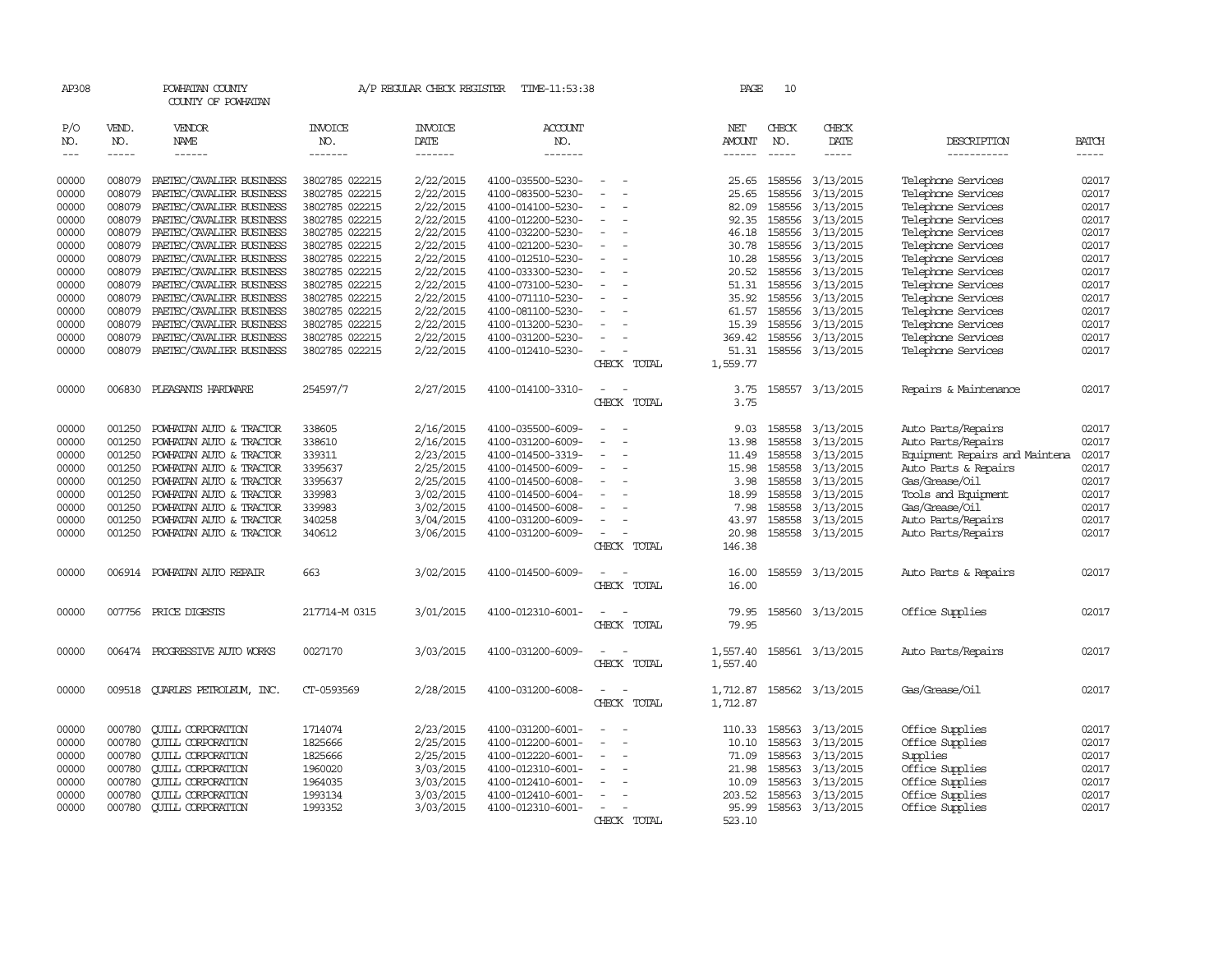| AP308         |              | POWHATAN COUNTY<br>COUNTY OF POWHATAN |                       | A/P REGULAR CHECK REGISTER | TIME-11:53:38         |                                    | PAGE          | 10           |                  |                                |              |
|---------------|--------------|---------------------------------------|-----------------------|----------------------------|-----------------------|------------------------------------|---------------|--------------|------------------|--------------------------------|--------------|
| P/O<br>NO.    | VEND.<br>NO. | <b>VENDOR</b><br>NAME                 | <b>INVOICE</b><br>NO. | <b>INVOICE</b><br>DATE     | <b>ACCOUNT</b><br>NO. |                                    | NET<br>AMOUNT | CHECK<br>NO. | CHECK<br>DATE    | DESCRIPTION                    | <b>BATCH</b> |
| $\frac{1}{2}$ | $- - - - -$  | ------                                | -------               | -------                    | -------               |                                    | $- - - - - -$ | $- - - - -$  | -----            | -----------                    | -----        |
| 00000         | 008079       | PAETEC/CAVALIER BUSINESS              | 3802785 022215        | 2/22/2015                  | 4100-035500-5230-     |                                    | 25.65         | 158556       | 3/13/2015        | Telephone Services             | 02017        |
|               | 008079       |                                       |                       |                            |                       |                                    |               | 158556       |                  |                                | 02017        |
| 00000         |              | PAETEC/CAVALIER BUSINESS              | 3802785 022215        | 2/22/2015                  | 4100-083500-5230-     |                                    | 25.65         |              | 3/13/2015        | Telephone Services             |              |
| 00000         | 008079       | PAETEC/CAVALIER BUSINESS              | 3802785 022215        | 2/22/2015                  | 4100-014100-5230-     | $\sim$                             | 82.09         | 158556       | 3/13/2015        | Telephone Services             | 02017        |
| 00000         | 008079       | PAETEC/CAVALIER BUSINESS              | 3802785 022215        | 2/22/2015                  | 4100-012200-5230-     |                                    | 92.35         | 158556       | 3/13/2015        | Telephone Services             | 02017        |
| 00000         | 008079       | PAETEC/CAVALIER BUSINESS              | 3802785 022215        | 2/22/2015                  | 4100-032200-5230-     |                                    | 46.18         | 158556       | 3/13/2015        | Telephone Services             | 02017        |
| 00000         | 008079       | PAETEC/CAVALIER BUSINESS              | 3802785 022215        | 2/22/2015                  | 4100-021200-5230-     |                                    | 30.78         | 158556       | 3/13/2015        | Telephone Services             | 02017        |
| 00000         | 008079       | PAETEC/CAVALIER BUSINESS              | 3802785 022215        | 2/22/2015                  | 4100-012510-5230-     |                                    | 10.28         | 158556       | 3/13/2015        | Telephone Services             | 02017        |
| 00000         | 008079       | PAETEC/CAVALIER BUSINESS              | 3802785 022215        | 2/22/2015                  | 4100-033300-5230-     |                                    | 20.52         | 158556       | 3/13/2015        | Telephone Services             | 02017        |
| 00000         | 008079       | PAETEC/CAVALIER BUSINESS              | 3802785 022215        | 2/22/2015                  | 4100-073100-5230-     | $\overline{a}$                     | 51.31         | 158556       | 3/13/2015        | Telephone Services             | 02017        |
| 00000         | 008079       | PAETEC/CAVALIER BUSINESS              | 3802785 022215        | 2/22/2015                  | 4100-071110-5230-     |                                    | 35.92         | 158556       | 3/13/2015        | Telephone Services             | 02017        |
| 00000         | 008079       | PAETEC/CAVALIER BUSINESS              | 3802785 022215        | 2/22/2015                  | 4100-081100-5230-     |                                    | 61.57         | 158556       | 3/13/2015        | Telephone Services             | 02017        |
| 00000         | 008079       | PAETEC/CAVALIER BUSINESS              | 3802785 022215        | 2/22/2015                  | 4100-013200-5230-     |                                    | 15.39         | 158556       | 3/13/2015        | Telephone Services             | 02017        |
| 00000         | 008079       | PAETEC/CAVALIER BUSINESS              | 3802785 022215        | 2/22/2015                  | 4100-031200-5230-     | $\sim$                             | 369.42        | 158556       | 3/13/2015        | Telephone Services             | 02017        |
| 00000         | 008079       | PAETEC/CAVALIER BUSINESS              | 3802785 022215        | 2/22/2015                  | 4100-012410-5230-     |                                    | 51.31         | 158556       | 3/13/2015        | Telephone Services             | 02017        |
|               |              |                                       |                       |                            |                       | CHECK TOTAL                        | 1,559.77      |              |                  |                                |              |
| 00000         | 006830       | PLEASANTS HARDWARE                    | 254597/7              | 2/27/2015                  | 4100-014100-3310-     |                                    | 3.75          | 158557       | 3/13/2015        | Repairs & Maintenance          | 02017        |
|               |              |                                       |                       |                            |                       | CHECK TOTAL                        | 3.75          |              |                  |                                |              |
| 00000         | 001250       | POWHATAN AUTO & TRACTOR               | 338605                | 2/16/2015                  | 4100-035500-6009-     |                                    | 9.03          | 158558       | 3/13/2015        | Auto Parts/Repairs             | 02017        |
| 00000         | 001250       | POWHATAN AUTO & TRACTOR               | 338610                | 2/16/2015                  | 4100-031200-6009-     |                                    | 13.98         | 158558       | 3/13/2015        | Auto Parts/Repairs             | 02017        |
| 00000         | 001250       | POWHATAN AUTO & TRACTOR               | 339311                | 2/23/2015                  | 4100-014500-3319-     | $\sim$<br>$\overline{\phantom{a}}$ | 11.49         | 158558       | 3/13/2015        | Equipment Repairs and Maintena | 02017        |
| 00000         | 001250       | POWHATAN AUTO & TRACTOR               | 3395637               | 2/25/2015                  | 4100-014500-6009-     |                                    | 15.98         | 158558       | 3/13/2015        | Auto Parts & Repairs           | 02017        |
| 00000         | 001250       | POWHATAN AUTO & TRACTOR               | 3395637               | 2/25/2015                  | 4100-014500-6008-     |                                    | 3.98          | 158558       | 3/13/2015        | Gas/Grease/Oil                 | 02017        |
| 00000         | 001250       | POWHATAN AUTO & TRACTOR               | 339983                | 3/02/2015                  | 4100-014500-6004-     |                                    | 18.99         | 158558       | 3/13/2015        | Tools and Equipment            | 02017        |
| 00000         | 001250       | POWHATAN AUTO & TRACTOR               | 339983                | 3/02/2015                  | 4100-014500-6008-     |                                    | 7.98          | 158558       | 3/13/2015        | Gas/Grease/Oil                 | 02017        |
| 00000         | 001250       | POWHATAN AUTO & TRACTOR               | 340258                | 3/04/2015                  | 4100-031200-6009-     |                                    | 43.97         | 158558       | 3/13/2015        | Auto Parts/Repairs             | 02017        |
| 00000         | 001250       | POWHATAN AUTO & TRACTOR               | 340612                | 3/06/2015                  | 4100-031200-6009-     | $\equiv$                           | 20.98         |              | 158558 3/13/2015 | Auto Parts/Repairs             | 02017        |
|               |              |                                       |                       |                            |                       | CHECK TOTAL                        | 146.38        |              |                  |                                |              |
| 00000         |              | 006914 POWHATAN AUTO REPAIR           | 663                   | 3/02/2015                  | 4100-014500-6009-     | $\sim$                             | 16.00         |              | 158559 3/13/2015 | Auto Parts & Repairs           | 02017        |
|               |              |                                       |                       |                            |                       | CHECK TOTAL                        | 16.00         |              |                  |                                |              |
|               |              |                                       |                       |                            |                       |                                    |               |              |                  |                                |              |
| 00000         |              | 007756 PRICE DIGESTS                  | 217714-M 0315         | 3/01/2015                  | 4100-012310-6001-     |                                    | 79.95         |              | 158560 3/13/2015 | Office Supplies                | 02017        |
|               |              |                                       |                       |                            |                       | CHECK TOTAL                        | 79.95         |              |                  |                                |              |
| 00000         |              | 006474 PROGRESSIVE AUIO WORKS         | 0027170               | 3/03/2015                  | 4100-031200-6009-     |                                    | 1,557.40      |              | 158561 3/13/2015 | Auto Parts/Repairs             | 02017        |
|               |              |                                       |                       |                            |                       | CHECK TOTAL                        | 1,557.40      |              |                  |                                |              |
| 00000         | 009518       | <b>QUARLES PETROLEUM, INC.</b>        | CT-0593569            | 2/28/2015                  | 4100-031200-6008-     |                                    | 1,712.87      |              | 158562 3/13/2015 | Gas/Grease/Oil                 | 02017        |
|               |              |                                       |                       |                            |                       | CHECK TOTAL                        | 1,712.87      |              |                  |                                |              |
|               |              |                                       |                       |                            |                       |                                    |               |              |                  |                                |              |
| 00000         | 000780       | <b>OUILL CORPORATION</b>              | 1714074               | 2/23/2015                  | 4100-031200-6001-     |                                    | 110.33        | 158563       | 3/13/2015        | Office Supplies                | 02017        |
| 00000         | 000780       | <b>QUILL CORPORATION</b>              | 1825666               | 2/25/2015                  | 4100-012200-6001-     |                                    | 10.10         | 158563       | 3/13/2015        | Office Supplies                | 02017        |
| 00000         | 000780       | <b>QUILL CORPORATION</b>              | 1825666               | 2/25/2015                  | 4100-012220-6001-     |                                    | 71.09         | 158563       | 3/13/2015        | Supplies                       | 02017        |
| 00000         | 000780       | <b>CUILL CORPORATION</b>              | 1960020               | 3/03/2015                  | 4100-012310-6001-     |                                    | 21.98         | 158563       | 3/13/2015        | Office Supplies                | 02017        |
| 00000         | 000780       | <b>QUILL CORPORATION</b>              | 1964035               | 3/03/2015                  | 4100-012410-6001-     |                                    | 10.09         | 158563       | 3/13/2015        | Office Supplies                | 02017        |
| 00000         | 000780       | <b>CUILL CORPORATION</b>              | 1993134               | 3/03/2015                  | 4100-012410-6001-     |                                    | 203.52        | 158563       | 3/13/2015        | Office Supplies                | 02017        |
| 00000         | 000780       | <b>CUILL CORPORATION</b>              | 1993352               | 3/03/2015                  | 4100-012310-6001-     |                                    | 95.99         | 158563       | 3/13/2015        | Office Supplies                | 02017        |
|               |              |                                       |                       |                            |                       | CHECK TOTAL                        | 523.10        |              |                  |                                |              |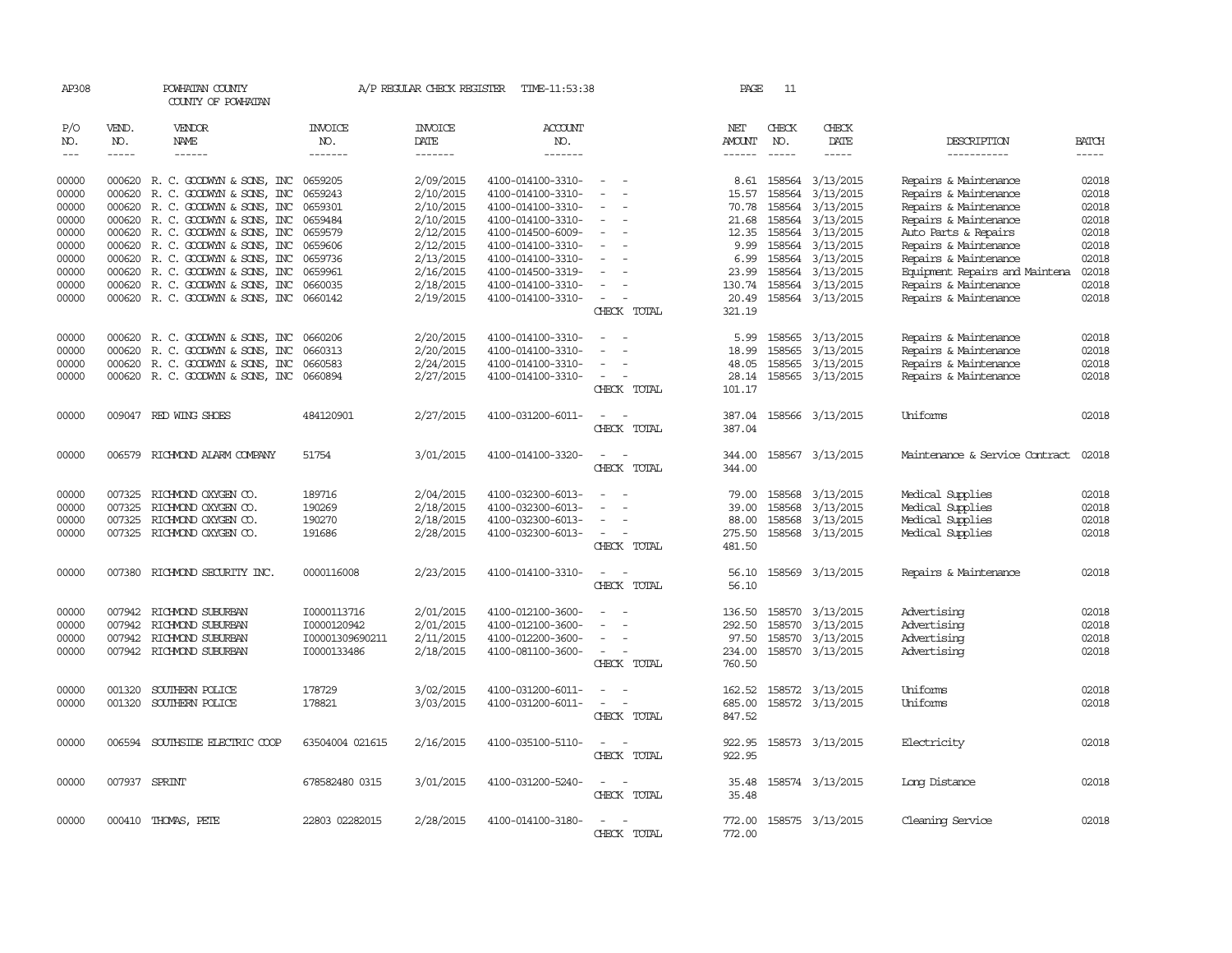| AP308                             |                                                                                                                                                                                                                                                                                                                                                                                                                                                                         | POWHATAN COUNTY<br>COUNTY OF POWHATAN    |                                  | A/P REGULAR CHECK REGISTER        | TIME-11:53:38                    |                                                                     | PAGE             | -11          |                        |                                |                             |
|-----------------------------------|-------------------------------------------------------------------------------------------------------------------------------------------------------------------------------------------------------------------------------------------------------------------------------------------------------------------------------------------------------------------------------------------------------------------------------------------------------------------------|------------------------------------------|----------------------------------|-----------------------------------|----------------------------------|---------------------------------------------------------------------|------------------|--------------|------------------------|--------------------------------|-----------------------------|
| P/O<br>NO.<br>$\qquad \qquad - -$ | VEND.<br>NO.<br>$\begin{tabular}{ccccc} \multicolumn{2}{c }{\multicolumn{2}{c }{\multicolumn{2}{c }{\multicolumn{2}{c}}{\hspace{-2.2cm}}}} \multicolumn{2}{c }{\multicolumn{2}{c }{\hspace{-2.2cm}}\hline} \multicolumn{2}{c }{\hspace{-2.2cm}}\hline \multicolumn{2}{c }{\hspace{-2.2cm}}\hline \multicolumn{2}{c }{\hspace{-2.2cm}}\hline \multicolumn{2}{c }{\hspace{-2.2cm}}\hline \multicolumn{2}{c }{\hspace{-2.2cm}}\hline \multicolumn{2}{c }{\hspace{-2.2cm}}$ | VENDOR<br>NAME<br>------                 | <b>INVOICE</b><br>NO.<br>------- | <b>INVOICE</b><br>DATE<br>------- | <b>ACCOUNT</b><br>NO.<br>------- |                                                                     | NET<br>AMOUNT    | CHECK<br>NO. | CHECK<br>DATE          | DESCRIPTION<br>-----------     | <b>BATCH</b><br>$- - - - -$ |
| 00000                             |                                                                                                                                                                                                                                                                                                                                                                                                                                                                         | 000620 R. C. GOODWYN & SONS, INC         | 0659205                          | 2/09/2015                         | 4100-014100-3310-                |                                                                     | 8.61             | 158564       | 3/13/2015              | Repairs & Maintenance          | 02018                       |
| 00000                             | 000620                                                                                                                                                                                                                                                                                                                                                                                                                                                                  | R. C. GOODWYN & SONS, INC                | 0659243                          | 2/10/2015                         | 4100-014100-3310-                |                                                                     | 15.57            | 158564       | 3/13/2015              | Repairs & Maintenance          | 02018                       |
| 00000                             |                                                                                                                                                                                                                                                                                                                                                                                                                                                                         | 000620 R.C. GOODWYN & SONS, INC          | 0659301                          | 2/10/2015                         | 4100-014100-3310-                | $\sim$                                                              | 70.78            | 158564       | 3/13/2015              | Repairs & Maintenance          | 02018                       |
| 00000                             | 000620                                                                                                                                                                                                                                                                                                                                                                                                                                                                  | R. C. GOODWYN & SONS, INC                | 0659484                          | 2/10/2015                         | 4100-014100-3310-                | $\overline{\phantom{a}}$                                            | 21.68            | 158564       | 3/13/2015              | Repairs & Maintenance          | 02018                       |
| 00000                             |                                                                                                                                                                                                                                                                                                                                                                                                                                                                         | 000620 R.C. GOODWYN & SONS, INC          | 0659579                          | 2/12/2015                         | 4100-014500-6009-                |                                                                     | 12.35            | 158564       | 3/13/2015              | Auto Parts & Repairs           | 02018                       |
| 00000                             | 000620                                                                                                                                                                                                                                                                                                                                                                                                                                                                  | R. C. GOODWYN & SONS, INC                | 0659606                          | 2/12/2015                         | 4100-014100-3310-                |                                                                     | 9.99             |              | 158564 3/13/2015       | Repairs & Maintenance          | 02018                       |
| 00000                             | 000620                                                                                                                                                                                                                                                                                                                                                                                                                                                                  | R. C. GOODWYN & SONS, INC                | 0659736                          | 2/13/2015                         | 4100-014100-3310-                |                                                                     | 6.99             | 158564       | 3/13/2015              | Repairs & Maintenance          | 02018                       |
| 00000                             | 000620                                                                                                                                                                                                                                                                                                                                                                                                                                                                  | R. C. GOODWYN & SONS, INC                | 0659961                          | 2/16/2015                         | 4100-014500-3319-                |                                                                     | 23.99            | 158564       | 3/13/2015              | Equipment Repairs and Maintena | 02018                       |
| 00000                             | 000620                                                                                                                                                                                                                                                                                                                                                                                                                                                                  | R. C. GOODWYN & SONS, INC                | 0660035                          | 2/18/2015                         | 4100-014100-3310-                |                                                                     | 130.74           | 158564       | 3/13/2015              | Repairs & Maintenance          | 02018                       |
| 00000                             |                                                                                                                                                                                                                                                                                                                                                                                                                                                                         | 000620 R. C. GOODWYN & SONS, INC 0660142 |                                  | 2/19/2015                         | 4100-014100-3310-                | $\overline{\phantom{a}}$                                            | 20.49            |              | 158564 3/13/2015       | Repairs & Maintenance          | 02018                       |
|                                   |                                                                                                                                                                                                                                                                                                                                                                                                                                                                         |                                          |                                  |                                   |                                  | CHECK TOTAL                                                         | 321.19           |              |                        |                                |                             |
| 00000                             |                                                                                                                                                                                                                                                                                                                                                                                                                                                                         | 000620 R.C. GOODWYN & SONS, INC          | 0660206                          | 2/20/2015                         | 4100-014100-3310-                |                                                                     | 5.99             | 158565       | 3/13/2015              | Repairs & Maintenance          | 02018                       |
| 00000                             | 000620                                                                                                                                                                                                                                                                                                                                                                                                                                                                  | R. C. GOODWYN & SONS, INC                | 0660313                          | 2/20/2015                         | 4100-014100-3310-                | $\sim$<br>$\overline{\phantom{a}}$                                  | 18.99            | 158565       | 3/13/2015              | Repairs & Maintenance          | 02018                       |
| 00000                             | 000620                                                                                                                                                                                                                                                                                                                                                                                                                                                                  | R. C. GOODWYN & SONS, INC                | 0660583                          | 2/24/2015                         | 4100-014100-3310-                |                                                                     | 48.05            | 158565       | 3/13/2015              | Repairs & Maintenance          | 02018                       |
| 00000                             |                                                                                                                                                                                                                                                                                                                                                                                                                                                                         | 000620 R. C. GOODWYN & SONS, INC 0660894 |                                  | 2/27/2015                         | 4100-014100-3310-                | $\overline{\phantom{a}}$                                            |                  |              | 28.14 158565 3/13/2015 | Repairs & Maintenance          | 02018                       |
|                                   |                                                                                                                                                                                                                                                                                                                                                                                                                                                                         |                                          |                                  |                                   |                                  | CHECK TOTAL                                                         | 101.17           |              |                        |                                |                             |
| 00000                             |                                                                                                                                                                                                                                                                                                                                                                                                                                                                         | 009047 RED WING SHOES                    | 484120901                        | 2/27/2015                         | 4100-031200-6011-                | $\overline{\phantom{a}}$<br>$\overline{\phantom{a}}$<br>CHECK TOTAL | 387.04<br>387.04 |              | 158566 3/13/2015       | Uniforms                       | 02018                       |
| 00000                             | 006579                                                                                                                                                                                                                                                                                                                                                                                                                                                                  | RICHMOND ALARM COMPANY                   | 51754                            | 3/01/2015                         | 4100-014100-3320-                | CHECK TOTAL                                                         | 344.00<br>344.00 |              | 158567 3/13/2015       | Maintenance & Service Contract | 02018                       |
| 00000                             | 007325                                                                                                                                                                                                                                                                                                                                                                                                                                                                  | RICHMOND OXYGEN CO.                      | 189716                           | 2/04/2015                         | 4100-032300-6013-                |                                                                     | 79.00            | 158568       | 3/13/2015              | Medical Supplies               | 02018                       |
| 00000                             | 007325                                                                                                                                                                                                                                                                                                                                                                                                                                                                  | RICHMOND OXYGEN CO.                      | 190269                           | 2/18/2015                         | 4100-032300-6013-                |                                                                     | 39.00            | 158568       | 3/13/2015              | Medical Supplies               | 02018                       |
| 00000                             | 007325                                                                                                                                                                                                                                                                                                                                                                                                                                                                  | RICHMOND OXYGEN CO.                      | 190270                           | 2/18/2015                         | 4100-032300-6013-                |                                                                     | 88.00            | 158568       | 3/13/2015              | Medical Supplies               | 02018                       |
| 00000                             |                                                                                                                                                                                                                                                                                                                                                                                                                                                                         | 007325 RICHMOND OXYGEN CO.               | 191686                           | 2/28/2015                         | 4100-032300-6013-                |                                                                     | 275.50           |              | 158568 3/13/2015       | Medical Supplies               | 02018                       |
|                                   |                                                                                                                                                                                                                                                                                                                                                                                                                                                                         |                                          |                                  |                                   |                                  | CHECK TOTAL                                                         | 481.50           |              |                        |                                |                             |
| 00000                             | 007380                                                                                                                                                                                                                                                                                                                                                                                                                                                                  | RICHMOND SECURITY INC.                   | 0000116008                       | 2/23/2015                         | 4100-014100-3310-                | $\overline{\phantom{a}}$<br>CHECK TOTAL                             | 56.10<br>56.10   |              | 158569 3/13/2015       | Repairs & Maintenance          | 02018                       |
| 00000                             |                                                                                                                                                                                                                                                                                                                                                                                                                                                                         | 007942 RICHMOND SUBURBAN                 | I0000113716                      | 2/01/2015                         | 4100-012100-3600-                |                                                                     | 136.50           | 158570       | 3/13/2015              | Advertising                    | 02018                       |
| 00000                             | 007942                                                                                                                                                                                                                                                                                                                                                                                                                                                                  | RICHMOND SUBURBAN                        | I0000120942                      | 2/01/2015                         | 4100-012100-3600-                |                                                                     | 292.50           | 158570       | 3/13/2015              | Advertising                    | 02018                       |
| 00000                             | 007942                                                                                                                                                                                                                                                                                                                                                                                                                                                                  | RICHMOND SUBURBAN                        | I00001309690211                  | 2/11/2015                         | 4100-012200-3600-                | $\sim$                                                              | 97.50            | 158570       | 3/13/2015              | Advertising                    | 02018                       |
| 00000                             |                                                                                                                                                                                                                                                                                                                                                                                                                                                                         | 007942 RICHMOND SUBURBAN                 | I0000133486                      | 2/18/2015                         | 4100-081100-3600-                | $\sim$                                                              | 234.00           | 158570       | 3/13/2015              | Advertising                    | 02018                       |
|                                   |                                                                                                                                                                                                                                                                                                                                                                                                                                                                         |                                          |                                  |                                   |                                  | CHECK TOTAL                                                         | 760.50           |              |                        |                                |                             |
| 00000                             | 001320                                                                                                                                                                                                                                                                                                                                                                                                                                                                  | SOUTHERN POLICE                          | 178729                           | 3/02/2015                         | 4100-031200-6011-                | $\sim$<br>$\overline{\phantom{a}}$                                  | 162.52           |              | 158572 3/13/2015       | Uniforms                       | 02018                       |
| 00000                             | 001320                                                                                                                                                                                                                                                                                                                                                                                                                                                                  | SOUTHERN POLICE                          | 178821                           | 3/03/2015                         | 4100-031200-6011-                |                                                                     | 685.00           |              | 158572 3/13/2015       | Uniforms                       | 02018                       |
|                                   |                                                                                                                                                                                                                                                                                                                                                                                                                                                                         |                                          |                                  |                                   |                                  | CHECK TOTAL                                                         | 847.52           |              |                        |                                |                             |
| 00000                             |                                                                                                                                                                                                                                                                                                                                                                                                                                                                         | 006594 SOUTHSIDE ELECTRIC COOP           | 63504004 021615                  | 2/16/2015                         | 4100-035100-5110-                | $\overline{\phantom{a}}$<br>$\sim$                                  | 922.95           |              | 158573 3/13/2015       | Electricity                    | 02018                       |
|                                   |                                                                                                                                                                                                                                                                                                                                                                                                                                                                         |                                          |                                  |                                   |                                  | CHECK TOTAL                                                         | 922.95           |              |                        |                                |                             |
| 00000                             | 007937 SPRINT                                                                                                                                                                                                                                                                                                                                                                                                                                                           |                                          | 678582480 0315                   | 3/01/2015                         | 4100-031200-5240-                |                                                                     | 35.48            |              | 158574 3/13/2015       | Long Distance                  | 02018                       |
|                                   |                                                                                                                                                                                                                                                                                                                                                                                                                                                                         |                                          |                                  |                                   |                                  | CHECK TOTAL                                                         | 35.48            |              |                        |                                |                             |
| 00000                             |                                                                                                                                                                                                                                                                                                                                                                                                                                                                         | 000410 THOMAS, PETE                      | 22803 02282015                   | 2/28/2015                         | 4100-014100-3180-                | $\overline{\phantom{a}}$                                            | 772.00           |              | 158575 3/13/2015       | Cleaning Service               | 02018                       |
|                                   |                                                                                                                                                                                                                                                                                                                                                                                                                                                                         |                                          |                                  |                                   |                                  | CHECK TOTAL                                                         | 772.00           |              |                        |                                |                             |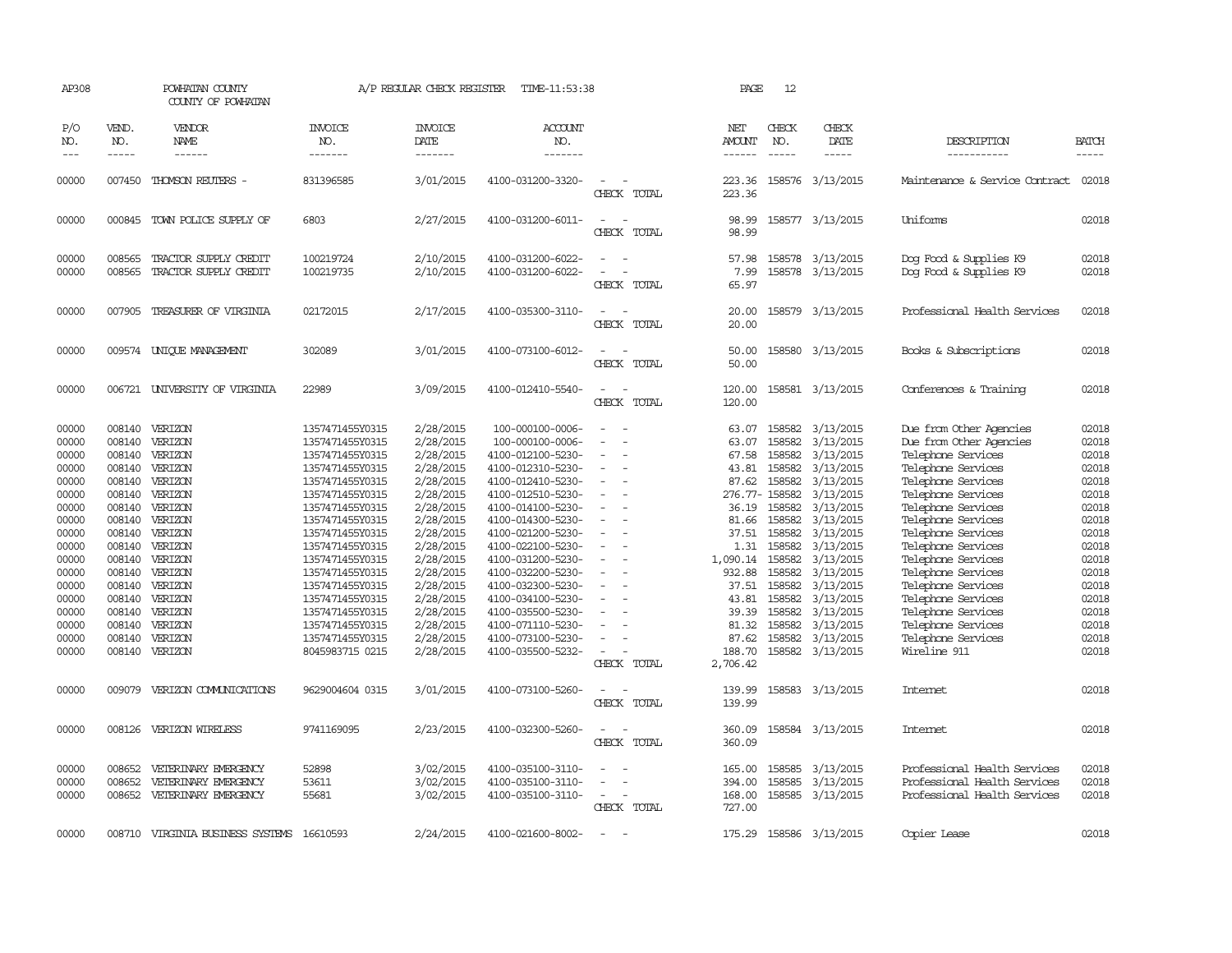| AP308                                                                                                                                                          |                                                                                                                                                                                  | POWHATAN COUNTY<br>COUNTY OF POWHATAN                                                                                                                                                              |                                                                                                                                                                                                                                                                                                                                                    | A/P REGULAR CHECK REGISTER                                                                                                                                                                                                             | TIME-11:53:38                                                                                                                                                                                                                                                                                                                                                                        |                                                               | PAGE                                                                                                                                                                                   | 12                                                                                                                                                 |                                                                                                                                                                                                                                                      |                                                                                                                                                                                                                                                                                                                                                                                                              |                                                                                                                                                                |
|----------------------------------------------------------------------------------------------------------------------------------------------------------------|----------------------------------------------------------------------------------------------------------------------------------------------------------------------------------|----------------------------------------------------------------------------------------------------------------------------------------------------------------------------------------------------|----------------------------------------------------------------------------------------------------------------------------------------------------------------------------------------------------------------------------------------------------------------------------------------------------------------------------------------------------|----------------------------------------------------------------------------------------------------------------------------------------------------------------------------------------------------------------------------------------|--------------------------------------------------------------------------------------------------------------------------------------------------------------------------------------------------------------------------------------------------------------------------------------------------------------------------------------------------------------------------------------|---------------------------------------------------------------|----------------------------------------------------------------------------------------------------------------------------------------------------------------------------------------|----------------------------------------------------------------------------------------------------------------------------------------------------|------------------------------------------------------------------------------------------------------------------------------------------------------------------------------------------------------------------------------------------------------|--------------------------------------------------------------------------------------------------------------------------------------------------------------------------------------------------------------------------------------------------------------------------------------------------------------------------------------------------------------------------------------------------------------|----------------------------------------------------------------------------------------------------------------------------------------------------------------|
| P/O<br>NO.<br>$\qquad \qquad - -$                                                                                                                              | VEND.<br>NO.<br>-----                                                                                                                                                            | VENDOR<br>NAME<br>------                                                                                                                                                                           | <b>INVOICE</b><br>NO.<br>-------                                                                                                                                                                                                                                                                                                                   | <b>INVOICE</b><br>DATE<br>-------                                                                                                                                                                                                      | <b>ACCOUNT</b><br>NO.<br>-------                                                                                                                                                                                                                                                                                                                                                     |                                                               | NET<br>AMOUNT<br>------                                                                                                                                                                | CHECK<br>NO.<br>$\frac{1}{2}$                                                                                                                      | CHECK<br>DATE<br>-----                                                                                                                                                                                                                               | DESCRIPTION<br>-----------                                                                                                                                                                                                                                                                                                                                                                                   | <b>BATCH</b><br>-----                                                                                                                                          |
| 00000                                                                                                                                                          | 007450                                                                                                                                                                           | THOMSON REUTERS -                                                                                                                                                                                  | 831396585                                                                                                                                                                                                                                                                                                                                          | 3/01/2015                                                                                                                                                                                                                              | 4100-031200-3320-                                                                                                                                                                                                                                                                                                                                                                    | CHECK TOTAL                                                   | 223.36<br>223.36                                                                                                                                                                       |                                                                                                                                                    | 158576 3/13/2015                                                                                                                                                                                                                                     | Maintenance & Service Contract                                                                                                                                                                                                                                                                                                                                                                               | 02018                                                                                                                                                          |
| 00000                                                                                                                                                          |                                                                                                                                                                                  | 000845 TOWN POLICE SUPPLY OF                                                                                                                                                                       | 6803                                                                                                                                                                                                                                                                                                                                               | 2/27/2015                                                                                                                                                                                                                              | 4100-031200-6011-                                                                                                                                                                                                                                                                                                                                                                    | $\overline{\phantom{a}}$<br>CHECK TOTAL                       | 98.99<br>98.99                                                                                                                                                                         |                                                                                                                                                    | 158577 3/13/2015                                                                                                                                                                                                                                     | Uniforms                                                                                                                                                                                                                                                                                                                                                                                                     | 02018                                                                                                                                                          |
| 00000<br>00000                                                                                                                                                 | 008565<br>008565                                                                                                                                                                 | TRACTOR SUPPLY CREDIT<br>TRACTOR SUPPLY CREDIT                                                                                                                                                     | 100219724<br>100219735                                                                                                                                                                                                                                                                                                                             | 2/10/2015<br>2/10/2015                                                                                                                                                                                                                 | 4100-031200-6022-<br>4100-031200-6022-                                                                                                                                                                                                                                                                                                                                               | CHECK TOTAL                                                   | 57.98<br>7.99<br>65.97                                                                                                                                                                 |                                                                                                                                                    | 158578 3/13/2015<br>158578 3/13/2015                                                                                                                                                                                                                 | Dog Food & Supplies K9<br>Dog Food & Supplies K9                                                                                                                                                                                                                                                                                                                                                             | 02018<br>02018                                                                                                                                                 |
| 00000                                                                                                                                                          | 007905                                                                                                                                                                           | TREASURER OF VIRGINIA                                                                                                                                                                              | 02172015                                                                                                                                                                                                                                                                                                                                           | 2/17/2015                                                                                                                                                                                                                              | 4100-035300-3110-                                                                                                                                                                                                                                                                                                                                                                    | $\overline{\phantom{a}}$<br>CHECK TOTAL                       | 20.00<br>20.00                                                                                                                                                                         |                                                                                                                                                    | 158579 3/13/2015                                                                                                                                                                                                                                     | Professional Health Services                                                                                                                                                                                                                                                                                                                                                                                 | 02018                                                                                                                                                          |
| 00000                                                                                                                                                          |                                                                                                                                                                                  | 009574 UNIQUE MANAGEMENT                                                                                                                                                                           | 302089                                                                                                                                                                                                                                                                                                                                             | 3/01/2015                                                                                                                                                                                                                              | 4100-073100-6012-                                                                                                                                                                                                                                                                                                                                                                    | CHECK TOTAL                                                   | 50.00<br>50.00                                                                                                                                                                         |                                                                                                                                                    | 158580 3/13/2015                                                                                                                                                                                                                                     | Books & Subscriptions                                                                                                                                                                                                                                                                                                                                                                                        | 02018                                                                                                                                                          |
| 00000                                                                                                                                                          |                                                                                                                                                                                  | 006721 UNIVERSITY OF VIRGINIA                                                                                                                                                                      | 22989                                                                                                                                                                                                                                                                                                                                              | 3/09/2015                                                                                                                                                                                                                              | 4100-012410-5540-                                                                                                                                                                                                                                                                                                                                                                    | CHECK TOTAL                                                   | 120.00<br>120.00                                                                                                                                                                       |                                                                                                                                                    | 158581 3/13/2015                                                                                                                                                                                                                                     | Conferences & Training                                                                                                                                                                                                                                                                                                                                                                                       | 02018                                                                                                                                                          |
| 00000<br>00000<br>00000<br>00000<br>00000<br>00000<br>00000<br>00000<br>00000<br>00000<br>00000<br>00000<br>00000<br>00000<br>00000<br>00000<br>00000<br>00000 | 008140<br>008140<br>008140<br>008140<br>008140<br>008140<br>008140<br>008140<br>008140<br>008140<br>008140<br>008140<br>008140<br>008140<br>008140<br>008140<br>008140<br>008140 | VERIZON<br>VERIZON<br>VERIZON<br>VERIZON<br>VERIZON<br>VERIZON<br>VERIZON<br>VERIZON<br>VERIZON<br>VERIZON<br>VERIZON<br>VERIZON<br>VERIZON<br>VERIZON<br>VERIZON<br>VERIZON<br>VERIZON<br>VERIZON | 1357471455Y0315<br>1357471455Y0315<br>1357471455Y0315<br>1357471455Y0315<br>1357471455Y0315<br>1357471455Y0315<br>1357471455Y0315<br>1357471455Y0315<br>1357471455Y0315<br>1357471455Y0315<br>1357471455Y0315<br>1357471455Y0315<br>1357471455Y0315<br>1357471455Y0315<br>1357471455Y0315<br>1357471455Y0315<br>1357471455Y0315<br>8045983715 0215 | 2/28/2015<br>2/28/2015<br>2/28/2015<br>2/28/2015<br>2/28/2015<br>2/28/2015<br>2/28/2015<br>2/28/2015<br>2/28/2015<br>2/28/2015<br>2/28/2015<br>2/28/2015<br>2/28/2015<br>2/28/2015<br>2/28/2015<br>2/28/2015<br>2/28/2015<br>2/28/2015 | 100-000100-0006-<br>100-000100-0006-<br>4100-012100-5230-<br>4100-012310-5230-<br>4100-012410-5230-<br>4100-012510-5230-<br>4100-014100-5230-<br>4100-014300-5230-<br>4100-021200-5230-<br>4100-022100-5230-<br>4100-031200-5230-<br>4100-032200-5230-<br>4100-032300-5230-<br>4100-034100-5230-<br>4100-035500-5230-<br>4100-071110-5230-<br>4100-073100-5230-<br>4100-035500-5232- | $\equiv$<br>$\overline{\phantom{a}}$<br>$\sim$<br>CHECK TOTAL | 63.07<br>63.07<br>67.58<br>43.81<br>87.62<br>276.77-158582<br>36.19<br>81.66<br>37.51<br>1.31<br>1,090.14<br>932.88<br>37.51<br>43.81<br>39.39<br>81.32<br>87.62<br>188.70<br>2,706.42 | 158582<br>158582<br>158582<br>158582<br>158582<br>158582<br>158582<br>158582<br>158582<br>158582<br>158582<br>158582<br>158582<br>158582<br>158582 | 158582 3/13/2015<br>3/13/2015<br>3/13/2015<br>3/13/2015<br>3/13/2015<br>3/13/2015<br>3/13/2015<br>3/13/2015<br>3/13/2015<br>3/13/2015<br>3/13/2015<br>3/13/2015<br>3/13/2015<br>3/13/2015<br>3/13/2015<br>3/13/2015<br>3/13/2015<br>158582 3/13/2015 | Due from Other Agencies<br>Due from Other Agencies<br>Telephone Services<br>Telephone Services<br>Telephone Services<br>Telephone Services<br>Telephone Services<br>Telephone Services<br>Telephone Services<br>Telephone Services<br>Telephone Services<br>Telephone Services<br>Telephone Services<br>Telephone Services<br>Telephone Services<br>Telephone Services<br>Telephone Services<br>Wireline 911 | 02018<br>02018<br>02018<br>02018<br>02018<br>02018<br>02018<br>02018<br>02018<br>02018<br>02018<br>02018<br>02018<br>02018<br>02018<br>02018<br>02018<br>02018 |
| 00000                                                                                                                                                          | 009079                                                                                                                                                                           | VERIZON COMUNICATIONS                                                                                                                                                                              | 9629004604 0315                                                                                                                                                                                                                                                                                                                                    | 3/01/2015                                                                                                                                                                                                                              | 4100-073100-5260-                                                                                                                                                                                                                                                                                                                                                                    | CHECK TOTAL                                                   | 139.99<br>139.99                                                                                                                                                                       |                                                                                                                                                    | 158583 3/13/2015                                                                                                                                                                                                                                     | Internet                                                                                                                                                                                                                                                                                                                                                                                                     | 02018                                                                                                                                                          |
| 00000                                                                                                                                                          | 008126                                                                                                                                                                           | VERIZON WIRELESS                                                                                                                                                                                   | 9741169095                                                                                                                                                                                                                                                                                                                                         | 2/23/2015                                                                                                                                                                                                                              | 4100-032300-5260-                                                                                                                                                                                                                                                                                                                                                                    | CHECK TOTAL                                                   | 360.09<br>360.09                                                                                                                                                                       |                                                                                                                                                    | 158584 3/13/2015                                                                                                                                                                                                                                     | <b>Intemet</b>                                                                                                                                                                                                                                                                                                                                                                                               | 02018                                                                                                                                                          |
| 00000<br>00000<br>00000                                                                                                                                        | 008652<br>008652<br>008652                                                                                                                                                       | VETERINARY EMERGENCY<br>VETERINARY EMERGENCY<br>VETERINARY EMERGENCY                                                                                                                               | 52898<br>53611<br>55681                                                                                                                                                                                                                                                                                                                            | 3/02/2015<br>3/02/2015<br>3/02/2015                                                                                                                                                                                                    | 4100-035100-3110-<br>4100-035100-3110-<br>4100-035100-3110-                                                                                                                                                                                                                                                                                                                          | $\overline{\phantom{a}}$<br>CHECK TOTAL                       | 165.00<br>394.00<br>168.00<br>727.00                                                                                                                                                   | 158585<br>158585                                                                                                                                   | 3/13/2015<br>3/13/2015<br>158585 3/13/2015                                                                                                                                                                                                           | Professional Health Services<br>Professional Health Services<br>Professional Health Services                                                                                                                                                                                                                                                                                                                 | 02018<br>02018<br>02018                                                                                                                                        |
| 00000                                                                                                                                                          | 008710                                                                                                                                                                           | VIRGINIA BUSINESS SYSTEMS                                                                                                                                                                          | 16610593                                                                                                                                                                                                                                                                                                                                           | 2/24/2015                                                                                                                                                                                                                              | 4100-021600-8002-                                                                                                                                                                                                                                                                                                                                                                    |                                                               | 175.29                                                                                                                                                                                 |                                                                                                                                                    | 158586 3/13/2015                                                                                                                                                                                                                                     | Copier Lease                                                                                                                                                                                                                                                                                                                                                                                                 | 02018                                                                                                                                                          |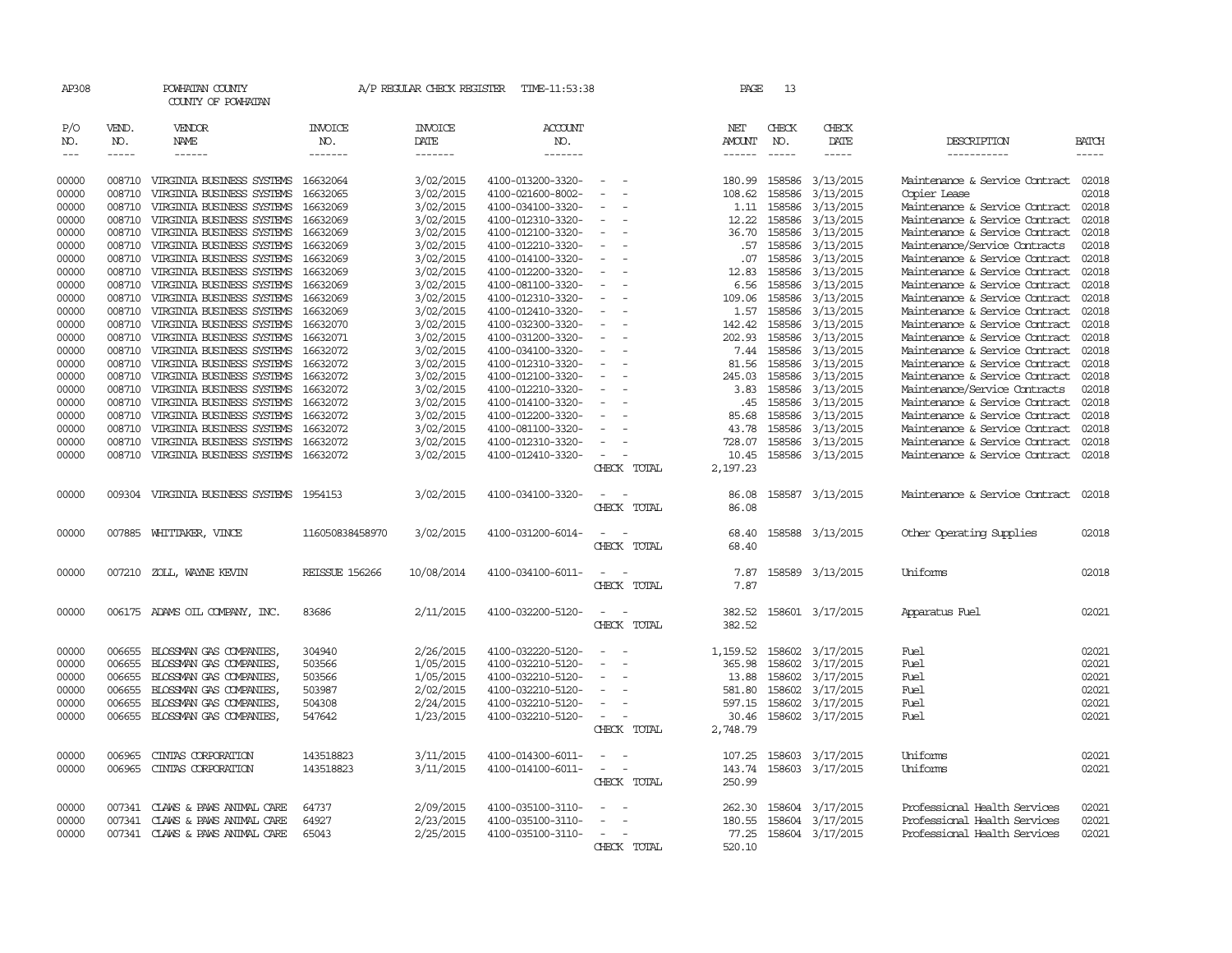| AP308         |              | POWHATAN COUNTY<br>COUNTY OF POWHATAN    |                       | A/P REGULAR CHECK REGISTER | TIME-11:53:38         |                                                      | PAGE          | 13            |                  |                                      |              |
|---------------|--------------|------------------------------------------|-----------------------|----------------------------|-----------------------|------------------------------------------------------|---------------|---------------|------------------|--------------------------------------|--------------|
| P/O<br>NO.    | VEND.<br>NO. | VENDOR<br>NAME                           | <b>INVOICE</b><br>NO. | <b>INVOICE</b><br>DATE     | <b>ACCOUNT</b><br>NO. |                                                      | NET<br>AMOUNT | CHECK<br>NO.  | CHECK<br>DATE    | DESCRIPTION                          | <b>BATCH</b> |
| $\frac{1}{2}$ | $- - - - -$  | $- - - - - -$                            | -------               | -------                    | -------               |                                                      | $- - - - - -$ | $\frac{1}{2}$ | -----            | -----------                          | $- - - - -$  |
| 00000         | 008710       | VIRGINIA BUSINESS SYSTEMS 16632064       |                       | 3/02/2015                  | 4100-013200-3320-     |                                                      | 180.99        | 158586        | 3/13/2015        | Maintenance & Service Contract 02018 |              |
| 00000         | 008710       | VIRGINIA BUSINESS SYSTEMS                | 16632065              | 3/02/2015                  | 4100-021600-8002-     |                                                      | 108.62        | 158586        | 3/13/2015        | Copier Lease                         | 02018        |
| 00000         | 008710       | VIRGINIA BUSINESS SYSTEMS                | 16632069              | 3/02/2015                  | 4100-034100-3320-     |                                                      | 1.11          | 158586        | 3/13/2015        | Maintenance & Service Contract       | 02018        |
| 00000         | 008710       | VIRGINIA BUSINESS SYSTEMS                | 16632069              | 3/02/2015                  | 4100-012310-3320-     | $\equiv$                                             | 12.22         | 158586        | 3/13/2015        | Maintenance & Service Contract       | 02018        |
| 00000         | 008710       | VIRGINIA BUSINESS SYSTEMS                | 16632069              | 3/02/2015                  | 4100-012100-3320-     |                                                      | 36.70         | 158586        | 3/13/2015        | Maintenance & Service Contract       | 02018        |
| 00000         | 008710       | VIRGINIA BUSINESS SYSTEMS                | 16632069              | 3/02/2015                  | 4100-012210-3320-     | $\overline{\phantom{a}}$                             | .57           | 158586        | 3/13/2015        | Maintenance/Service Contracts        | 02018        |
| 00000         | 008710       | VIRGINIA BUSINESS SYSTEMS                | 16632069              | 3/02/2015                  | 4100-014100-3320-     |                                                      | .07           | 158586        | 3/13/2015        | Maintenance & Service Contract       | 02018        |
| 00000         | 008710       | VIRGINIA BUSINESS SYSTEMS                | 16632069              | 3/02/2015                  | 4100-012200-3320-     | $\overline{\phantom{a}}$                             | 12.83         | 158586        | 3/13/2015        | Maintenance & Service Contract       | 02018        |
| 00000         | 008710       | VIRGINIA BUSINESS SYSTEMS                | 16632069              | 3/02/2015                  | 4100-081100-3320-     |                                                      | 6.56          | 158586        | 3/13/2015        | Maintenance & Service Contract       | 02018        |
| 00000         | 008710       | VIRGINIA BUSINESS SYSTEMS                | 16632069              | 3/02/2015                  | 4100-012310-3320-     |                                                      | 109.06        | 158586        | 3/13/2015        | Maintenance & Service Contract       | 02018        |
| 00000         | 008710       | VIRGINIA BUSINESS SYSTEMS                | 16632069              | 3/02/2015                  | 4100-012410-3320-     |                                                      | 1.57          | 158586        | 3/13/2015        | Maintenance & Service Contract       | 02018        |
| 00000         | 008710       | VIRGINIA BUSINESS SYSTEMS                | 16632070              | 3/02/2015                  | 4100-032300-3320-     | $\overline{\phantom{a}}$                             | 142.42        | 158586        | 3/13/2015        | Maintenance & Service Contract       | 02018        |
| 00000         | 008710       | VIRGINIA BUSINESS SYSTEMS                | 16632071              | 3/02/2015                  | 4100-031200-3320-     |                                                      | 202.93        | 158586        | 3/13/2015        | Maintenance & Service Contract       | 02018        |
| 00000         | 008710       | VIRGINIA BUSINESS SYSTEMS                | 16632072              | 3/02/2015                  | 4100-034100-3320-     |                                                      | 7.44          | 158586        | 3/13/2015        | Maintenance & Service Contract       | 02018        |
| 00000         | 008710       | VIRGINIA BUSINESS SYSTEMS                | 16632072              | 3/02/2015                  | 4100-012310-3320-     |                                                      | 81.56         | 158586        | 3/13/2015        | Maintenance & Service Contract       | 02018        |
| 00000         | 008710       | VIRGINIA BUSINESS SYSTEMS                | 16632072              | 3/02/2015                  | 4100-012100-3320-     |                                                      | 245.03        | 158586        | 3/13/2015        | Maintenance & Service Contract       | 02018        |
| 00000         | 008710       | VIRGINIA BUSINESS SYSTEMS                | 16632072              | 3/02/2015                  | 4100-012210-3320-     | $\sim$                                               | 3.83          | 158586        | 3/13/2015        | Maintenance/Service Contracts        | 02018        |
| 00000         | 008710       | VIRGINIA BUSINESS SYSTEMS                | 16632072              | 3/02/2015                  | 4100-014100-3320-     |                                                      | .45           | 158586        | 3/13/2015        | Maintenance & Service Contract       | 02018        |
| 00000         | 008710       | VIRGINIA BUSINESS SYSTEMS                | 16632072              | 3/02/2015                  | 4100-012200-3320-     | $\sim$                                               | 85.68         | 158586        | 3/13/2015        | Maintenance & Service Contract       | 02018        |
| 00000         | 008710       | VIRGINIA BUSINESS SYSTEMS                | 16632072              | 3/02/2015                  | 4100-081100-3320-     |                                                      | 43.78         | 158586        | 3/13/2015        | Maintenance & Service Contract       | 02018        |
| 00000         | 008710       | VIRGINIA BUSINESS SYSTEMS                | 16632072              | 3/02/2015                  | 4100-012310-3320-     |                                                      | 728.07        | 158586        | 3/13/2015        | Maintenance & Service Contract       | 02018        |
| 00000         | 008710       | VIRGINIA BUSINESS SYSTEMS 16632072       |                       | 3/02/2015                  | 4100-012410-3320-     |                                                      | 10.45         |               | 158586 3/13/2015 | Maintenance & Service Contract       | 02018        |
|               |              |                                          |                       |                            |                       | CHECK TOTAL                                          | 2,197.23      |               |                  |                                      |              |
| 00000         |              | 009304 VIRGINIA BUSINESS SYSTEMS 1954153 |                       | 3/02/2015                  | 4100-034100-3320-     |                                                      | 86.08         |               | 158587 3/13/2015 | Maintenance & Service Contract       | 02018        |
|               |              |                                          |                       |                            |                       | CHECK TOTAL                                          | 86.08         |               |                  |                                      |              |
| 00000         |              | 007885 WHITTAKER, VINCE                  | 116050838458970       | 3/02/2015                  | 4100-031200-6014-     |                                                      | 68.40         |               | 158588 3/13/2015 | Other Operating Supplies             | 02018        |
|               |              |                                          |                       |                            |                       | CHECK TOTAL                                          | 68.40         |               |                  |                                      |              |
|               |              |                                          |                       |                            |                       |                                                      |               |               |                  |                                      |              |
| 00000         | 007210       | ZOLL, WAYNE KEVIN                        | REISSUE 156266        | 10/08/2014                 | 4100-034100-6011-     |                                                      | 7.87          |               | 158589 3/13/2015 | Uniforms                             | 02018        |
|               |              |                                          |                       |                            |                       | CHECK TOTAL                                          | 7.87          |               |                  |                                      |              |
|               |              |                                          |                       |                            |                       |                                                      |               |               |                  |                                      |              |
| 00000         |              | 006175 ADAMS OIL COMPANY, INC.           | 83686                 | 2/11/2015                  | 4100-032200-5120-     | $\sim$                                               | 382.52        |               | 158601 3/17/2015 | Apparatus Fuel                       | 02021        |
|               |              |                                          |                       |                            |                       | CHECK TOTAL                                          | 382.52        |               |                  |                                      |              |
|               |              |                                          |                       |                            |                       |                                                      |               |               |                  |                                      |              |
| 00000         | 006655       | BLOSSMAN GAS COMPANIES                   | 304940                | 2/26/2015                  | 4100-032220-5120-     |                                                      | 1,159.52      |               | 158602 3/17/2015 | Fuel                                 | 02021        |
| 00000         | 006655       | BLOSSMAN GAS COMPANIES,                  | 503566                | 1/05/2015                  | 4100-032210-5120-     | $\equiv$                                             | 365.98        | 158602        | 3/17/2015        | Fuel                                 | 02021        |
| 00000         | 006655       | BLOSSMAN GAS COMPANIES,                  | 503566                | 1/05/2015                  | 4100-032210-5120-     | $\overline{\phantom{a}}$                             | 13.88         | 158602        | 3/17/2015        | Fuel                                 | 02021        |
| 00000         | 006655       | BLOSSMAN GAS COMPANIES,                  | 503987                | 2/02/2015                  | 4100-032210-5120-     |                                                      | 581.80        | 158602        | 3/17/2015        | Fuel                                 | 02021        |
| 00000         | 006655       | BLOSSMAN GAS COMPANIES                   | 504308                | 2/24/2015                  | 4100-032210-5120-     | $\equiv$                                             | 597.15        | 158602        | 3/17/2015        | Fuel                                 | 02021        |
| 00000         | 006655       | BLOSSMAN GAS COMPANIES,                  | 547642                | 1/23/2015                  | 4100-032210-5120-     |                                                      | 30.46         | 158602        | 3/17/2015        | Fuel                                 | 02021        |
|               |              |                                          |                       |                            |                       | CHECK TOTAL                                          | 2,748.79      |               |                  |                                      |              |
| 00000         | 006965       | CINIAS CORPORATION                       | 143518823             | 3/11/2015                  | 4100-014300-6011-     | $\overline{\phantom{a}}$<br>$\sim$                   | 107.25        |               | 158603 3/17/2015 | Uniforms                             | 02021        |
| 00000         | 006965       | CINIAS CORPORATION                       | 143518823             | 3/11/2015                  | 4100-014100-6011-     | $\overline{\phantom{a}}$<br>$\overline{\phantom{a}}$ | 143.74        |               | 158603 3/17/2015 | Uniforms                             | 02021        |
|               |              |                                          |                       |                            |                       | CHECK TOTAL                                          | 250.99        |               |                  |                                      |              |
| 00000         | 007341       | CLAWS & PAWS ANIMAL CARE                 | 64737                 | 2/09/2015                  | 4100-035100-3110-     |                                                      | 262.30        |               | 158604 3/17/2015 | Professional Health Services         | 02021        |
| 00000         | 007341       | CLAWS & PAWS ANIMAL CARE                 | 64927                 | 2/23/2015                  | 4100-035100-3110-     |                                                      | 180.55        |               | 158604 3/17/2015 | Professional Health Services         | 02021        |
| 00000         |              | 007341 CLAWS & PAWS ANIMAL CARE          | 65043                 | 2/25/2015                  | 4100-035100-3110-     |                                                      | 77.25         |               | 158604 3/17/2015 | Professional Health Services         | 02021        |
|               |              |                                          |                       |                            |                       | CHECK TOTAL                                          | 520.10        |               |                  |                                      |              |
|               |              |                                          |                       |                            |                       |                                                      |               |               |                  |                                      |              |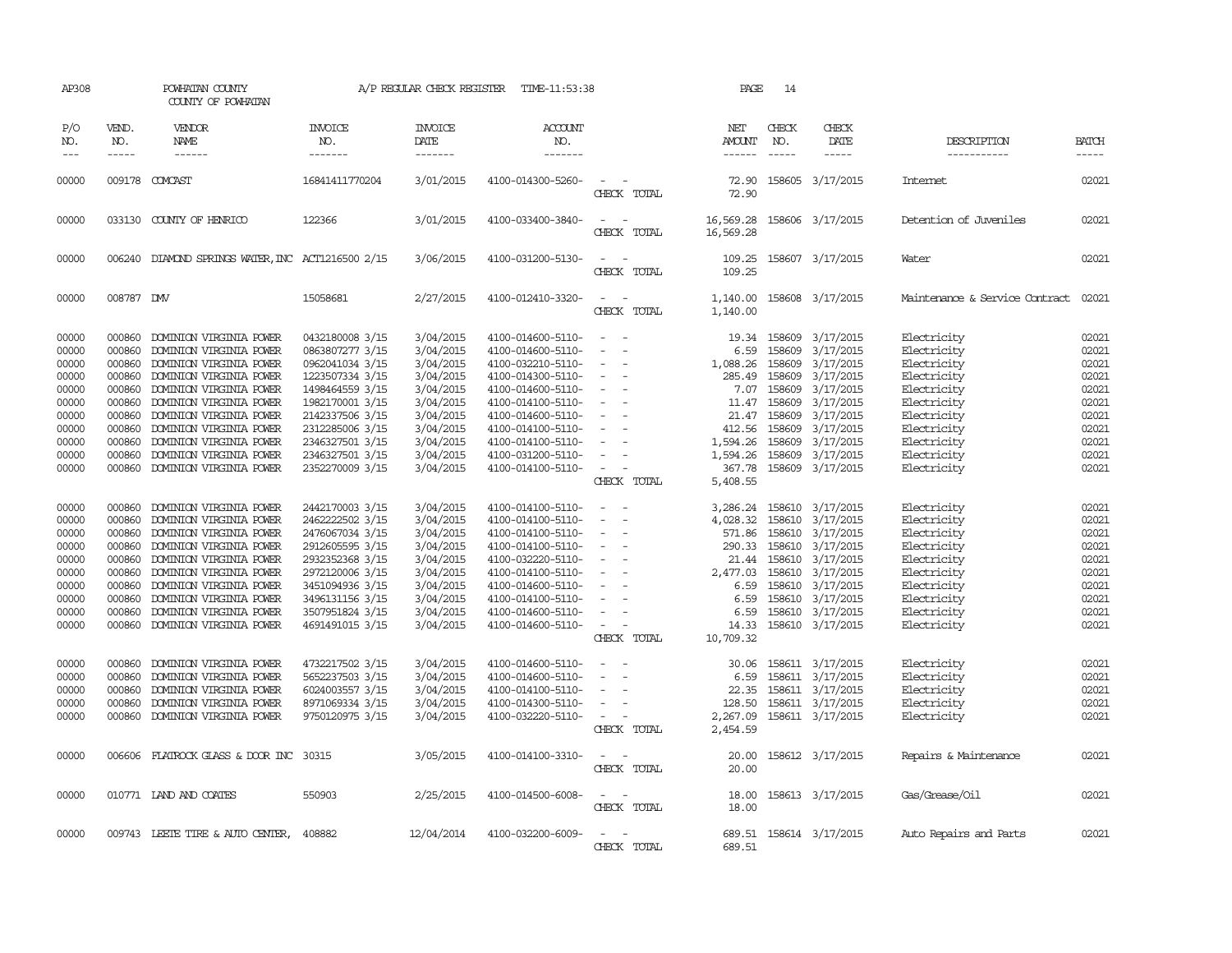| AP308                                                                                                                                                                                     |                                                                                                                                                                                            | POWHATAN COUNTY<br>COUNTY OF POWHATAN                                                                                                                                                                                                                                                                                                                                                                                                                                                                                                                                                             |                                                                                                                                                                                                                                                                                                                                                                                                             | A/P REGULAR CHECK REGISTER                                                                                                                                                                                                                                                    | TIME-11:53:38                                                                                                                                                                                                                                                                                                                                                                                                                                         |                                                                                                                                                                | PAGE                                                                                                                                                                                                                                 | 14                                                                                     |                                                                                                                                                                                                                                                                                                                                                                   |                                                                                                                                                                                                                                                                                                                         |                                                                                                                                                                                           |
|-------------------------------------------------------------------------------------------------------------------------------------------------------------------------------------------|--------------------------------------------------------------------------------------------------------------------------------------------------------------------------------------------|---------------------------------------------------------------------------------------------------------------------------------------------------------------------------------------------------------------------------------------------------------------------------------------------------------------------------------------------------------------------------------------------------------------------------------------------------------------------------------------------------------------------------------------------------------------------------------------------------|-------------------------------------------------------------------------------------------------------------------------------------------------------------------------------------------------------------------------------------------------------------------------------------------------------------------------------------------------------------------------------------------------------------|-------------------------------------------------------------------------------------------------------------------------------------------------------------------------------------------------------------------------------------------------------------------------------|-------------------------------------------------------------------------------------------------------------------------------------------------------------------------------------------------------------------------------------------------------------------------------------------------------------------------------------------------------------------------------------------------------------------------------------------------------|----------------------------------------------------------------------------------------------------------------------------------------------------------------|--------------------------------------------------------------------------------------------------------------------------------------------------------------------------------------------------------------------------------------|----------------------------------------------------------------------------------------|-------------------------------------------------------------------------------------------------------------------------------------------------------------------------------------------------------------------------------------------------------------------------------------------------------------------------------------------------------------------|-------------------------------------------------------------------------------------------------------------------------------------------------------------------------------------------------------------------------------------------------------------------------------------------------------------------------|-------------------------------------------------------------------------------------------------------------------------------------------------------------------------------------------|
| P/O<br>NO.                                                                                                                                                                                | VEND.<br>NO.<br>$- - - - -$                                                                                                                                                                | VENDOR<br>NAME<br>------                                                                                                                                                                                                                                                                                                                                                                                                                                                                                                                                                                          | <b>INVOICE</b><br>NO.<br>-------                                                                                                                                                                                                                                                                                                                                                                            | <b>INVOICE</b><br>DATE<br>-------                                                                                                                                                                                                                                             | <b>ACCOUNT</b><br>NO.<br>-------                                                                                                                                                                                                                                                                                                                                                                                                                      |                                                                                                                                                                | NET<br>AMOUNT<br>------                                                                                                                                                                                                              | CHECK<br>NO.<br>$- - - - -$                                                            | CHECK<br>DATE<br>-----                                                                                                                                                                                                                                                                                                                                            | DESCRIPTION<br>-----------                                                                                                                                                                                                                                                                                              | <b>BATCH</b><br>-----                                                                                                                                                                     |
| 00000                                                                                                                                                                                     |                                                                                                                                                                                            | 009178 COMCAST                                                                                                                                                                                                                                                                                                                                                                                                                                                                                                                                                                                    | 16841411770204                                                                                                                                                                                                                                                                                                                                                                                              | 3/01/2015                                                                                                                                                                                                                                                                     | 4100-014300-5260-                                                                                                                                                                                                                                                                                                                                                                                                                                     | CHECK TOTAL                                                                                                                                                    | 72.90<br>72.90                                                                                                                                                                                                                       |                                                                                        | 158605 3/17/2015                                                                                                                                                                                                                                                                                                                                                  | Internet                                                                                                                                                                                                                                                                                                                | 02021                                                                                                                                                                                     |
| 00000                                                                                                                                                                                     |                                                                                                                                                                                            | 033130 COUNTY OF HENRICO                                                                                                                                                                                                                                                                                                                                                                                                                                                                                                                                                                          | 122366                                                                                                                                                                                                                                                                                                                                                                                                      | 3/01/2015                                                                                                                                                                                                                                                                     | 4100-033400-3840-                                                                                                                                                                                                                                                                                                                                                                                                                                     | CHECK TOTAL                                                                                                                                                    | 16,569.28<br>16,569.28                                                                                                                                                                                                               |                                                                                        | 158606 3/17/2015                                                                                                                                                                                                                                                                                                                                                  | Detention of Juveniles                                                                                                                                                                                                                                                                                                  | 02021                                                                                                                                                                                     |
| 00000                                                                                                                                                                                     |                                                                                                                                                                                            | 006240 DIAMOND SPRINGS WATER, INC ACT1216500 2/15                                                                                                                                                                                                                                                                                                                                                                                                                                                                                                                                                 |                                                                                                                                                                                                                                                                                                                                                                                                             | 3/06/2015                                                                                                                                                                                                                                                                     | 4100-031200-5130-                                                                                                                                                                                                                                                                                                                                                                                                                                     | $\sim$<br>CHECK TOTAL                                                                                                                                          | 109.25<br>109.25                                                                                                                                                                                                                     |                                                                                        | 158607 3/17/2015                                                                                                                                                                                                                                                                                                                                                  | Water                                                                                                                                                                                                                                                                                                                   | 02021                                                                                                                                                                                     |
| 00000                                                                                                                                                                                     | 008787 DMV                                                                                                                                                                                 |                                                                                                                                                                                                                                                                                                                                                                                                                                                                                                                                                                                                   | 15058681                                                                                                                                                                                                                                                                                                                                                                                                    | 2/27/2015                                                                                                                                                                                                                                                                     | 4100-012410-3320-                                                                                                                                                                                                                                                                                                                                                                                                                                     | $\sim$<br>$\overline{\phantom{a}}$<br>CHECK TOTAL                                                                                                              | 1,140.00<br>1,140.00                                                                                                                                                                                                                 |                                                                                        | 158608 3/17/2015                                                                                                                                                                                                                                                                                                                                                  | Maintenance & Service Contract                                                                                                                                                                                                                                                                                          | 02021                                                                                                                                                                                     |
| 00000<br>00000<br>00000<br>00000<br>00000<br>00000<br>00000<br>00000<br>00000<br>00000<br>00000<br>00000<br>00000<br>00000<br>00000<br>00000<br>00000<br>00000<br>00000<br>00000<br>00000 | 000860<br>000860<br>000860<br>000860<br>000860<br>000860<br>000860<br>000860<br>000860<br>000860<br>000860<br>000860<br>000860<br>000860<br>000860<br>000860<br>000860<br>000860<br>000860 | DOMINION VIRGINIA POWER<br>DOMINION VIRGINIA POWER<br>DOMINION VIRGINIA POWER<br>DOMINION VIRGINIA POWER<br>DOMINION VIRGINIA POWER<br>DOMINION VIRGINIA POWER<br>DOMINION VIRGINIA POWER<br>DOMINION VIRGINIA POWER<br>DOMINION VIRGINIA POWER<br>DOMINION VIRGINIA POWER<br>000860 DOMINION VIRGINIA POWER<br>DOMINION VIRGINIA POWER<br>DOMINION VIRGINIA POWER<br>DOMINION VIRGINIA POWER<br>DOMINION VIRGINIA POWER<br>DOMINION VIRGINIA POWER<br>DOMINION VIRGINIA POWER<br>DOMINION VIRGINIA POWER<br>DOMINION VIRGINIA POWER<br>DOMINION VIRGINIA POWER<br>000860 DOMINION VIRGINIA POWER | 0432180008 3/15<br>0863807277 3/15<br>0962041034 3/15<br>1223507334 3/15<br>1498464559 3/15<br>1982170001 3/15<br>2142337506 3/15<br>2312285006 3/15<br>2346327501 3/15<br>2346327501 3/15<br>2352270009 3/15<br>2442170003 3/15<br>2462222502 3/15<br>2476067034 3/15<br>2912605595 3/15<br>2932352368 3/15<br>2972120006 3/15<br>3451094936 3/15<br>3496131156 3/15<br>3507951824 3/15<br>4691491015 3/15 | 3/04/2015<br>3/04/2015<br>3/04/2015<br>3/04/2015<br>3/04/2015<br>3/04/2015<br>3/04/2015<br>3/04/2015<br>3/04/2015<br>3/04/2015<br>3/04/2015<br>3/04/2015<br>3/04/2015<br>3/04/2015<br>3/04/2015<br>3/04/2015<br>3/04/2015<br>3/04/2015<br>3/04/2015<br>3/04/2015<br>3/04/2015 | 4100-014600-5110-<br>4100-014600-5110-<br>4100-032210-5110-<br>4100-014300-5110-<br>4100-014600-5110-<br>4100-014100-5110-<br>4100-014600-5110-<br>4100-014100-5110-<br>4100-014100-5110-<br>4100-031200-5110-<br>4100-014100-5110-<br>4100-014100-5110-<br>4100-014100-5110-<br>4100-014100-5110-<br>4100-014100-5110-<br>4100-032220-5110-<br>4100-014100-5110-<br>4100-014600-5110-<br>4100-014100-5110-<br>4100-014600-5110-<br>4100-014600-5110- | $\equiv$<br>$\equiv$<br>$\equiv$<br>$\sim$<br>CHECK TOTAL<br>$\equiv$<br>$\equiv$<br>$\sim$<br>$\equiv$<br>$\equiv$<br>$\overline{\phantom{a}}$<br>CHECK TOTAL | 19.34<br>6.59<br>1,088.26<br>285.49<br>7.07<br>11.47<br>21.47<br>412.56<br>1,594.26<br>1,594.26<br>367.78<br>5,408.55<br>3,286.24<br>4,028.32<br>571.86<br>290.33<br>21.44<br>2,477.03<br>6.59<br>6.59<br>6.59<br>14.33<br>10,709.32 | 158609<br>158609<br>158609<br>158609<br>158609<br>158609<br>158609<br>158609<br>158610 | 3/17/2015<br>3/17/2015<br>3/17/2015<br>3/17/2015<br>3/17/2015<br>158609 3/17/2015<br>3/17/2015<br>3/17/2015<br>3/17/2015<br>158609 3/17/2015<br>158609 3/17/2015<br>158610 3/17/2015<br>158610 3/17/2015<br>158610 3/17/2015<br>158610 3/17/2015<br>158610 3/17/2015<br>158610 3/17/2015<br>3/17/2015<br>158610 3/17/2015<br>158610 3/17/2015<br>158610 3/17/2015 | Electricity<br>Electricity<br>Electricity<br>Electricity<br>Electricity<br>Electricity<br>Electricity<br>Electricity<br>Electricity<br>Electricity<br>Electricity<br>Electricity<br>Electricity<br>Electricity<br>Electricity<br>Electricity<br>Electricity<br>Electricity<br>Electricity<br>Electricity<br>Electricity | 02021<br>02021<br>02021<br>02021<br>02021<br>02021<br>02021<br>02021<br>02021<br>02021<br>02021<br>02021<br>02021<br>02021<br>02021<br>02021<br>02021<br>02021<br>02021<br>02021<br>02021 |
| 00000<br>00000<br>00000<br>00000<br>00000                                                                                                                                                 | 000860<br>000860<br>000860<br>000860                                                                                                                                                       | DOMINION VIRGINIA POWER<br>DOMINION VIRGINIA POWER<br>DOMINION VIRGINIA POWER<br>DOMINION VIRGINIA POWER<br>000860 DOMINION VIRGINIA POWER                                                                                                                                                                                                                                                                                                                                                                                                                                                        | 4732217502 3/15<br>5652237503 3/15<br>6024003557 3/15<br>8971069334 3/15<br>9750120975 3/15                                                                                                                                                                                                                                                                                                                 | 3/04/2015<br>3/04/2015<br>3/04/2015<br>3/04/2015<br>3/04/2015                                                                                                                                                                                                                 | 4100-014600-5110-<br>4100-014600-5110-<br>4100-014100-5110-<br>4100-014300-5110-<br>4100-032220-5110-                                                                                                                                                                                                                                                                                                                                                 | $\equiv$<br>CHECK TOTAL                                                                                                                                        | 30.06<br>6.59<br>22.35<br>128.50<br>2,267.09<br>2,454.59                                                                                                                                                                             |                                                                                        | 158611 3/17/2015<br>158611 3/17/2015<br>158611 3/17/2015<br>158611 3/17/2015<br>158611 3/17/2015                                                                                                                                                                                                                                                                  | Electricity<br>Electricity<br>Electricity<br>Electricity<br>Electricity                                                                                                                                                                                                                                                 | 02021<br>02021<br>02021<br>02021<br>02021                                                                                                                                                 |
| 00000                                                                                                                                                                                     |                                                                                                                                                                                            | 006606 FLATROCK GLASS & DOOR INC 30315                                                                                                                                                                                                                                                                                                                                                                                                                                                                                                                                                            |                                                                                                                                                                                                                                                                                                                                                                                                             | 3/05/2015                                                                                                                                                                                                                                                                     | 4100-014100-3310-                                                                                                                                                                                                                                                                                                                                                                                                                                     | $\sim$ $\sim$<br>CHECK TOTAL                                                                                                                                   | 20.00<br>20.00                                                                                                                                                                                                                       |                                                                                        | 158612 3/17/2015                                                                                                                                                                                                                                                                                                                                                  | Repairs & Maintenance                                                                                                                                                                                                                                                                                                   | 02021                                                                                                                                                                                     |
| 00000                                                                                                                                                                                     |                                                                                                                                                                                            | 010771 LAND AND COATES                                                                                                                                                                                                                                                                                                                                                                                                                                                                                                                                                                            | 550903                                                                                                                                                                                                                                                                                                                                                                                                      | 2/25/2015                                                                                                                                                                                                                                                                     | 4100-014500-6008-                                                                                                                                                                                                                                                                                                                                                                                                                                     | $\sim$<br>CHECK TOTAL                                                                                                                                          | 18.00<br>18.00                                                                                                                                                                                                                       |                                                                                        | 158613 3/17/2015                                                                                                                                                                                                                                                                                                                                                  | Gas/Grease/Oil                                                                                                                                                                                                                                                                                                          | 02021                                                                                                                                                                                     |
| 00000                                                                                                                                                                                     |                                                                                                                                                                                            | 009743 LEETE TIRE & AUTO CENTER,                                                                                                                                                                                                                                                                                                                                                                                                                                                                                                                                                                  | 408882                                                                                                                                                                                                                                                                                                                                                                                                      | 12/04/2014                                                                                                                                                                                                                                                                    | 4100-032200-6009-                                                                                                                                                                                                                                                                                                                                                                                                                                     | CHECK TOTAL                                                                                                                                                    | 689.51<br>689.51                                                                                                                                                                                                                     |                                                                                        | 158614 3/17/2015                                                                                                                                                                                                                                                                                                                                                  | Auto Repairs and Parts                                                                                                                                                                                                                                                                                                  | 02021                                                                                                                                                                                     |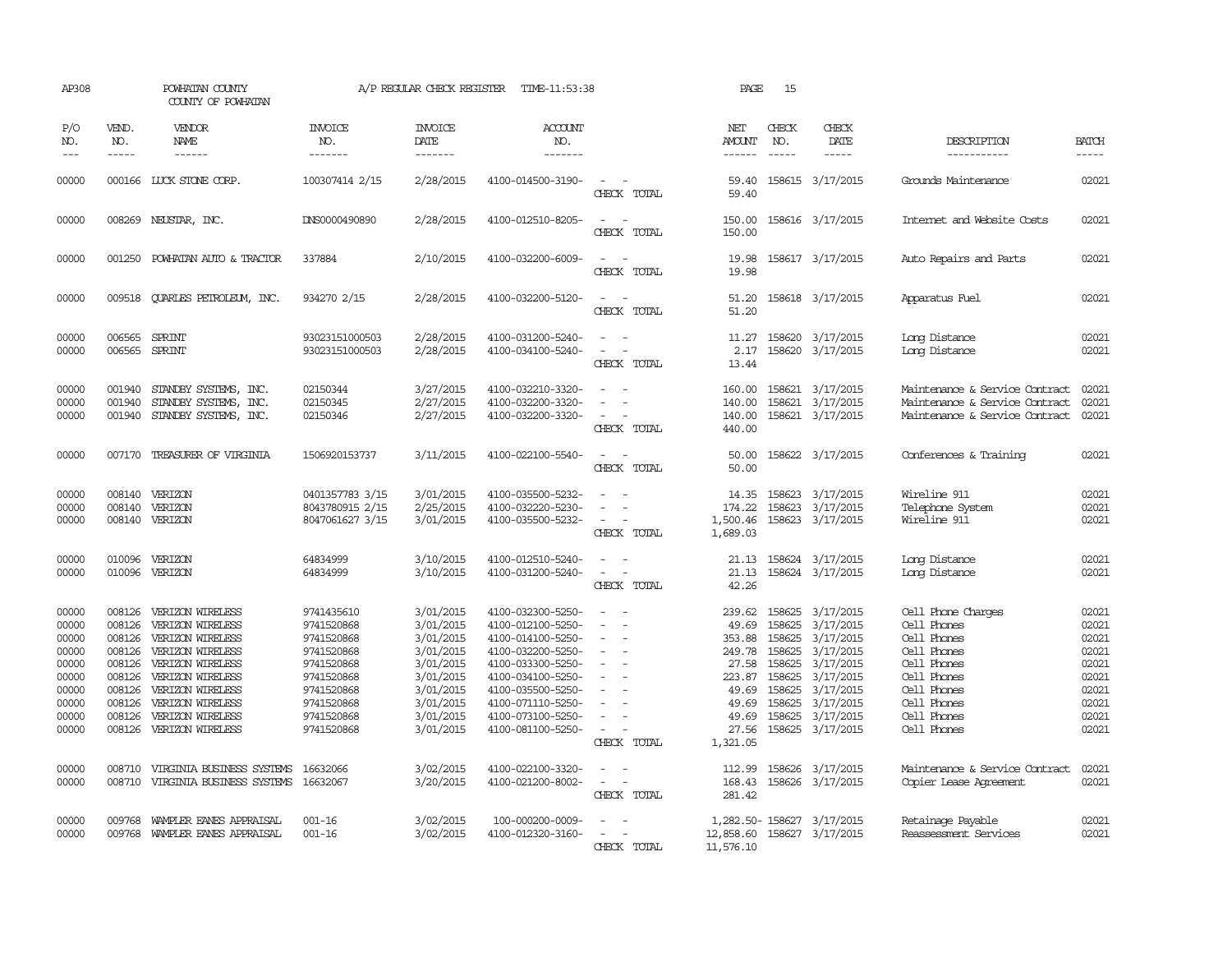| AP308                                                                                                    |                                                                                                            | POWHATAN COUNTY<br>COUNTY OF POWHATAN                                                                                                                                                                                                                                 |                                                                                                                                                                  |                                                                                                                                                          | A/P REGULAR CHECK REGISTER TIME-11:53:38                                                                                                                                                                                                                 |                                                                                                          | PAGE                                                                                                                                 | 15                            |                                                                                                                                                                                                                         |                                                                                                                                                                                                                              |                                                                                                          |
|----------------------------------------------------------------------------------------------------------|------------------------------------------------------------------------------------------------------------|-----------------------------------------------------------------------------------------------------------------------------------------------------------------------------------------------------------------------------------------------------------------------|------------------------------------------------------------------------------------------------------------------------------------------------------------------|----------------------------------------------------------------------------------------------------------------------------------------------------------|----------------------------------------------------------------------------------------------------------------------------------------------------------------------------------------------------------------------------------------------------------|----------------------------------------------------------------------------------------------------------|--------------------------------------------------------------------------------------------------------------------------------------|-------------------------------|-------------------------------------------------------------------------------------------------------------------------------------------------------------------------------------------------------------------------|------------------------------------------------------------------------------------------------------------------------------------------------------------------------------------------------------------------------------|----------------------------------------------------------------------------------------------------------|
| P/O<br>NO.<br>$---$                                                                                      | VEND.<br>NO.<br>$\frac{1}{2}$                                                                              | <b>VENDOR</b><br>NAME<br>$- - - - - -$                                                                                                                                                                                                                                | <b>INVOICE</b><br>NO.<br>-------                                                                                                                                 | <b>INVOICE</b><br>DATE<br>-------                                                                                                                        | ACCOUNT<br>NO.<br>$- - - - - - -$                                                                                                                                                                                                                        |                                                                                                          | NET<br>AMOUNT<br>------                                                                                                              | CHECK<br>NO.<br>$\frac{1}{2}$ | CHECK<br>DATE<br>$- - - - -$                                                                                                                                                                                            | DESCRIPTION<br>-----------                                                                                                                                                                                                   | <b>BATCH</b><br>$- - - - -$                                                                              |
| 00000                                                                                                    |                                                                                                            | 000166 LUCK STONE CORP.                                                                                                                                                                                                                                               | 100307414 2/15                                                                                                                                                   | 2/28/2015                                                                                                                                                | 4100-014500-3190-                                                                                                                                                                                                                                        | $\sim$<br>CHECK TOTAL                                                                                    | 59.40<br>59.40                                                                                                                       |                               | 158615 3/17/2015                                                                                                                                                                                                        | Grounds Maintenance                                                                                                                                                                                                          | 02021                                                                                                    |
| 00000                                                                                                    |                                                                                                            | 008269 NEUSTAR, INC.                                                                                                                                                                                                                                                  | DNS0000490890                                                                                                                                                    | 2/28/2015                                                                                                                                                | 4100-012510-8205-                                                                                                                                                                                                                                        | CHECK TOTAL                                                                                              | 150.00<br>150.00                                                                                                                     |                               | 158616 3/17/2015                                                                                                                                                                                                        | Internet and Website Costs                                                                                                                                                                                                   | 02021                                                                                                    |
| 00000                                                                                                    | 001250                                                                                                     | POWHATAN AUTO & TRACTOR                                                                                                                                                                                                                                               | 337884                                                                                                                                                           | 2/10/2015                                                                                                                                                | 4100-032200-6009-                                                                                                                                                                                                                                        | CHECK TOTAL                                                                                              | 19.98<br>19.98                                                                                                                       |                               | 158617 3/17/2015                                                                                                                                                                                                        | Auto Repairs and Parts                                                                                                                                                                                                       | 02021                                                                                                    |
| 00000                                                                                                    |                                                                                                            | 009518 CUARLES PETROLEUM, INC.                                                                                                                                                                                                                                        | 934270 2/15                                                                                                                                                      | 2/28/2015                                                                                                                                                | 4100-032200-5120-                                                                                                                                                                                                                                        | $\sim$<br>CHECK TOTAL                                                                                    | 51.20<br>51.20                                                                                                                       |                               | 158618 3/17/2015                                                                                                                                                                                                        | Apparatus Fuel                                                                                                                                                                                                               | 02021                                                                                                    |
| 00000<br>00000                                                                                           | 006565<br>006565                                                                                           | SPRINT<br>SPRINT                                                                                                                                                                                                                                                      | 93023151000503<br>93023151000503                                                                                                                                 | 2/28/2015<br>2/28/2015                                                                                                                                   | 4100-031200-5240-<br>4100-034100-5240-                                                                                                                                                                                                                   | CHECK TOTAL                                                                                              | 11.27<br>2.17<br>13.44                                                                                                               |                               | 158620 3/17/2015<br>158620 3/17/2015                                                                                                                                                                                    | Long Distance<br>Long Distance                                                                                                                                                                                               | 02021<br>02021                                                                                           |
| 00000<br>00000<br>00000                                                                                  | 001940<br>001940<br>001940                                                                                 | STANDBY SYSTEMS, INC.<br>STANDBY SYSTEMS, INC.<br>STANDBY SYSTEMS, INC.                                                                                                                                                                                               | 02150344<br>02150345<br>02150346                                                                                                                                 | 3/27/2015<br>2/27/2015<br>2/27/2015                                                                                                                      | 4100-032210-3320-<br>4100-032200-3320-<br>4100-032200-3320-                                                                                                                                                                                              | $\sim$<br>$\sim$<br>CHECK TOTAL                                                                          | 160.00<br>140.00<br>140.00<br>440.00                                                                                                 |                               | 158621 3/17/2015<br>158621 3/17/2015<br>158621 3/17/2015                                                                                                                                                                | Maintenance & Service Contract<br>Maintenance & Service Contract<br>Maintenance & Service Contract                                                                                                                           | 02021<br>02021<br>02021                                                                                  |
| 00000                                                                                                    |                                                                                                            | 007170 TREASURER OF VIRGINIA                                                                                                                                                                                                                                          | 1506920153737                                                                                                                                                    | 3/11/2015                                                                                                                                                | 4100-022100-5540-                                                                                                                                                                                                                                        | $\sim$<br>CHECK TOTAL                                                                                    | 50.00<br>50.00                                                                                                                       |                               | 158622 3/17/2015                                                                                                                                                                                                        | Conferences & Training                                                                                                                                                                                                       | 02021                                                                                                    |
| 00000<br>00000<br>00000                                                                                  | 008140<br>008140<br>008140                                                                                 | VERIZON<br>VERIZON<br>VERIZON                                                                                                                                                                                                                                         | 0401357783 3/15<br>8043780915 2/15<br>8047061627 3/15                                                                                                            | 3/01/2015<br>2/25/2015<br>3/01/2015                                                                                                                      | 4100-035500-5232-<br>4100-032220-5230-<br>4100-035500-5232-                                                                                                                                                                                              | $\sim$<br>CHECK TOTAL                                                                                    | 14.35<br>174.22<br>1,500.46<br>1,689.03                                                                                              |                               | 158623 3/17/2015<br>158623 3/17/2015<br>158623 3/17/2015                                                                                                                                                                | Wireline 911<br>Telephone System<br>Wireline 911                                                                                                                                                                             | 02021<br>02021<br>02021                                                                                  |
| 00000<br>00000                                                                                           | 010096<br>010096                                                                                           | VERIZON<br>VERIZON                                                                                                                                                                                                                                                    | 64834999<br>64834999                                                                                                                                             | 3/10/2015<br>3/10/2015                                                                                                                                   | 4100-012510-5240-<br>4100-031200-5240-                                                                                                                                                                                                                   | $\equiv$<br>$\overline{\phantom{a}}$<br>$\overline{\phantom{a}}$<br>CHECK TOTAL                          | 21.13<br>21.13<br>42.26                                                                                                              |                               | 158624 3/17/2015<br>158624 3/17/2015                                                                                                                                                                                    | Long Distance<br>Long Distance                                                                                                                                                                                               | 02021<br>02021                                                                                           |
| 00000<br>00000<br>00000<br>00000<br>00000<br>00000<br>00000<br>00000<br>00000<br>00000<br>00000<br>00000 | 008126<br>008126<br>008126<br>008126<br>008126<br>008126<br>008126<br>008126<br>008126<br>008710<br>008710 | 008126 VERIZON WIRELESS<br>VERIZON WIRELESS<br>VERIZON WIRELESS<br>VERIZON WIRELESS<br>VERIZON WIRELESS<br>VERIZON WIRELESS<br>VERIZON WIRELESS<br>VERIZON WIRELESS<br>VERIZON WIRELESS<br>VERIZON WIRELESS<br>VIRGINIA BUSINESS SYSTEMS<br>VIRGINIA BUSINESS SYSTEMS | 9741435610<br>9741520868<br>9741520868<br>9741520868<br>9741520868<br>9741520868<br>9741520868<br>9741520868<br>9741520868<br>9741520868<br>16632066<br>16632067 | 3/01/2015<br>3/01/2015<br>3/01/2015<br>3/01/2015<br>3/01/2015<br>3/01/2015<br>3/01/2015<br>3/01/2015<br>3/01/2015<br>3/01/2015<br>3/02/2015<br>3/20/2015 | 4100-032300-5250-<br>4100-012100-5250-<br>4100-014100-5250-<br>4100-032200-5250-<br>4100-033300-5250-<br>4100-034100-5250-<br>4100-035500-5250-<br>4100-071110-5250-<br>4100-073100-5250-<br>4100-081100-5250-<br>4100-022100-3320-<br>4100-021200-8002- | $\overline{\phantom{a}}$<br>$\sim$<br>CHECK TOTAL<br>$\equiv$<br>$\overline{\phantom{a}}$<br>CHECK TOTAL | 239.62<br>49.69<br>353.88<br>249.78<br>27.58<br>223.87<br>49.69<br>49.69<br>49.69<br>27.56<br>1,321.05<br>112.99<br>168.43<br>281.42 | 158625<br>158625<br>158625    | 158625 3/17/2015<br>3/17/2015<br>158625 3/17/2015<br>158625 3/17/2015<br>158625 3/17/2015<br>3/17/2015<br>158625 3/17/2015<br>3/17/2015<br>158625 3/17/2015<br>158625 3/17/2015<br>158626 3/17/2015<br>158626 3/17/2015 | Cell Phone Charges<br>Cell Phones<br>Cell Phones<br>Cell Phones<br>Cell Phones<br>Cell Phones<br>Cell Phones<br>Cell Phones<br>Cell Phones<br>Cell Phones<br>Maintenance & Service Contract<br><b>Copier Lease Agreement</b> | 02021<br>02021<br>02021<br>02021<br>02021<br>02021<br>02021<br>02021<br>02021<br>02021<br>02021<br>02021 |
| 00000<br>00000                                                                                           | 009768                                                                                                     | WAMPLER EANES APPRAISAL<br>009768 WAMPLER EANES APPRAISAL                                                                                                                                                                                                             | 001-16<br>$001 - 16$                                                                                                                                             | 3/02/2015<br>3/02/2015                                                                                                                                   | 100-000200-0009-<br>4100-012320-3160-                                                                                                                                                                                                                    | CHECK TOTAL                                                                                              | 12,858.60<br>11,576.10                                                                                                               |                               | 1,282.50-158627 3/17/2015<br>158627 3/17/2015                                                                                                                                                                           | Retainage Payable<br>Reassessment Services                                                                                                                                                                                   | 02021<br>02021                                                                                           |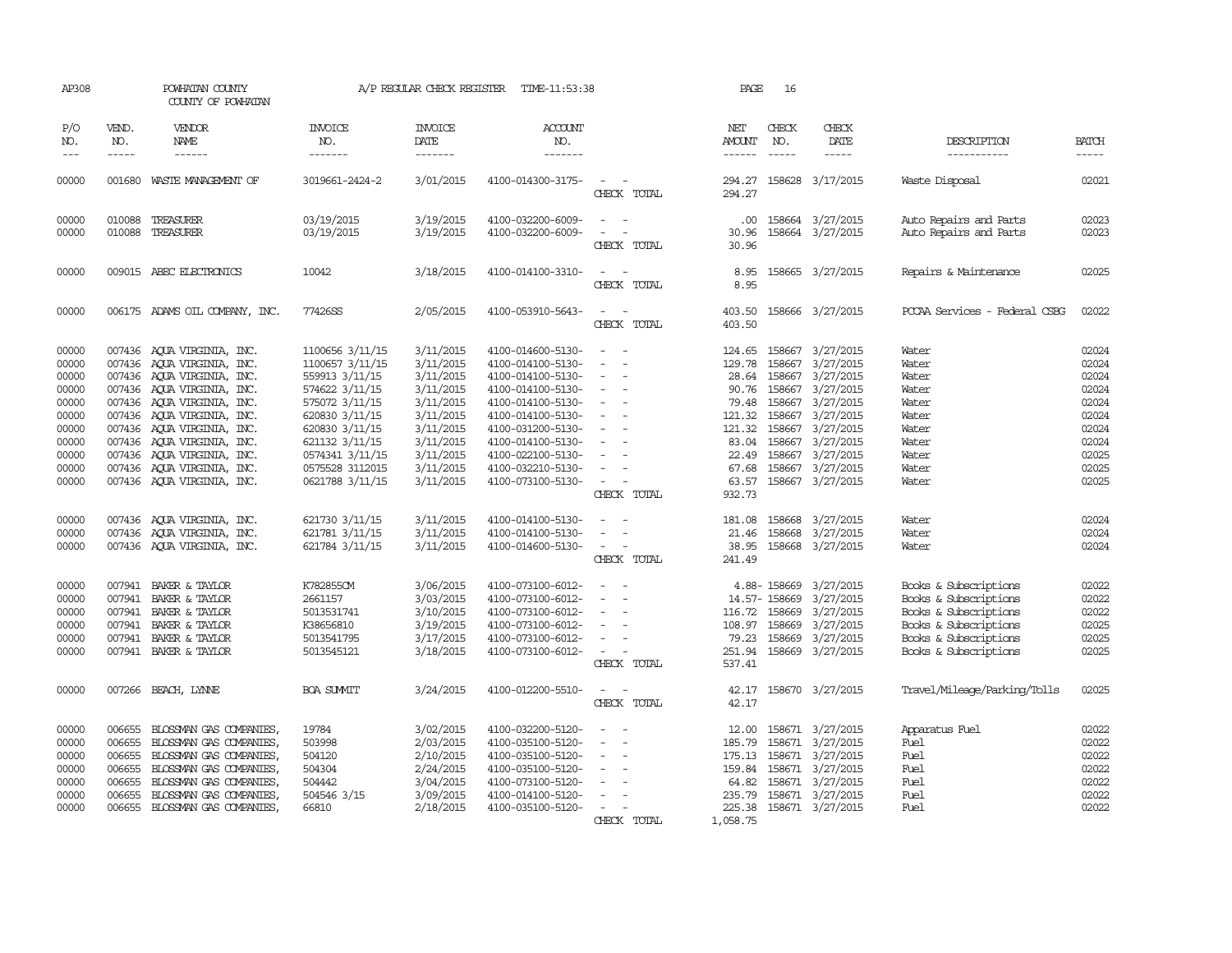| AP308                                                                                           |                                                                    | POWHATAN COUNTY<br>COUNTY OF POWHATAN                                                                                                                                                                                                                                                                                                  |                                                                                                                                                                                                         | A/P REGULAR CHECK REGISTER                                                                                                                  | TIME-11:53:38                                                                                                                                                                                                                       |                                                                                                                                       | PAGE                                                                                                          | 16                                                        |                                                                                                                                                                                              |                                                                                                                                                    |                                                                                                 |
|-------------------------------------------------------------------------------------------------|--------------------------------------------------------------------|----------------------------------------------------------------------------------------------------------------------------------------------------------------------------------------------------------------------------------------------------------------------------------------------------------------------------------------|---------------------------------------------------------------------------------------------------------------------------------------------------------------------------------------------------------|---------------------------------------------------------------------------------------------------------------------------------------------|-------------------------------------------------------------------------------------------------------------------------------------------------------------------------------------------------------------------------------------|---------------------------------------------------------------------------------------------------------------------------------------|---------------------------------------------------------------------------------------------------------------|-----------------------------------------------------------|----------------------------------------------------------------------------------------------------------------------------------------------------------------------------------------------|----------------------------------------------------------------------------------------------------------------------------------------------------|-------------------------------------------------------------------------------------------------|
| P/O<br>NO.<br>$---$                                                                             | VEND.<br>NO.<br>$- - - - -$                                        | VENDOR<br>NAME<br>$- - - - - -$                                                                                                                                                                                                                                                                                                        | INVOICE<br>NO.<br>-------                                                                                                                                                                               | <b>INVOICE</b><br>DATE<br>-------                                                                                                           | <b>ACCOUNT</b><br>NO.<br>-------                                                                                                                                                                                                    |                                                                                                                                       | NET<br>AMOUNT<br>$- - - - - -$                                                                                | CHECK<br>NO.<br>$\frac{1}{2}$                             | CHECK<br>DATE<br>$- - - - -$                                                                                                                                                                 | DESCRIPTION<br>-----------                                                                                                                         | <b>BATCH</b><br>-----                                                                           |
| 00000                                                                                           | 001680                                                             | WASTE MANAGEMENT OF                                                                                                                                                                                                                                                                                                                    | 3019661-2424-2                                                                                                                                                                                          | 3/01/2015                                                                                                                                   | 4100-014300-3175-                                                                                                                                                                                                                   | CHECK TOTAL                                                                                                                           | 294.27<br>294.27                                                                                              |                                                           | 158628 3/17/2015                                                                                                                                                                             | Waste Disposal                                                                                                                                     | 02021                                                                                           |
| 00000<br>00000                                                                                  |                                                                    | 010088 TREASURER<br>010088 TREASURER                                                                                                                                                                                                                                                                                                   | 03/19/2015<br>03/19/2015                                                                                                                                                                                | 3/19/2015<br>3/19/2015                                                                                                                      | 4100-032200-6009-<br>4100-032200-6009-                                                                                                                                                                                              | $\sim$<br>CHECK TOTAL                                                                                                                 | .00.<br>30.96<br>30.96                                                                                        |                                                           | 158664 3/27/2015<br>158664 3/27/2015                                                                                                                                                         | Auto Repairs and Parts<br>Auto Repairs and Parts                                                                                                   | 02023<br>02023                                                                                  |
| 00000                                                                                           |                                                                    | 009015 ABEC ELECTRONICS                                                                                                                                                                                                                                                                                                                | 10042                                                                                                                                                                                                   | 3/18/2015                                                                                                                                   | 4100-014100-3310-                                                                                                                                                                                                                   | CHECK TOTAL                                                                                                                           | 8.95<br>8.95                                                                                                  |                                                           | 158665 3/27/2015                                                                                                                                                                             | Repairs & Maintenance                                                                                                                              | 02025                                                                                           |
| 00000                                                                                           |                                                                    | 006175 ADAMS OIL COMPANY, INC.                                                                                                                                                                                                                                                                                                         | 77426SS                                                                                                                                                                                                 | 2/05/2015                                                                                                                                   | 4100-053910-5643-                                                                                                                                                                                                                   | CHECK TOTAL                                                                                                                           | 403.50<br>403.50                                                                                              |                                                           | 158666 3/27/2015                                                                                                                                                                             | PCCAA Services - Federal CSBG                                                                                                                      | 02022                                                                                           |
| 00000<br>00000<br>00000<br>00000<br>00000<br>00000<br>00000<br>00000<br>00000<br>00000<br>00000 |                                                                    | 007436 AQUA VIRGINIA, INC.<br>007436 AQUA VIRGINIA, INC.<br>007436 AOUA VIRGINIA, INC.<br>007436 AQUA VIRGINIA, INC.<br>007436 AQUA VIRGINIA, INC.<br>007436 AQUA VIRGINIA, INC.<br>007436 AOUA VIRGINIA, INC.<br>007436 AQUA VIRGINIA, INC.<br>007436 AQUA VIRGINIA, INC.<br>007436 AOUA VIRGINIA, INC.<br>007436 AQUA VIRGINIA, INC. | 1100656 3/11/15<br>1100657 3/11/15<br>559913 3/11/15<br>574622 3/11/15<br>575072 3/11/15<br>620830 3/11/15<br>620830 3/11/15<br>621132 3/11/15<br>0574341 3/11/15<br>0575528 3112015<br>0621788 3/11/15 | 3/11/2015<br>3/11/2015<br>3/11/2015<br>3/11/2015<br>3/11/2015<br>3/11/2015<br>3/11/2015<br>3/11/2015<br>3/11/2015<br>3/11/2015<br>3/11/2015 | 4100-014600-5130-<br>4100-014100-5130-<br>4100-014100-5130-<br>4100-014100-5130-<br>4100-014100-5130-<br>4100-014100-5130-<br>4100-031200-5130-<br>4100-014100-5130-<br>4100-022100-5130-<br>4100-032210-5130-<br>4100-073100-5130- | $\equiv$<br>$\equiv$<br>$\overline{\phantom{a}}$<br>$\sim$<br>$\sim$<br>$\overline{\phantom{a}}$<br>$\equiv$<br>$\sim$<br>CHECK TOTAL | 124.65<br>129.78<br>28.64<br>90.76<br>79.48<br>121.32<br>121.32<br>83.04<br>22.49<br>67.68<br>63.57<br>932.73 | 158667<br>158667<br>158667<br>158667                      | 3/27/2015<br>158667 3/27/2015<br>158667 3/27/2015<br>158667 3/27/2015<br>3/27/2015<br>158667 3/27/2015<br>158667 3/27/2015<br>3/27/2015<br>3/27/2015<br>158667 3/27/2015<br>158667 3/27/2015 | Water<br>Water<br>Water<br>Water<br>Water<br>Water<br>Water<br>Water<br>Water<br>Water<br>Water                                                    | 02024<br>02024<br>02024<br>02024<br>02024<br>02024<br>02024<br>02024<br>02025<br>02025<br>02025 |
| 00000<br>00000<br>00000                                                                         |                                                                    | 007436 AQUA VIRGINIA, INC.<br>007436 AQUA VIRGINIA, INC.<br>007436 AQUA VIRGINIA, INC.                                                                                                                                                                                                                                                 | 621730 3/11/15<br>621781 3/11/15<br>621784 3/11/15                                                                                                                                                      | 3/11/2015<br>3/11/2015<br>3/11/2015                                                                                                         | 4100-014100-5130-<br>4100-014100-5130-<br>4100-014600-5130-                                                                                                                                                                         | CHECK TOTAL                                                                                                                           | 181.08<br>21.46<br>38.95<br>241.49                                                                            | 158668                                                    | 158668 3/27/2015<br>3/27/2015<br>158668 3/27/2015                                                                                                                                            | Water<br>Water<br>Water                                                                                                                            | 02024<br>02024<br>02024                                                                         |
| 00000<br>00000<br>00000<br>00000<br>00000<br>00000                                              | 007941<br>007941<br>007941                                         | BAKER & TAYLOR<br>BAKER & TAYLOR<br>007941 BAKER & TAYLOR<br>007941 BAKER & TAYLOR<br>BAKER & TAYLOR<br>007941 BAKER & TAYLOR                                                                                                                                                                                                          | K782855CM<br>2661157<br>5013531741<br>K38656810<br>5013541795<br>5013545121                                                                                                                             | 3/06/2015<br>3/03/2015<br>3/10/2015<br>3/19/2015<br>3/17/2015<br>3/18/2015                                                                  | 4100-073100-6012-<br>4100-073100-6012-<br>4100-073100-6012-<br>4100-073100-6012-<br>4100-073100-6012-<br>4100-073100-6012-                                                                                                          | $\overline{\phantom{a}}$<br>CHECK TOTAL                                                                                               | 116.72<br>108.97<br>79.23<br>251.94<br>537.41                                                                 | 4.88-158669<br>14.57-158669<br>158669<br>158669<br>158669 | 3/27/2015<br>3/27/2015<br>3/27/2015<br>3/27/2015<br>3/27/2015<br>158669 3/27/2015                                                                                                            | Books & Subscriptions<br>Books & Subscriptions<br>Books & Subscriptions<br>Books & Subscriptions<br>Books & Subscriptions<br>Books & Subscriptions | 02022<br>02022<br>02022<br>02025<br>02025<br>02025                                              |
| 00000                                                                                           |                                                                    | 007266 BEACH, LYNNE                                                                                                                                                                                                                                                                                                                    | <b>BOA SUMIT</b>                                                                                                                                                                                        | 3/24/2015                                                                                                                                   | 4100-012200-5510-                                                                                                                                                                                                                   | $\sim$<br>CHECK TOTAL                                                                                                                 | 42.17                                                                                                         |                                                           | 42.17 158670 3/27/2015                                                                                                                                                                       | Travel/Mileage/Parking/Tolls                                                                                                                       | 02025                                                                                           |
| 00000<br>00000<br>00000<br>00000<br>00000<br>00000<br>00000                                     | 006655<br>006655<br>006655<br>006655<br>006655<br>006655<br>006655 | BLOSSMAN GAS COMPANIES,<br>BLOSSMAN GAS COMPANIES,<br>BLOSSMAN GAS COMPANIES,<br>BLOSSMAN GAS COMPANIES,<br>BLOSSMAN GAS COMPANIES,<br>BLOSSMAN GAS COMPANIES,<br>BLOSSMAN GAS COMPANIES,                                                                                                                                              | 19784<br>503998<br>504120<br>504304<br>504442<br>504546 3/15<br>66810                                                                                                                                   | 3/02/2015<br>2/03/2015<br>2/10/2015<br>2/24/2015<br>3/04/2015<br>3/09/2015<br>2/18/2015                                                     | 4100-032200-5120-<br>4100-035100-5120-<br>4100-035100-5120-<br>4100-035100-5120-<br>4100-073100-5120-<br>4100-014100-5120-<br>4100-035100-5120-                                                                                     | $\overline{\phantom{a}}$<br>CHECK TOTAL                                                                                               | 12.00<br>185.79<br>175.13<br>159.84<br>64.82<br>235.79<br>225.38<br>1,058.75                                  |                                                           | 158671 3/27/2015<br>158671 3/27/2015<br>158671 3/27/2015<br>158671 3/27/2015<br>158671 3/27/2015<br>158671 3/27/2015<br>158671 3/27/2015                                                     | Apparatus Fuel<br>Fuel<br>Fuel<br>Fuel<br>Fuel<br>Fuel<br>Fuel                                                                                     | 02022<br>02022<br>02022<br>02022<br>02022<br>02022<br>02022                                     |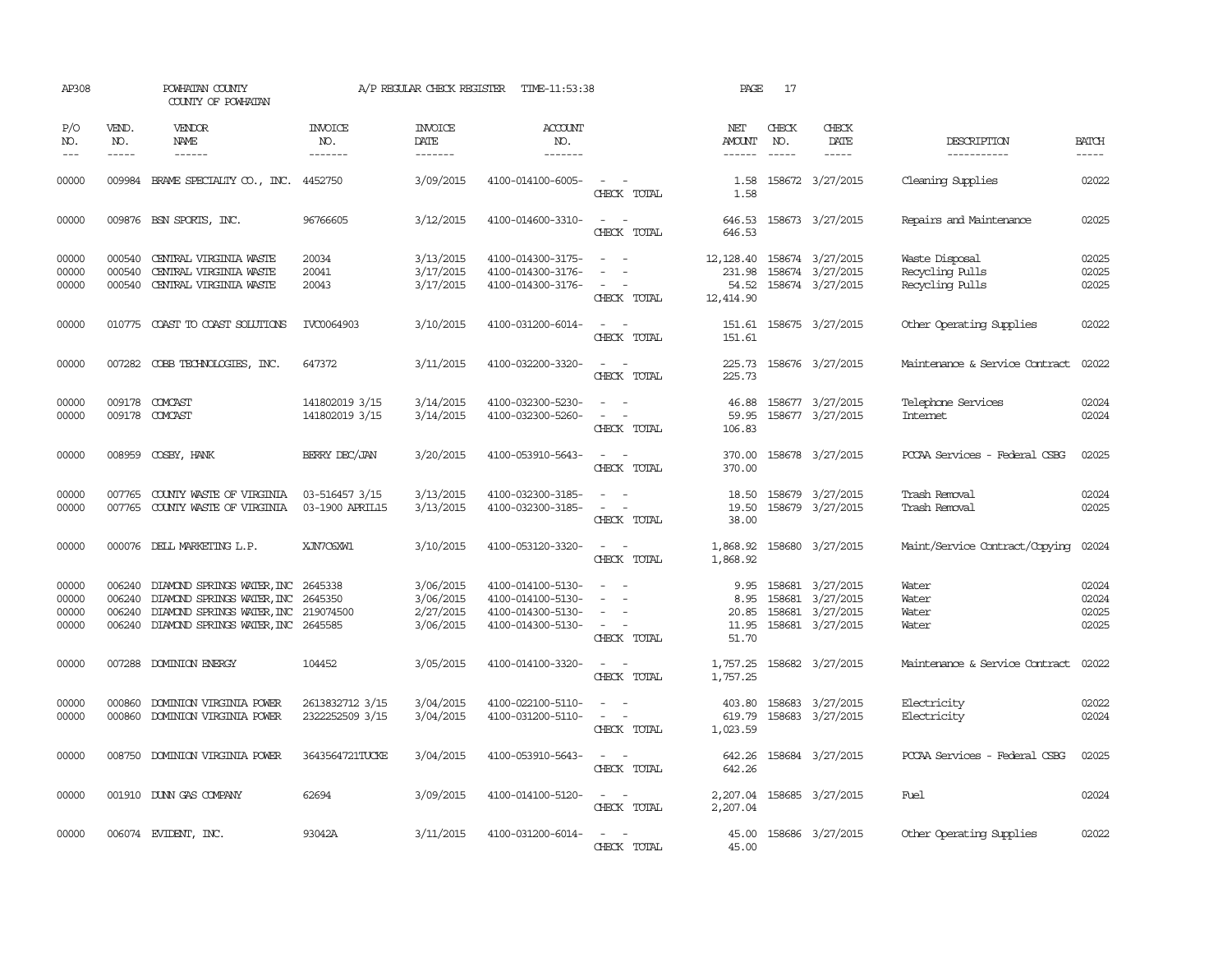| AP308                            |                               | POWHATAN COUNTY<br>COUNTY OF POWHATAN                                                                                                                               |                                    | A/P REGULAR CHECK REGISTER                       | TIME-11:53:38                                                                    |                                                                         | PAGE                                                        | 17                            |                                                                                    |                                                      |                                  |
|----------------------------------|-------------------------------|---------------------------------------------------------------------------------------------------------------------------------------------------------------------|------------------------------------|--------------------------------------------------|----------------------------------------------------------------------------------|-------------------------------------------------------------------------|-------------------------------------------------------------|-------------------------------|------------------------------------------------------------------------------------|------------------------------------------------------|----------------------------------|
| P/O<br>NO.<br>$---$              | VEND.<br>NO.<br>$\frac{1}{2}$ | VENDOR<br>NAME<br>$- - - - - -$                                                                                                                                     | <b>INVOICE</b><br>NO.<br>-------   | <b>INVOICE</b><br>DATE<br>--------               | ACCOUNT<br>NO.<br>-------                                                        |                                                                         | NET<br>AMOUNT                                               | CHECK<br>NO.<br>$\frac{1}{2}$ | CHECK<br>DATE<br>$- - - - -$                                                       | DESCRIPTION<br>-----------                           | <b>BATCH</b><br>$- - - - -$      |
| 00000                            |                               | 009984 BRAME SPECIALITY CO., INC. 4452750                                                                                                                           |                                    | 3/09/2015                                        | 4100-014100-6005-                                                                | $\sim$<br>CHECK TOTAL                                                   | 1.58<br>1.58                                                |                               | 158672 3/27/2015                                                                   | Cleaning Supplies                                    | 02022                            |
| 00000                            |                               | 009876 BSN SPORTS, INC.                                                                                                                                             | 96766605                           | 3/12/2015                                        | 4100-014600-3310-                                                                | $\sim$<br>$\sim$<br>CHECK TOTAL                                         | 646.53<br>646.53                                            |                               | 158673 3/27/2015                                                                   | Repairs and Maintenance                              | 02025                            |
| 00000<br>00000<br>00000          | 000540<br>000540              | 000540 CENTRAL VIRGINIA WASTE<br>CENTRAL VIRGINIA WASTE<br>CENTRAL VIRGINIA WASTE                                                                                   | 20034<br>20041<br>20043            | 3/13/2015<br>3/17/2015<br>3/17/2015              | 4100-014300-3175-<br>4100-014300-3176-<br>4100-014300-3176-                      | $\sim$ $ \sim$<br>$\sim$<br>$\sim$<br>$\sim$<br>$\sim$<br>CHECK TOTAL   | 12, 128.40 158674 3/27/2015<br>231.98<br>54.52<br>12,414.90 |                               | 158674 3/27/2015<br>158674 3/27/2015                                               | Waste Disposal<br>Recycling Pulls<br>Recycling Pulls | 02025<br>02025<br>02025          |
| 00000                            |                               | 010775 COAST TO COAST SOLUTIONS                                                                                                                                     | IVC0064903                         | 3/10/2015                                        | 4100-031200-6014-                                                                | $\sim$<br>$\sim$<br>CHECK TOTAL                                         | 151.61<br>151.61                                            |                               | 158675 3/27/2015                                                                   | Other Operating Supplies                             | 02022                            |
| 00000                            |                               | 007282 COBB TECHNOLOGIES, INC.                                                                                                                                      | 647372                             | 3/11/2015                                        | 4100-032200-3320-                                                                | $\overline{\phantom{a}}$<br>$\overline{\phantom{a}}$<br>CHECK TOTAL     | 225.73                                                      |                               | 225.73 158676 3/27/2015                                                            | Maintenance & Service Contract                       | 02022                            |
| 00000<br>00000                   |                               | 009178 COMCAST<br>009178 COMCAST                                                                                                                                    | 141802019 3/15<br>141802019 3/15   | 3/14/2015<br>3/14/2015                           | 4100-032300-5230-<br>4100-032300-5260-                                           | $\sim$<br>$\sim$<br>$\equiv$<br>$\overline{\phantom{a}}$<br>CHECK TOTAL | 46.88<br>59.95<br>106.83                                    |                               | 158677 3/27/2015<br>158677 3/27/2015                                               | Telephone Services<br>Internet                       | 02024<br>02024                   |
| 00000                            |                               | 008959 COSBY, HANK                                                                                                                                                  | BERRY DEC/JAN                      | 3/20/2015                                        | 4100-053910-5643-                                                                | $\sim$<br>$\overline{\phantom{a}}$<br>CHECK TOTAL                       | 370.00<br>370.00                                            |                               | 158678 3/27/2015                                                                   | PCCAA Services - Federal CSBG                        | 02025                            |
| 00000<br>00000                   | 007765                        | COUNTY WASTE OF VIRGINIA<br>007765 COUNTY WASTE OF VIRGINIA                                                                                                         | 03-516457 3/15<br>03-1900 APRIL15  | 3/13/2015<br>3/13/2015                           | 4100-032300-3185-<br>4100-032300-3185-                                           | $\omega_{\rm{max}}$ and $\omega_{\rm{max}}$<br>CHECK TOTAL              | 18.50<br>19.50<br>38.00                                     |                               | 158679 3/27/2015<br>158679 3/27/2015                                               | Trash Removal<br>Trash Removal                       | 02024<br>02025                   |
| 00000                            |                               | 000076 DELL MARKETING L.P.                                                                                                                                          | XJN7C6XW1                          | 3/10/2015                                        | 4100-053120-3320-                                                                | $\sim$ $ \sim$<br>CHECK TOTAL                                           | 1,868.92<br>1,868.92                                        |                               | 158680 3/27/2015                                                                   | Maint/Service Contract/Copying                       | 02024                            |
| 00000<br>00000<br>00000<br>00000 | 006240                        | 006240 DIAMOND SPRINGS WATER, INC 2645338<br>006240 DIAMOND SPRINGS WATER, INC<br>DIAMOND SPRINGS WATER, INC 219074500<br>006240 DIAMOND SPRINGS WATER, INC 2645585 | 2645350                            | 3/06/2015<br>3/06/2015<br>2/27/2015<br>3/06/2015 | 4100-014100-5130-<br>4100-014100-5130-<br>4100-014300-5130-<br>4100-014300-5130- | $\overline{\phantom{a}}$<br>$\sim$<br>$\sim$<br>CHECK TOTAL             | 9.95<br>8.95<br>20.85<br>51.70                              |                               | 158681 3/27/2015<br>158681 3/27/2015<br>158681 3/27/2015<br>11.95 158681 3/27/2015 | Water<br>Water<br>Water<br>Water                     | 02024<br>02024<br>02025<br>02025 |
| 00000                            |                               | 007288 DOMINION ENERGY                                                                                                                                              | 104452                             | 3/05/2015                                        | 4100-014100-3320-                                                                | $\overline{\phantom{a}}$<br>$\sim$<br>CHECK TOTAL                       | 1,757.25<br>1,757.25                                        |                               | 158682 3/27/2015                                                                   | Maintenance & Service Contract                       | 02022                            |
| 00000<br>00000                   | 000860<br>000860              | DOMINION VIRGINIA POWER<br>DOMINION VIRGINIA POWER                                                                                                                  | 2613832712 3/15<br>2322252509 3/15 | 3/04/2015<br>3/04/2015                           | 4100-022100-5110-<br>4100-031200-5110-                                           | $\sim$<br>$\sim$<br>$\overline{\phantom{a}}$<br>$\sim$<br>CHECK TOTAL   | 403.80<br>619.79<br>1,023.59                                |                               | 158683 3/27/2015<br>158683 3/27/2015                                               | Electricity<br>Electricity                           | 02022<br>02024                   |
| 00000                            |                               | 008750 DOMINION VIRGINIA POWER                                                                                                                                      | 3643564721TUCKE                    | 3/04/2015                                        | 4100-053910-5643-                                                                | $\overline{\phantom{a}}$<br>CHECK TOTAL                                 | 642.26<br>642.26                                            |                               | 158684 3/27/2015                                                                   | PCCAA Services - Federal CSBG                        | 02025                            |
| 00000                            |                               | 001910 DUNN GAS COMPANY                                                                                                                                             | 62694                              | 3/09/2015                                        | 4100-014100-5120-                                                                | $\sim$ $\sim$<br>CHECK TOTAL                                            | 2,207.04                                                    |                               | 2,207.04 158685 3/27/2015                                                          | Fuel                                                 | 02024                            |
| 00000                            |                               | 006074 EVIDENT, INC.                                                                                                                                                | 93042A                             | 3/11/2015                                        | 4100-031200-6014-                                                                | $\sim$<br>$\sim$<br>CHRCK TOTAL                                         | 45.00<br>45.00                                              |                               | 158686 3/27/2015                                                                   | Other Operating Supplies                             | 02022                            |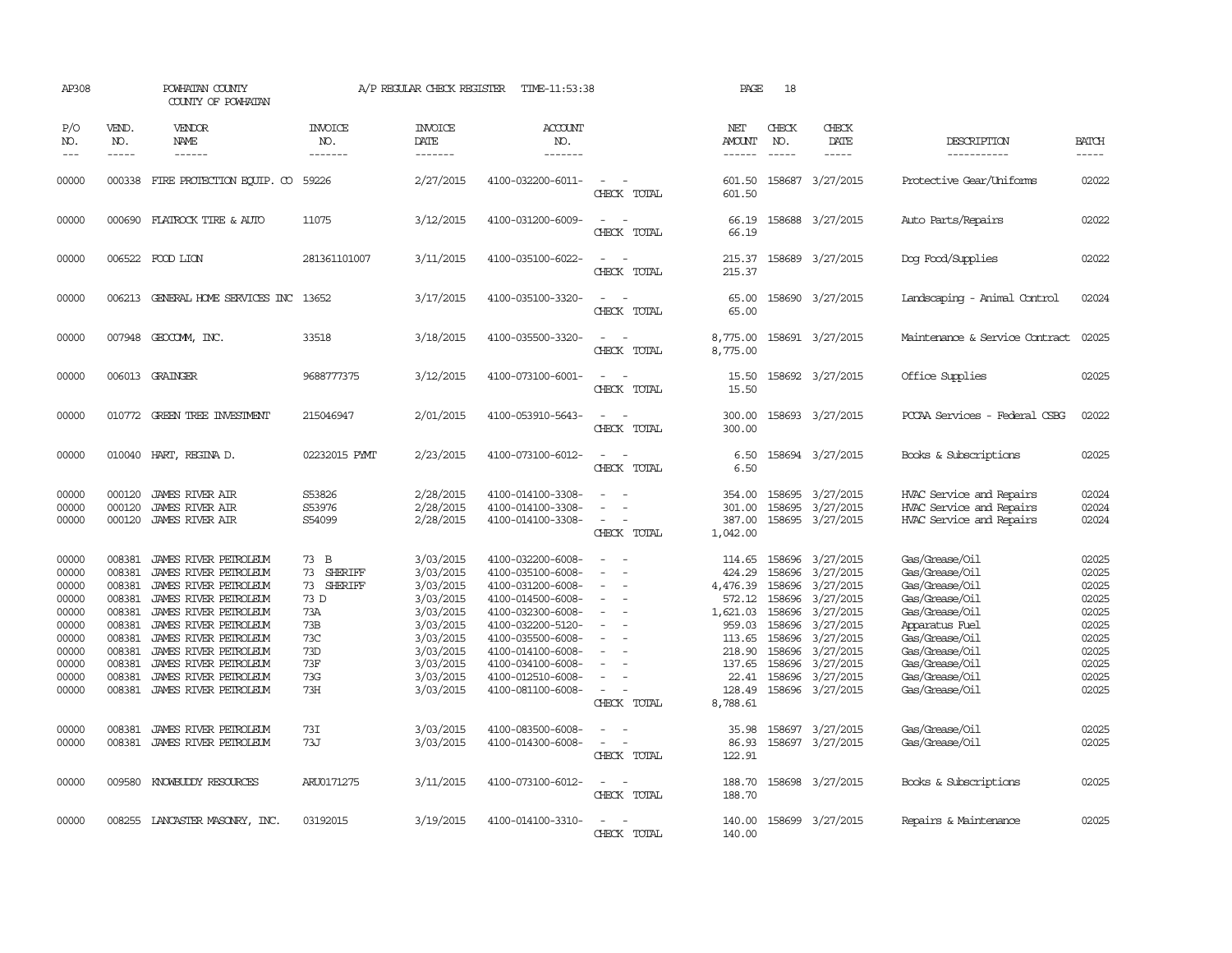| AP308                                                                                                             |                                                                                                                                | POWHATAN COUNTY<br>COUNTY OF POWHATAN                                                                                                                                                                                                                                                                                             |                                                                                                               | A/P REGULAR CHECK REGISTER                                                                                                                                            | TIME-11:53:38                                                                                                                                                                                                                                                                 |                                                                                    | PAGE                                                                                                                                                  | 18                                                                                                         |                                                                                                                                                                                     |                                                                                                                                                                                                                                        |                                                                                                                   |
|-------------------------------------------------------------------------------------------------------------------|--------------------------------------------------------------------------------------------------------------------------------|-----------------------------------------------------------------------------------------------------------------------------------------------------------------------------------------------------------------------------------------------------------------------------------------------------------------------------------|---------------------------------------------------------------------------------------------------------------|-----------------------------------------------------------------------------------------------------------------------------------------------------------------------|-------------------------------------------------------------------------------------------------------------------------------------------------------------------------------------------------------------------------------------------------------------------------------|------------------------------------------------------------------------------------|-------------------------------------------------------------------------------------------------------------------------------------------------------|------------------------------------------------------------------------------------------------------------|-------------------------------------------------------------------------------------------------------------------------------------------------------------------------------------|----------------------------------------------------------------------------------------------------------------------------------------------------------------------------------------------------------------------------------------|-------------------------------------------------------------------------------------------------------------------|
| P/O<br>NO.<br>$\qquad \qquad -$                                                                                   | VEND.<br>NO.                                                                                                                   | VENDOR<br>NAME                                                                                                                                                                                                                                                                                                                    | <b>INVOICE</b><br>NO.<br>-------                                                                              | <b>INVOICE</b><br>DATE<br>-------                                                                                                                                     | <b>ACCOUNT</b><br>NO.<br>-------                                                                                                                                                                                                                                              |                                                                                    | NET<br><b>AMOUNT</b><br>------                                                                                                                        | CHECK<br>NO.<br>$\frac{1}{2}$                                                                              | CHECK<br>DATE<br>-----                                                                                                                                                              | DESCRIPTION<br>-----------                                                                                                                                                                                                             | <b>BATCH</b><br>-----                                                                                             |
| 00000                                                                                                             |                                                                                                                                | 000338 FIRE PROTECTION EQUIP. CO 59226                                                                                                                                                                                                                                                                                            |                                                                                                               | 2/27/2015                                                                                                                                                             | 4100-032200-6011-                                                                                                                                                                                                                                                             | CHECK TOTAL                                                                        | 601.50<br>601.50                                                                                                                                      |                                                                                                            | 158687 3/27/2015                                                                                                                                                                    | Protective Gear/Uniforms                                                                                                                                                                                                               | 02022                                                                                                             |
| 00000                                                                                                             |                                                                                                                                | 000690 FLATROCK TIRE & AUTO                                                                                                                                                                                                                                                                                                       | 11075                                                                                                         | 3/12/2015                                                                                                                                                             | 4100-031200-6009-                                                                                                                                                                                                                                                             | CHECK TOTAL                                                                        | 66.19<br>66.19                                                                                                                                        |                                                                                                            | 158688 3/27/2015                                                                                                                                                                    | Auto Parts/Repairs                                                                                                                                                                                                                     | 02022                                                                                                             |
| 00000                                                                                                             |                                                                                                                                | 006522 FOOD LION                                                                                                                                                                                                                                                                                                                  | 281361101007                                                                                                  | 3/11/2015                                                                                                                                                             | 4100-035100-6022-                                                                                                                                                                                                                                                             | CHECK TOTAL                                                                        | 215.37<br>215.37                                                                                                                                      |                                                                                                            | 158689 3/27/2015                                                                                                                                                                    | Dog Food/Supplies                                                                                                                                                                                                                      | 02022                                                                                                             |
| 00000                                                                                                             |                                                                                                                                | 006213 GENERAL HOME SERVICES INC                                                                                                                                                                                                                                                                                                  | 13652                                                                                                         | 3/17/2015                                                                                                                                                             | 4100-035100-3320-                                                                                                                                                                                                                                                             | $\equiv$<br>CHECK TOTAL                                                            | 65.00<br>65.00                                                                                                                                        |                                                                                                            | 158690 3/27/2015                                                                                                                                                                    | Landscaping - Animal Control                                                                                                                                                                                                           | 02024                                                                                                             |
| 00000                                                                                                             |                                                                                                                                | 007948 GEOCOMM, INC.                                                                                                                                                                                                                                                                                                              | 33518                                                                                                         | 3/18/2015                                                                                                                                                             | 4100-035500-3320-                                                                                                                                                                                                                                                             | CHECK TOTAL                                                                        | 8,775.00<br>8,775.00                                                                                                                                  |                                                                                                            | 158691 3/27/2015                                                                                                                                                                    | Maintenance & Service Contract                                                                                                                                                                                                         | 02025                                                                                                             |
| 00000                                                                                                             |                                                                                                                                | 006013 GRAINGER                                                                                                                                                                                                                                                                                                                   | 9688777375                                                                                                    | 3/12/2015                                                                                                                                                             | 4100-073100-6001-                                                                                                                                                                                                                                                             | CHECK TOTAL                                                                        | 15.50<br>15.50                                                                                                                                        |                                                                                                            | 158692 3/27/2015                                                                                                                                                                    | Office Supplies                                                                                                                                                                                                                        | 02025                                                                                                             |
| 00000                                                                                                             | 010772                                                                                                                         | GREEN TREE INVESTMENT                                                                                                                                                                                                                                                                                                             | 215046947                                                                                                     | 2/01/2015                                                                                                                                                             | 4100-053910-5643-                                                                                                                                                                                                                                                             | CHECK TOTAL                                                                        | 300.00<br>300.00                                                                                                                                      |                                                                                                            | 158693 3/27/2015                                                                                                                                                                    | PCCAA Services - Federal CSBG                                                                                                                                                                                                          | 02022                                                                                                             |
| 00000                                                                                                             |                                                                                                                                | 010040 HART, REGINA D.                                                                                                                                                                                                                                                                                                            | 02232015 PYMT                                                                                                 | 2/23/2015                                                                                                                                                             | 4100-073100-6012-                                                                                                                                                                                                                                                             | $\sim$<br>CHECK TOTAL                                                              | 6.50<br>6.50                                                                                                                                          |                                                                                                            | 158694 3/27/2015                                                                                                                                                                    | Books & Subscriptions                                                                                                                                                                                                                  | 02025                                                                                                             |
| 00000<br>00000<br>00000                                                                                           | 000120<br>000120<br>000120                                                                                                     | <b>JAMES RIVER AIR</b><br><b>JAMES RIVER AIR</b><br><b>JAMES RIVER AIR</b>                                                                                                                                                                                                                                                        | S53826<br>S53976<br>S54099                                                                                    | 2/28/2015<br>2/28/2015<br>2/28/2015                                                                                                                                   | 4100-014100-3308-<br>4100-014100-3308-<br>4100-014100-3308-                                                                                                                                                                                                                   | $\sim$<br>CHECK TOTAL                                                              | 354.00<br>301.00<br>387.00<br>1,042.00                                                                                                                | 158695<br>158695                                                                                           | 3/27/2015<br>3/27/2015<br>158695 3/27/2015                                                                                                                                          | HVAC Service and Repairs<br>HVAC Service and Repairs<br>HVAC Service and Repairs                                                                                                                                                       | 02024<br>02024<br>02024                                                                                           |
| 00000<br>00000<br>00000<br>00000<br>00000<br>00000<br>00000<br>00000<br>00000<br>00000<br>00000<br>00000<br>00000 | 008381<br>008381<br>008381<br>008381<br>008381<br>008381<br>008381<br>008381<br>008381<br>008381<br>008381<br>008381<br>008381 | JAMES RIVER PETROLEUM<br>JAMES RIVER PETROLEUM<br>JAMES RIVER PETROLEUM<br>JAMES RIVER PETROLEUM<br>JAMES RIVER PETROLEUM<br>JAMES RIVER PETROLEUM<br>JAMES RIVER PETROLEUM<br>JAMES RIVER PETROLEUM<br>JAMES RIVER PETROLEUM<br>JAMES RIVER PETROLEUM<br>JAMES RIVER PETROLEUM<br>JAMES RIVER PETROLEUM<br>JAMES RIVER PETROLEUM | 73 B<br>73<br>SHERIFF<br>73<br>SHERIFF<br>73 D<br>73A<br>73B<br>73C<br>73D<br>73F<br>73G<br>73H<br>73I<br>73J | 3/03/2015<br>3/03/2015<br>3/03/2015<br>3/03/2015<br>3/03/2015<br>3/03/2015<br>3/03/2015<br>3/03/2015<br>3/03/2015<br>3/03/2015<br>3/03/2015<br>3/03/2015<br>3/03/2015 | 4100-032200-6008-<br>4100-035100-6008-<br>4100-031200-6008-<br>4100-014500-6008-<br>4100-032300-6008-<br>4100-032200-5120-<br>4100-035500-6008-<br>4100-014100-6008-<br>4100-034100-6008-<br>4100-012510-6008-<br>4100-081100-6008-<br>4100-083500-6008-<br>4100-014300-6008- | $\overline{\phantom{a}}$<br>CHECK TOTAL<br>$\overline{\phantom{a}}$<br>CHECK TOTAL | 114.65<br>424.29<br>4,476.39<br>572.12<br>1,621.03<br>959.03<br>113.65<br>218.90<br>137.65<br>22.41<br>128.49<br>8,788.61<br>35.98<br>86.93<br>122.91 | 158696<br>158696<br>158696<br>158696<br>158696<br>158696<br>158696<br>158696<br>158696<br>158696<br>158697 | 158696 3/27/2015<br>3/27/2015<br>3/27/2015<br>3/27/2015<br>3/27/2015<br>3/27/2015<br>3/27/2015<br>3/27/2015<br>3/27/2015<br>3/27/2015<br>3/27/2015<br>3/27/2015<br>158697 3/27/2015 | Gas/Grease/Oil<br>Gas/Grease/Oil<br>Gas/Grease/Oil<br>Gas/Grease/Oil<br>Gas/Grease/Oil<br>Apparatus Fuel<br>Gas/Grease/Oil<br>Gas/Grease/Oil<br>Gas/Grease/Oil<br>Gas/Grease/Oil<br>Gas/Grease/Oil<br>Gas/Grease/0il<br>Gas/Grease/Oil | 02025<br>02025<br>02025<br>02025<br>02025<br>02025<br>02025<br>02025<br>02025<br>02025<br>02025<br>02025<br>02025 |
| 00000                                                                                                             |                                                                                                                                | 009580 KNOWBUDDY RESOURCES                                                                                                                                                                                                                                                                                                        | ARU0171275                                                                                                    | 3/11/2015                                                                                                                                                             | 4100-073100-6012-                                                                                                                                                                                                                                                             | $\overline{\phantom{a}}$<br>$\sim$ 100 $\mu$<br>CHECK TOTAL                        | 188.70<br>188.70                                                                                                                                      |                                                                                                            | 158698 3/27/2015                                                                                                                                                                    | Books & Subscriptions                                                                                                                                                                                                                  | 02025                                                                                                             |
| 00000                                                                                                             |                                                                                                                                | 008255 LANCASTER MASONRY, INC.                                                                                                                                                                                                                                                                                                    | 03192015                                                                                                      | 3/19/2015                                                                                                                                                             | 4100-014100-3310-                                                                                                                                                                                                                                                             | CHECK TOTAL                                                                        | 140.00<br>140.00                                                                                                                                      |                                                                                                            | 158699 3/27/2015                                                                                                                                                                    | Repairs & Maintenance                                                                                                                                                                                                                  | 02025                                                                                                             |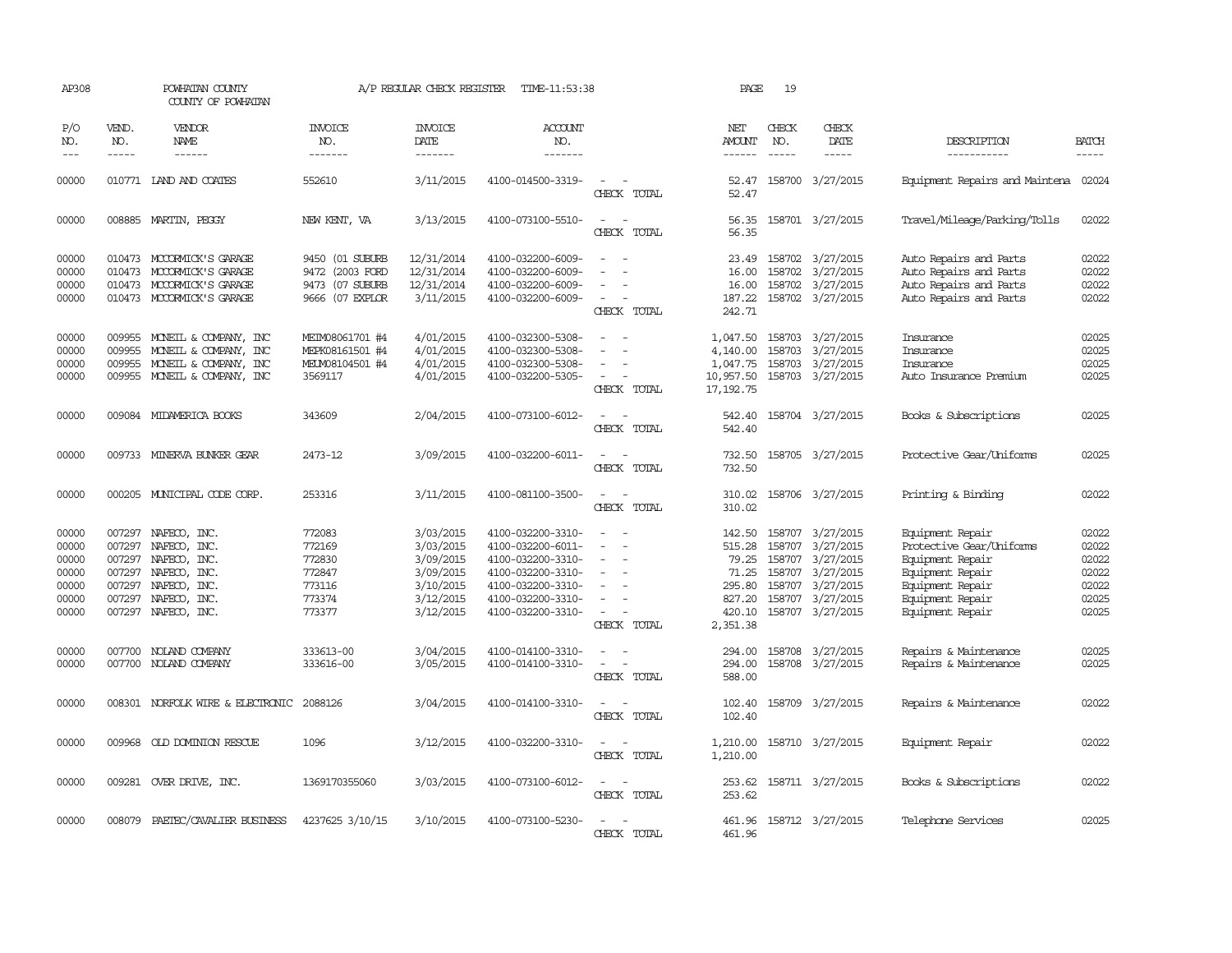| AP308                                                       |                                                          | POWHATAN COUNTY<br>COUNTY OF POWHATAN                                                                                 |                                                                          | A/P REGULAR CHECK REGISTER                                                              | TIME-11:53:38                                                                                                                                   |                                                                     | PAGE                                                                         | 19                         |                                                                                                                     |                                                                                                                                                  |                                                             |
|-------------------------------------------------------------|----------------------------------------------------------|-----------------------------------------------------------------------------------------------------------------------|--------------------------------------------------------------------------|-----------------------------------------------------------------------------------------|-------------------------------------------------------------------------------------------------------------------------------------------------|---------------------------------------------------------------------|------------------------------------------------------------------------------|----------------------------|---------------------------------------------------------------------------------------------------------------------|--------------------------------------------------------------------------------------------------------------------------------------------------|-------------------------------------------------------------|
| P/O<br>NO.<br>$\frac{1}{2}$                                 | VEND.<br>NO.<br>$- - - - -$                              | VENDOR<br><b>NAME</b><br>------                                                                                       | <b>INVOICE</b><br>NO.<br>-------                                         | <b>INVOICE</b><br>DATE<br>-------                                                       | <b>ACCOUNT</b><br>NO.<br>-------                                                                                                                |                                                                     | NET<br><b>AMOUNT</b><br>$- - - - - -$                                        | CHECK<br>NO.<br>-----      | CHECK<br>DATE<br>-----                                                                                              | DESCRIPTION<br>-----------                                                                                                                       | <b>BATCH</b><br>$- - - - -$                                 |
| 00000                                                       |                                                          | 010771 LAND AND COATES                                                                                                | 552610                                                                   | 3/11/2015                                                                               | 4100-014500-3319-                                                                                                                               | CHECK TOTAL                                                         | 52.47<br>52.47                                                               |                            | 158700 3/27/2015                                                                                                    | Equipment Repairs and Maintena 02024                                                                                                             |                                                             |
| 00000                                                       |                                                          | 008885 MARTIN, PEGGY                                                                                                  | NEW KENT, VA                                                             | 3/13/2015                                                                               | 4100-073100-5510-                                                                                                                               | $\overline{\phantom{a}}$<br>$\overline{\phantom{a}}$<br>CHECK TOTAL | 56.35<br>56.35                                                               |                            | 158701 3/27/2015                                                                                                    | Travel/Mileage/Parking/Tolls                                                                                                                     | 02022                                                       |
| 00000<br>00000<br>00000<br>00000                            |                                                          | 010473 MCCORMICK'S GARAGE<br>010473 MCCORMICK'S GARAGE<br>010473 MCCORMICK'S GARAGE<br>010473 MCCORMICK'S GARAGE      | 9450 (01 SUBURB<br>9472 (2003 FORD<br>9473 (07 SUBURB<br>9666 (07 EXPLOR | 12/31/2014<br>12/31/2014<br>12/31/2014<br>3/11/2015                                     | 4100-032200-6009-<br>4100-032200-6009-<br>4100-032200-6009-<br>4100-032200-6009-                                                                | $\overline{\phantom{a}}$<br>CHECK TOTAL                             | 16.00<br>16.00<br>187.22<br>242.71                                           |                            | 23.49 158702 3/27/2015<br>158702 3/27/2015<br>158702 3/27/2015<br>158702 3/27/2015                                  | Auto Repairs and Parts<br>Auto Repairs and Parts<br>Auto Repairs and Parts<br>Auto Repairs and Parts                                             | 02022<br>02022<br>02022<br>02022                            |
| 00000<br>00000<br>00000<br>00000                            | 009955                                                   | 009955 MONEIL & COMPANY, INC<br>MONEIL & COMPANY, INC<br>009955 MONEIL & COMPANY, INC<br>009955 MONEIL & COMPANY, INC | MEIM08061701 #4<br>MEPK08161501 #4<br>MEUM08104501 #4<br>3569117         | 4/01/2015<br>4/01/2015<br>4/01/2015<br>4/01/2015                                        | 4100-032300-5308-<br>4100-032300-5308-<br>4100-032300-5308-<br>4100-032200-5305-                                                                | $\overline{\phantom{a}}$<br>CHECK TOTAL                             | 1,047.50<br>4,140.00<br>1,047.75<br>10,957.50<br>17, 192.75                  |                            | 158703 3/27/2015<br>158703 3/27/2015<br>158703 3/27/2015<br>158703 3/27/2015                                        | Insurance<br>Insurance<br>Insurance<br>Auto Insurance Premium                                                                                    | 02025<br>02025<br>02025<br>02025                            |
| 00000                                                       |                                                          | 009084 MIDAMERICA BOOKS                                                                                               | 343609                                                                   | 2/04/2015                                                                               | 4100-073100-6012-                                                                                                                               | $\overline{\phantom{a}}$<br>CHECK TOTAL                             | 542.40<br>542.40                                                             |                            | 158704 3/27/2015                                                                                                    | Books & Subscriptions                                                                                                                            | 02025                                                       |
| 00000                                                       |                                                          | 009733 MINERVA BUNKER GEAR                                                                                            | 2473-12                                                                  | 3/09/2015                                                                               | 4100-032200-6011-                                                                                                                               | $\overline{\phantom{a}}$<br>CHECK TOTAL                             | 732.50<br>732.50                                                             |                            | 158705 3/27/2015                                                                                                    | Protective Gear/Uniforms                                                                                                                         | 02025                                                       |
| 00000                                                       |                                                          | 000205 MUNICIPAL CODE CORP.                                                                                           | 253316                                                                   | 3/11/2015                                                                               | 4100-081100-3500-                                                                                                                               | CHECK TOTAL                                                         | 310.02<br>310.02                                                             |                            | 158706 3/27/2015                                                                                                    | Printing & Binding                                                                                                                               | 02022                                                       |
| 00000<br>00000<br>00000<br>00000<br>00000<br>00000<br>00000 | 007297<br>007297<br>007297<br>007297<br>007297<br>007297 | NAFECO, INC.<br>NAFECO, INC.<br>NAFECO, INC.<br>NAFECO, INC.<br>NAFECO, INC.<br>NAFECO, INC.<br>007297 NAFECO, INC.   | 772083<br>772169<br>772830<br>772847<br>773116<br>773374<br>773377       | 3/03/2015<br>3/03/2015<br>3/09/2015<br>3/09/2015<br>3/10/2015<br>3/12/2015<br>3/12/2015 | 4100-032200-3310-<br>4100-032200-6011-<br>4100-032200-3310-<br>4100-032200-3310-<br>4100-032200-3310-<br>4100-032200-3310-<br>4100-032200-3310- | $\overline{\phantom{a}}$<br>CHECK TOTAL                             | 142.50<br>515.28<br>79.25<br>71.25<br>295.80<br>827.20<br>420.10<br>2,351.38 | 158707<br>158707<br>158707 | 158707 3/27/2015<br>3/27/2015<br>158707 3/27/2015<br>158707 3/27/2015<br>3/27/2015<br>3/27/2015<br>158707 3/27/2015 | Equipment Repair<br>Protective Gear/Uniforms<br>Equipment Repair<br>Equipment Repair<br>Equipment Repair<br>Equipment Repair<br>Equipment Repair | 02022<br>02022<br>02022<br>02022<br>02022<br>02025<br>02025 |
| 00000<br>00000                                              | 007700                                                   | NOLAND COMPANY<br>007700 NOLAND COMPANY                                                                               | 333613-00<br>333616-00                                                   | 3/04/2015<br>3/05/2015                                                                  | 4100-014100-3310-<br>4100-014100-3310-                                                                                                          | $\sim$<br>$\overline{\phantom{a}}$<br>CHECK TOTAL                   | 294.00<br>294.00<br>588.00                                                   |                            | 158708 3/27/2015<br>158708 3/27/2015                                                                                | Repairs & Maintenance<br>Repairs & Maintenance                                                                                                   | 02025<br>02025                                              |
| 00000                                                       |                                                          | 008301 NORFOLK WIRE & ELECTRONIC                                                                                      | 2088126                                                                  | 3/04/2015                                                                               | 4100-014100-3310-                                                                                                                               | $\sim$<br>CHECK TOTAL                                               | 102.40<br>102.40                                                             |                            | 158709 3/27/2015                                                                                                    | Repairs & Maintenance                                                                                                                            | 02022                                                       |
| 00000                                                       |                                                          | 009968 OLD DOMINION RESCUE                                                                                            | 1096                                                                     | 3/12/2015                                                                               | 4100-032200-3310-                                                                                                                               | $\sim$<br>CHECK TOTAL                                               | 1,210.00<br>1,210.00                                                         |                            | 158710 3/27/2015                                                                                                    | Equipment Repair                                                                                                                                 | 02022                                                       |
| 00000                                                       |                                                          | 009281 OVER DRIVE, INC.                                                                                               | 1369170355060                                                            | 3/03/2015                                                                               | 4100-073100-6012-                                                                                                                               | $\sim$<br>CHECK TOTAL                                               | 253.62                                                                       |                            | 253.62 158711 3/27/2015                                                                                             | Books & Subscriptions                                                                                                                            | 02022                                                       |
| 00000                                                       | 008079                                                   | PAETEC/CAVALIER BUSINESS                                                                                              | 4237625 3/10/15                                                          | 3/10/2015                                                                               | 4100-073100-5230-                                                                                                                               | CHECK TOTAL                                                         | 461.96                                                                       |                            | 461.96 158712 3/27/2015                                                                                             | Telephone Services                                                                                                                               | 02025                                                       |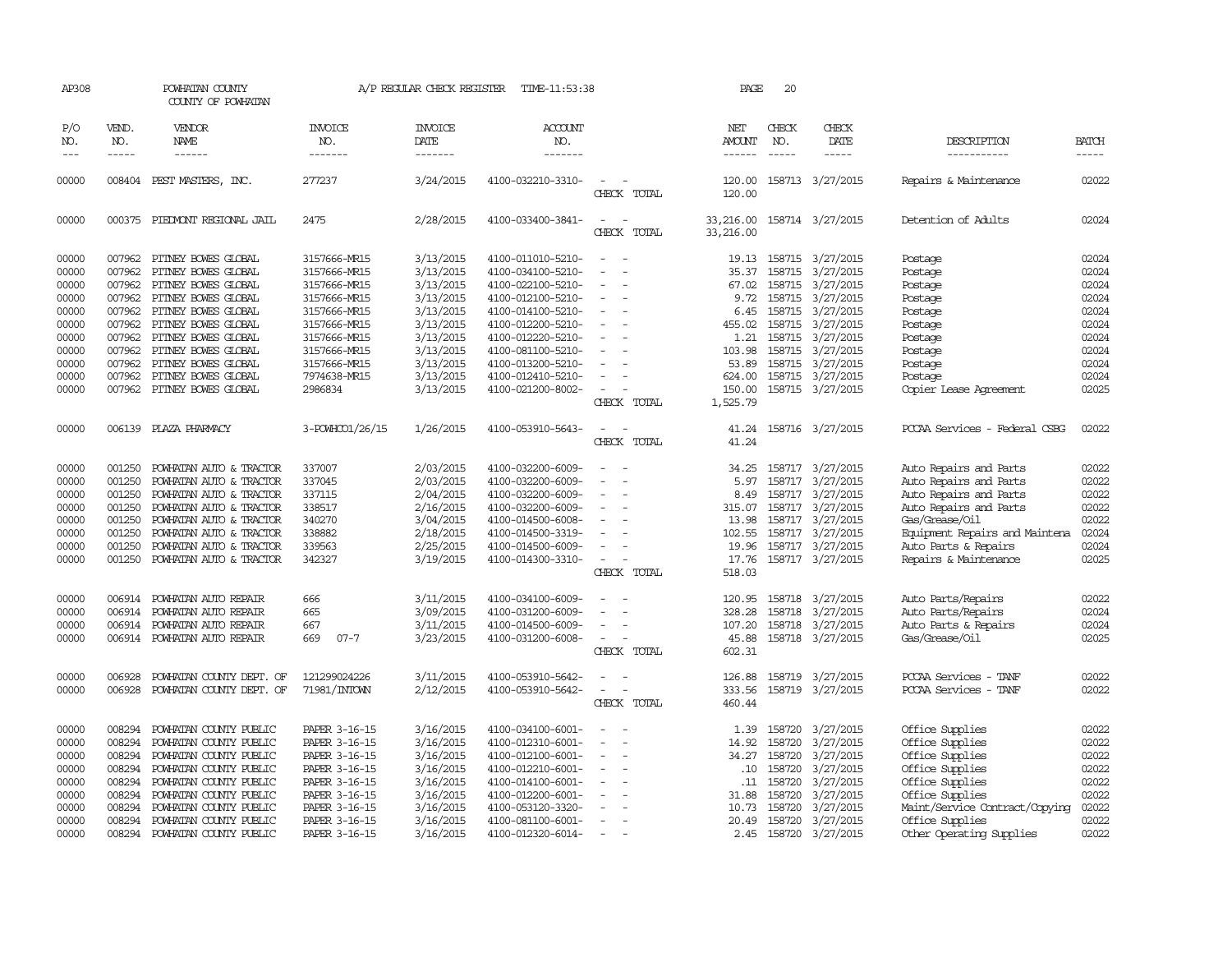| AP308                                                                                           |                                                                                        | POWHATAN COUNTY<br>COUNTY OF POWHATAN                                                                                                                                                                                                                                          |                                                                                                                                                                         | A/P REGULAR CHECK REGISTER                                                                                                                  | TIME-11:53:38                                                                                                                                                                                                                       |                                                                                                                  | PAGE                                                                                    | 20                                                                 |                                                                                                                                                                                                                                |                                                                                                                                                                                                           |                                                                                                 |
|-------------------------------------------------------------------------------------------------|----------------------------------------------------------------------------------------|--------------------------------------------------------------------------------------------------------------------------------------------------------------------------------------------------------------------------------------------------------------------------------|-------------------------------------------------------------------------------------------------------------------------------------------------------------------------|---------------------------------------------------------------------------------------------------------------------------------------------|-------------------------------------------------------------------------------------------------------------------------------------------------------------------------------------------------------------------------------------|------------------------------------------------------------------------------------------------------------------|-----------------------------------------------------------------------------------------|--------------------------------------------------------------------|--------------------------------------------------------------------------------------------------------------------------------------------------------------------------------------------------------------------------------|-----------------------------------------------------------------------------------------------------------------------------------------------------------------------------------------------------------|-------------------------------------------------------------------------------------------------|
| P/O<br>NO.<br>$---$                                                                             | VEND.<br>NO.<br>-----                                                                  | <b>VENDOR</b><br><b>NAME</b><br>------                                                                                                                                                                                                                                         | <b>INVOICE</b><br>NO.<br>-------                                                                                                                                        | <b>INVOICE</b><br>DATE<br>-------                                                                                                           | <b>ACCOUNT</b><br>NO.<br>-------                                                                                                                                                                                                    |                                                                                                                  | NET<br>AMOUNT<br>$- - - - - -$                                                          | CHECK<br>NO.<br>$- - - - -$                                        | CHECK<br><b>DATE</b><br>-----                                                                                                                                                                                                  | DESCRIPTION<br>-----------                                                                                                                                                                                | <b>BATCH</b>                                                                                    |
| 00000                                                                                           |                                                                                        | 008404 PEST MASTERS, INC.                                                                                                                                                                                                                                                      | 277237                                                                                                                                                                  | 3/24/2015                                                                                                                                   | 4100-032210-3310-                                                                                                                                                                                                                   | $\overline{\phantom{a}}$<br>CHECK TOTAL                                                                          | 120.00<br>120.00                                                                        |                                                                    | 158713 3/27/2015                                                                                                                                                                                                               | Repairs & Maintenance                                                                                                                                                                                     | 02022                                                                                           |
| 00000                                                                                           |                                                                                        | 000375 PIEDMONT REGIONAL JAIL                                                                                                                                                                                                                                                  | 2475                                                                                                                                                                    | 2/28/2015                                                                                                                                   | 4100-033400-3841-                                                                                                                                                                                                                   | $\sim$<br>CHECK TOTAL                                                                                            | 33,216.00<br>33,216.00                                                                  |                                                                    | 158714 3/27/2015                                                                                                                                                                                                               | Detention of Adults                                                                                                                                                                                       | 02024                                                                                           |
| 00000<br>00000<br>00000<br>00000<br>00000<br>00000<br>00000<br>00000<br>00000<br>00000<br>00000 | 007962<br>007962<br>007962<br>007962<br>007962<br>007962<br>007962<br>007962           | 007962 PITNEY BOWES GLOBAL<br>PITNEY BOWES GLOBAL<br>PITNEY BOWES GLOBAL<br>PITNEY BOWES GLOBAL<br>PITNEY BOWES GLOBAL<br>PITNEY BOWES GLOBAL<br>PITNEY BOWES GLOBAL<br>007962 PITNEY BOWES GLOBAL<br>PITNEY BOWES GLOBAL<br>PITNEY BOWES GLOBAL<br>007962 PITNEY BOWES GLOBAL | 3157666-MR15<br>3157666-MR15<br>3157666-MR15<br>3157666-MR15<br>3157666-MR15<br>3157666-MR15<br>3157666-MR15<br>3157666-MR15<br>3157666-MR15<br>7974638-MR15<br>2986834 | 3/13/2015<br>3/13/2015<br>3/13/2015<br>3/13/2015<br>3/13/2015<br>3/13/2015<br>3/13/2015<br>3/13/2015<br>3/13/2015<br>3/13/2015<br>3/13/2015 | 4100-011010-5210-<br>4100-034100-5210-<br>4100-022100-5210-<br>4100-012100-5210-<br>4100-014100-5210-<br>4100-012200-5210-<br>4100-012220-5210-<br>4100-081100-5210-<br>4100-013200-5210-<br>4100-012410-5210-<br>4100-021200-8002- | $\overline{\phantom{a}}$<br>$\overline{\phantom{a}}$<br>$\equiv$<br>$\overline{\phantom{a}}$<br>$\sim$<br>$\sim$ | 35.37<br>67.02<br>9.72<br>6.45<br>455.02<br>1.21<br>103.98<br>53.89<br>624.00<br>150.00 |                                                                    | 19.13 158715 3/27/2015<br>158715 3/27/2015<br>158715 3/27/2015<br>158715 3/27/2015<br>158715 3/27/2015<br>158715 3/27/2015<br>158715 3/27/2015<br>158715 3/27/2015<br>158715 3/27/2015<br>158715 3/27/2015<br>158715 3/27/2015 | Postage<br>Postage<br>Postage<br>Postage<br>Postage<br>Postage<br>Postage<br>Postage<br>Postage<br>Postage<br>Copier Lease Agreement                                                                      | 02024<br>02024<br>02024<br>02024<br>02024<br>02024<br>02024<br>02024<br>02024<br>02024<br>02025 |
| 00000                                                                                           |                                                                                        | 006139 PLAZA PHARMACY                                                                                                                                                                                                                                                          | 3-POWHOO1/26/15                                                                                                                                                         | 1/26/2015                                                                                                                                   | 4100-053910-5643-                                                                                                                                                                                                                   | CHECK TOTAL<br>CHECK TOTAL                                                                                       | 1,525.79<br>41.24<br>41.24                                                              |                                                                    | 158716 3/27/2015                                                                                                                                                                                                               | PCCAA Services - Federal CSBG                                                                                                                                                                             | 02022                                                                                           |
| 00000<br>00000<br>00000<br>00000<br>00000<br>00000<br>00000<br>00000                            | 001250<br>001250<br>001250<br>001250<br>001250<br>001250<br>001250<br>001250           | POWHATAN AUTO & TRACTOR<br>POWHATAN AUTO & TRACTOR<br>POWHATAN AUTO & TRACTOR<br>POWHATAN AUTO & TRACTOR<br>POWHATAN AUTO & TRACTOR<br>POWHATAN AUTO & TRACTOR<br>POWHATAN AUTO & TRACTOR<br>POWHATAN AUTO & TRACTOR                                                           | 337007<br>337045<br>337115<br>338517<br>340270<br>338882<br>339563<br>342327                                                                                            | 2/03/2015<br>2/03/2015<br>2/04/2015<br>2/16/2015<br>3/04/2015<br>2/18/2015<br>2/25/2015<br>3/19/2015                                        | 4100-032200-6009-<br>4100-032200-6009-<br>4100-032200-6009-<br>4100-032200-6009-<br>4100-014500-6008-<br>4100-014500-3319-<br>4100-014500-6009-<br>4100-014300-3310-                                                                | $\sim$<br>$\overline{\phantom{a}}$<br>$\overline{\phantom{a}}$<br>$\overline{\phantom{a}}$<br>CHECK TOTAL        | 34.25<br>5.97<br>8.49<br>315.07<br>13.98<br>102.55<br>19.96<br>17.76<br>518.03          |                                                                    | 158717 3/27/2015<br>158717 3/27/2015<br>158717 3/27/2015<br>158717 3/27/2015<br>158717 3/27/2015<br>158717 3/27/2015<br>158717 3/27/2015<br>158717 3/27/2015                                                                   | Auto Repairs and Parts<br>Auto Repairs and Parts<br>Auto Repairs and Parts<br>Auto Repairs and Parts<br>Gas/Grease/Oil<br>Equipment Repairs and Maintena<br>Auto Parts & Repairs<br>Repairs & Maintenance | 02022<br>02022<br>02022<br>02022<br>02022<br>02024<br>02024<br>02025                            |
| 00000<br>00000<br>00000<br>00000                                                                | 006914<br>006914<br>006914                                                             | POWHATAN AUTO REPAIR<br>POWHATAN AUTO REPAIR<br>POWHATAN AUTO REPAIR<br>006914 POWHATAN AUTO REPAIR                                                                                                                                                                            | 666<br>665<br>667<br>669<br>$07 - 7$                                                                                                                                    | 3/11/2015<br>3/09/2015<br>3/11/2015<br>3/23/2015                                                                                            | 4100-034100-6009-<br>4100-031200-6009-<br>4100-014500-6009-<br>4100-031200-6008-                                                                                                                                                    | CHECK TOTAL                                                                                                      | 120.95<br>328.28<br>107.20<br>45.88<br>602.31                                           |                                                                    | 158718 3/27/2015<br>158718 3/27/2015<br>158718 3/27/2015<br>158718 3/27/2015                                                                                                                                                   | Auto Parts/Repairs<br>Auto Parts/Repairs<br>Auto Parts & Repairs<br>Gas/Grease/Oil                                                                                                                        | 02022<br>02024<br>02024<br>02025                                                                |
| 00000<br>00000                                                                                  | 006928<br>006928                                                                       | POWHATAN COUNTY DEPT. OF<br>POWHATAN COUNTY DEPT. OF                                                                                                                                                                                                                           | 121299024226<br>71981/INTOWN                                                                                                                                            | 3/11/2015<br>2/12/2015                                                                                                                      | 4100-053910-5642-<br>4100-053910-5642-                                                                                                                                                                                              | CHECK TOTAL                                                                                                      | 126.88<br>333.56<br>460.44                                                              |                                                                    | 158719 3/27/2015<br>158719 3/27/2015                                                                                                                                                                                           | PCCAA Services - TANF<br>PCCAA Services - TANF                                                                                                                                                            | 02022<br>02022                                                                                  |
| 00000<br>00000<br>00000<br>00000<br>00000<br>00000<br>00000<br>00000<br>00000                   | 008294<br>008294<br>008294<br>008294<br>008294<br>008294<br>008294<br>008294<br>008294 | POWHATAN COUNTY PUBLIC<br>POWHATAN COUNTY PUBLIC<br>POWHATAN COUNTY PUBLIC<br>POWHATAN COUNTY PUBLIC<br>POWHATAN COUNTY PUBLIC<br>POWHATAN COUNTY PUBLIC<br>POWHATAN COUNTY PUBLIC<br>POWHATAN COUNTY PUBLIC<br>POWHATAN COUNTY PUBLIC                                         | PAPER 3-16-15<br>PAPER 3-16-15<br>PAPER 3-16-15<br>PAPER 3-16-15<br>PAPER 3-16-15<br>PAPER 3-16-15<br>PAPER 3-16-15<br>PAPER 3-16-15<br>PAPER 3-16-15                   | 3/16/2015<br>3/16/2015<br>3/16/2015<br>3/16/2015<br>3/16/2015<br>3/16/2015<br>3/16/2015<br>3/16/2015<br>3/16/2015                           | 4100-034100-6001-<br>4100-012310-6001-<br>4100-012100-6001-<br>4100-012210-6001-<br>4100-014100-6001-<br>4100-012200-6001-<br>4100-053120-3320-<br>4100-081100-6001-<br>4100-012320-6014-                                           | $\overline{\phantom{a}}$<br>$\overline{\phantom{a}}$<br>$\sim$                                                   | 1.39<br>14.92<br>34.27<br>.10<br>.11<br>31.88<br>10.73<br>20.49                         | 158720<br>158720<br>158720<br>158720<br>158720<br>158720<br>158720 | 3/27/2015<br>3/27/2015<br>3/27/2015<br>3/27/2015<br>3/27/2015<br>3/27/2015<br>3/27/2015<br>158720 3/27/2015<br>2.45 158720 3/27/2015                                                                                           | Office Supplies<br>Office Supplies<br>Office Supplies<br>Office Supplies<br>Office Supplies<br>Office Supplies<br>Maint/Service Contract/Copying<br>Office Supplies<br>Other Operating Supplies           | 02022<br>02022<br>02022<br>02022<br>02022<br>02022<br>02022<br>02022<br>02022                   |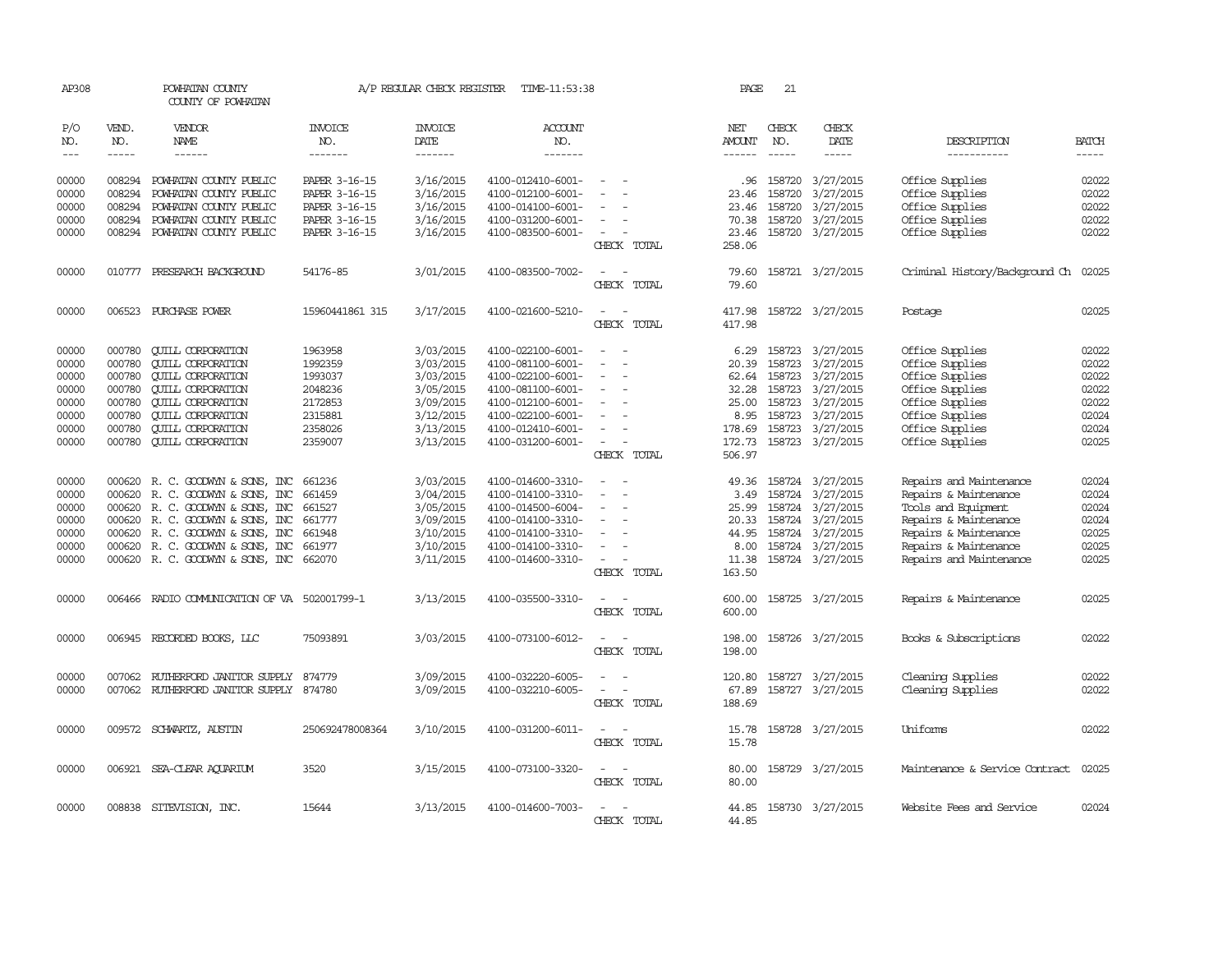| AP308                                                                |                                                                              | POWHATAN COUNTY<br>COUNTY OF POWHATAN                                                                                                                                                                                               |                                                                                      | A/P REGULAR CHECK REGISTER                                                                           | TIME-11:53:38                                                                                                                                                        |                                                                                 | PAGE                                                                           | 21                                   |                                                                                                                                         |                                                                                                                                                                               |                                                                                                                                                                                                                                                                                                             |
|----------------------------------------------------------------------|------------------------------------------------------------------------------|-------------------------------------------------------------------------------------------------------------------------------------------------------------------------------------------------------------------------------------|--------------------------------------------------------------------------------------|------------------------------------------------------------------------------------------------------|----------------------------------------------------------------------------------------------------------------------------------------------------------------------|---------------------------------------------------------------------------------|--------------------------------------------------------------------------------|--------------------------------------|-----------------------------------------------------------------------------------------------------------------------------------------|-------------------------------------------------------------------------------------------------------------------------------------------------------------------------------|-------------------------------------------------------------------------------------------------------------------------------------------------------------------------------------------------------------------------------------------------------------------------------------------------------------|
| P/O<br>NO.<br>$\qquad \qquad - -$                                    | VEND.<br>NO.<br>$\cdots$                                                     | VENDOR<br><b>NAME</b><br>------                                                                                                                                                                                                     | <b>INVOICE</b><br>NO.<br>-------                                                     | <b>INVOICE</b><br><b>DATE</b><br>-------                                                             | <b>ACCOUNT</b><br>NO.<br>-------                                                                                                                                     |                                                                                 | NET<br>AMOUNT                                                                  | CHECK<br>NO.<br>$\frac{1}{2}$        | CHECK<br><b>DATE</b><br>-----                                                                                                           | DESCRIPTION<br>-----------                                                                                                                                                    | <b>BATCH</b><br>$\begin{tabular}{ccccc} \multicolumn{2}{c }{\multicolumn{2}{c }{\multicolumn{2}{c }{\multicolumn{2}{c}}{\hspace{-2.2cm}}}} \multicolumn{2}{c }{\end{tabular}} \end{tabular} \begin{tabular}{c c }{\multicolumn{2}{c }{\multicolumn{2}{c }{\hspace{-2.2cm}}\hspace{-2.2cm}}}} \end{tabular}$ |
| 00000<br>00000<br>00000<br>00000<br>00000                            | 008294<br>008294<br>008294<br>008294<br>008294                               | POWHATAN COUNTY PUBLIC<br>POWHATAN COUNTY PUBLIC<br>POWHATAN COUNTY PUBLIC<br>POWHATAN COUNTY PUBLIC<br>POWHATAN COUNTY PUBLIC                                                                                                      | PAPER 3-16-15<br>PAPER 3-16-15<br>PAPER 3-16-15<br>PAPER 3-16-15<br>PAPER 3-16-15    | 3/16/2015<br>3/16/2015<br>3/16/2015<br>3/16/2015<br>3/16/2015                                        | 4100-012410-6001-<br>4100-012100-6001-<br>4100-014100-6001-<br>4100-031200-6001-<br>4100-083500-6001-                                                                | $\equiv$<br>CHECK TOTAL                                                         | .96<br>23.46<br>23.46<br>70.38<br>23.46<br>258.06                              | 158720<br>158720<br>158720<br>158720 | 3/27/2015<br>3/27/2015<br>3/27/2015<br>3/27/2015<br>158720 3/27/2015                                                                    | Office Supplies<br>Office Supplies<br>Office Supplies<br>Office Supplies<br>Office Supplies                                                                                   | 02022<br>02022<br>02022<br>02022<br>02022                                                                                                                                                                                                                                                                   |
| 00000                                                                | 010777                                                                       | PRESEARCH BACKGROUND                                                                                                                                                                                                                | 54176-85                                                                             | 3/01/2015                                                                                            | 4100-083500-7002-                                                                                                                                                    | $\sim$<br>$\overline{\phantom{a}}$<br>CHECK TOTAL                               | 79.60<br>79.60                                                                 |                                      | 158721 3/27/2015                                                                                                                        | Criminal History/Background Ch                                                                                                                                                | 02025                                                                                                                                                                                                                                                                                                       |
| 00000                                                                |                                                                              | 006523 PURCHASE POWER                                                                                                                                                                                                               | 15960441861 315                                                                      | 3/17/2015                                                                                            | 4100-021600-5210-                                                                                                                                                    | $\overline{\phantom{a}}$<br>CHECK TOTAL                                         | 417.98<br>417.98                                                               |                                      | 158722 3/27/2015                                                                                                                        | Postage                                                                                                                                                                       | 02025                                                                                                                                                                                                                                                                                                       |
| 00000<br>00000<br>00000<br>00000<br>00000<br>00000<br>00000<br>00000 | 000780<br>000780<br>000780<br>000780<br>000780<br>000780<br>000780<br>000780 | <b>CUILL CORPORATION</b><br><b>CUILL CORPORATION</b><br><b>QUILL CORPORATION</b><br><b>QUILL CORPORATION</b><br><b>CUILL CORPORATION</b><br><b>QUILL CORPORATION</b><br><b>QUILL CORPORATION</b><br><b>QUILL CORPORATION</b>        | 1963958<br>1992359<br>1993037<br>2048236<br>2172853<br>2315881<br>2358026<br>2359007 | 3/03/2015<br>3/03/2015<br>3/03/2015<br>3/05/2015<br>3/09/2015<br>3/12/2015<br>3/13/2015<br>3/13/2015 | 4100-022100-6001-<br>4100-081100-6001-<br>4100-022100-6001-<br>4100-081100-6001-<br>4100-012100-6001-<br>4100-022100-6001-<br>4100-012410-6001-<br>4100-031200-6001- | $\overline{\phantom{a}}$<br>$\equiv$<br>$\overline{\phantom{a}}$<br>CHECK TOTAL | 6.29<br>20.39<br>62.64<br>32.28<br>25.00<br>8.95<br>178.69<br>172.73<br>506.97 | 158723<br>158723<br>158723           | 158723 3/27/2015<br>158723 3/27/2015<br>158723 3/27/2015<br>3/27/2015<br>3/27/2015<br>3/27/2015<br>158723 3/27/2015<br>158723 3/27/2015 | Office Supplies<br>Office Supplies<br>Office Supplies<br>Office Supplies<br>Office Supplies<br>Office Supplies<br>Office Supplies<br>Office Supplies                          | 02022<br>02022<br>02022<br>02022<br>02022<br>02024<br>02024<br>02025                                                                                                                                                                                                                                        |
| 00000<br>00000<br>00000<br>00000<br>00000<br>00000<br>00000          | 000620<br>000620<br>000620                                                   | 000620 R. C. GOODWYN & SONS, INC<br>R. C. GOODWYN & SONS, INC<br>R. C. GOODWYN & SONS, INC<br>000620 R. C. GOODWYN & SONS, INC<br>R. C. GOODWYN & SONS, INC<br>000620 R. C. GOODWYN & SONS, INC<br>000620 R. C. GOODWYN & SONS, INC | 661236<br>661459<br>661527<br>661777<br>661948<br>661977<br>662070                   | 3/03/2015<br>3/04/2015<br>3/05/2015<br>3/09/2015<br>3/10/2015<br>3/10/2015<br>3/11/2015              | 4100-014600-3310-<br>4100-014100-3310-<br>4100-014500-6004-<br>4100-014100-3310-<br>4100-014100-3310-<br>4100-014100-3310-<br>4100-014600-3310-                      | $\equiv$<br>CHECK TOTAL                                                         | 49.36<br>3.49<br>25.99<br>20.33<br>44.95<br>8.00<br>11.38<br>163.50            | 158724                               | 158724 3/27/2015<br>158724 3/27/2015<br>158724 3/27/2015<br>3/27/2015<br>158724 3/27/2015<br>158724 3/27/2015<br>158724 3/27/2015       | Repairs and Maintenance<br>Repairs & Maintenance<br>Tools and Equipment<br>Repairs & Maintenance<br>Repairs & Maintenance<br>Repairs & Maintenance<br>Repairs and Maintenance | 02024<br>02024<br>02024<br>02024<br>02025<br>02025<br>02025                                                                                                                                                                                                                                                 |
| 00000                                                                | 006466                                                                       | RADIO COMMUNICATION OF VA 502001799-1                                                                                                                                                                                               |                                                                                      | 3/13/2015                                                                                            | 4100-035500-3310-                                                                                                                                                    | CHECK TOTAL                                                                     | 600.00<br>600.00                                                               |                                      | 158725 3/27/2015                                                                                                                        | Repairs & Maintenance                                                                                                                                                         | 02025                                                                                                                                                                                                                                                                                                       |
| 00000                                                                |                                                                              | 006945 RECORDED BOOKS, LLC                                                                                                                                                                                                          | 75093891                                                                             | 3/03/2015                                                                                            | 4100-073100-6012-                                                                                                                                                    | CHECK TOTAL                                                                     | 198.00<br>198.00                                                               |                                      | 158726 3/27/2015                                                                                                                        | Books & Subscriptions                                                                                                                                                         | 02022                                                                                                                                                                                                                                                                                                       |
| 00000<br>00000                                                       |                                                                              | 007062 RUIHERFORD JANITOR SUPPLY<br>007062 RUIHERFORD JANITOR SUPPLY 874780                                                                                                                                                         | 874779                                                                               | 3/09/2015<br>3/09/2015                                                                               | 4100-032220-6005-<br>4100-032210-6005-                                                                                                                               | $\sim$<br>$\sim$<br>CHECK TOTAL                                                 | 120.80<br>67.89<br>188.69                                                      |                                      | 158727 3/27/2015<br>158727 3/27/2015                                                                                                    | Cleaning Supplies<br>Cleaning Supplies                                                                                                                                        | 02022<br>02022                                                                                                                                                                                                                                                                                              |
| 00000                                                                |                                                                              | 009572 SCHWARTZ, AUSTIN                                                                                                                                                                                                             | 250692478008364                                                                      | 3/10/2015                                                                                            | 4100-031200-6011-                                                                                                                                                    | $\sim$<br>$\sim$<br>CHECK TOTAL                                                 | 15.78<br>15.78                                                                 |                                      | 158728 3/27/2015                                                                                                                        | Uniforms                                                                                                                                                                      | 02022                                                                                                                                                                                                                                                                                                       |
| 00000                                                                |                                                                              | 006921 SEA-CLEAR AQUARIUM                                                                                                                                                                                                           | 3520                                                                                 | 3/15/2015                                                                                            | 4100-073100-3320-                                                                                                                                                    | CHECK TOTAL                                                                     | 80.00<br>80.00                                                                 |                                      | 158729 3/27/2015                                                                                                                        | Maintenance & Service Contract                                                                                                                                                | 02025                                                                                                                                                                                                                                                                                                       |
| 00000                                                                |                                                                              | 008838 SITEVISION, INC.                                                                                                                                                                                                             | 15644                                                                                | 3/13/2015                                                                                            | 4100-014600-7003-                                                                                                                                                    | CHECK TOTAL                                                                     | 44.85<br>44.85                                                                 |                                      | 158730 3/27/2015                                                                                                                        | Website Fees and Service                                                                                                                                                      | 02024                                                                                                                                                                                                                                                                                                       |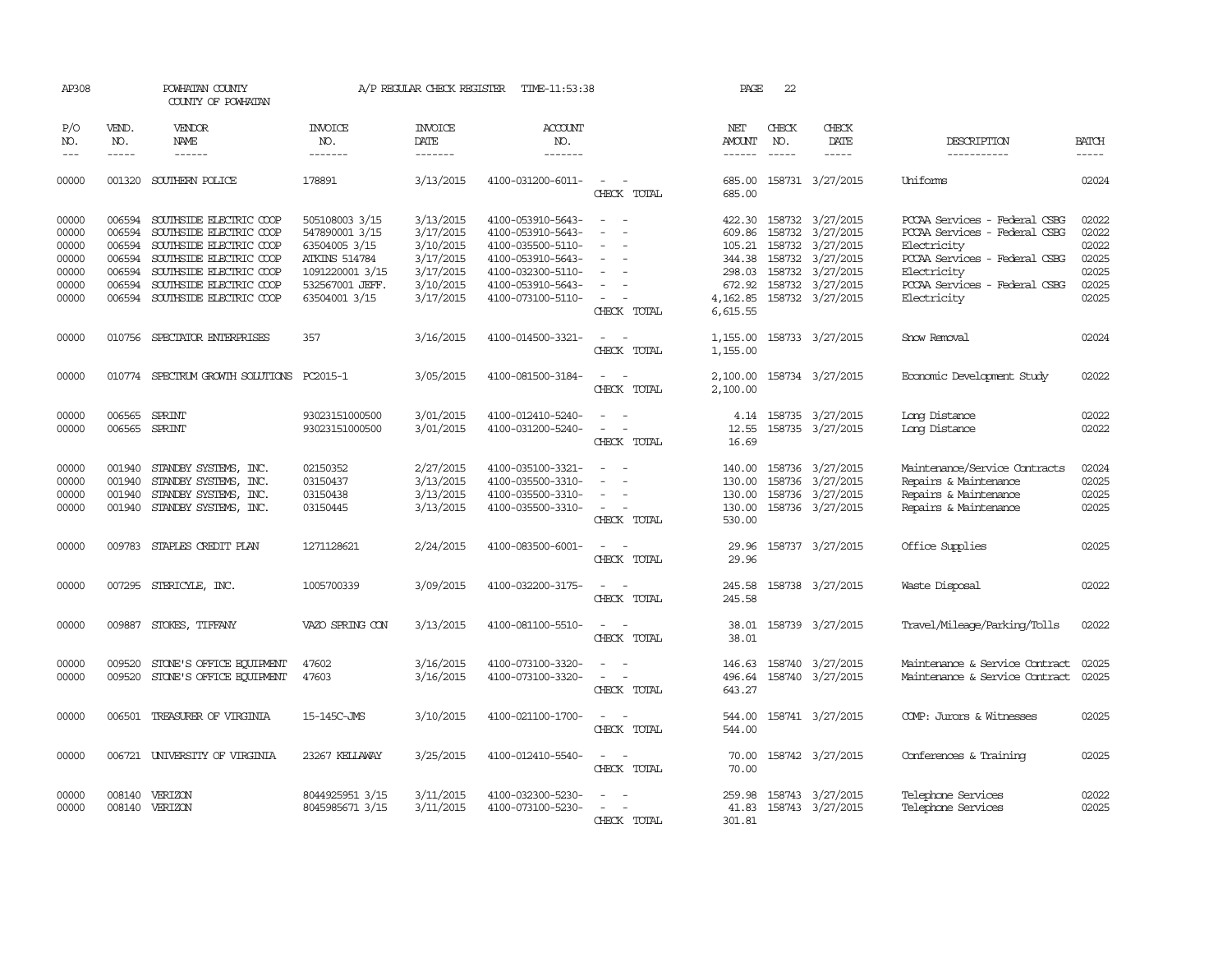| AP308                            |                                      | POWHATAN COUNTY<br>COUNTY OF POWHATAN                                                            |                                                   | A/P REGULAR CHECK REGISTER                       | TIME-11:53:38                                                                    |                                                                                                                                                                   | PAGE                                           | 22                          |                                                                              |                                                                                                          |                                  |
|----------------------------------|--------------------------------------|--------------------------------------------------------------------------------------------------|---------------------------------------------------|--------------------------------------------------|----------------------------------------------------------------------------------|-------------------------------------------------------------------------------------------------------------------------------------------------------------------|------------------------------------------------|-----------------------------|------------------------------------------------------------------------------|----------------------------------------------------------------------------------------------------------|----------------------------------|
| P/O<br>NO.<br>$---$              | VEND.<br>NO.<br>$- - - - -$          | <b>VENDOR</b><br>NAME<br>$- - - - - -$                                                           | <b>INVOICE</b><br>NO.<br>-------                  | <b>INVOICE</b><br>DATE<br>-------                | <b>ACCOUNT</b><br>NO.<br>-------                                                 |                                                                                                                                                                   | NET<br><b>AMOUNT</b><br>$- - - - - -$          | CHECK<br>NO.<br>$- - - - -$ | CHECK<br>DATE<br>$- - - - -$                                                 | DESCRIPTION<br>-----------                                                                               | <b>BATCH</b><br>$- - - - -$      |
| 00000                            | 001320                               | SOUTHERN POLICE                                                                                  | 178891                                            | 3/13/2015                                        | 4100-031200-6011-                                                                | $\overline{\phantom{a}}$<br>CHECK TOTAL                                                                                                                           | 685.00<br>685.00                               |                             | 158731 3/27/2015                                                             | Uniforms                                                                                                 | 02024                            |
| 00000<br>00000<br>00000          | 006594<br>006594<br>006594           | SOUTHSIDE ELECTRIC COOP<br>SOUTHSIDE ELECTRIC COOP<br>SOUTHSIDE ELECTRIC COOP                    | 505108003 3/15<br>547890001 3/15<br>63504005 3/15 | 3/13/2015<br>3/17/2015<br>3/10/2015              | 4100-053910-5643-<br>4100-053910-5643-<br>4100-035500-5110-                      | $\equiv$                                                                                                                                                          | 422.30<br>609.86<br>105.21                     |                             | 158732 3/27/2015<br>158732 3/27/2015<br>158732 3/27/2015                     | PCCAA Services - Federal CSBG<br>PCCAA Services - Federal CSBG<br>Electricity                            | 02022<br>02022<br>02022          |
| 00000<br>00000                   | 006594<br>006594                     | SOUTHSIDE ELECTRIC COOP<br>SOUTHSIDE ELECTRIC COOP                                               | <b>ATKINS 514784</b><br>1091220001 3/15           | 3/17/2015<br>3/17/2015                           | 4100-053910-5643-<br>4100-032300-5110-                                           | $\equiv$                                                                                                                                                          | 344.38<br>298.03                               |                             | 158732 3/27/2015<br>158732 3/27/2015                                         | PCCAA Services - Federal CSBG<br>Electricity                                                             | 02025<br>02025                   |
| 00000<br>00000                   | 006594                               | SOUTHSIDE ELECTRIC COOP<br>006594 SOUTHSIDE ELECTRIC COOP                                        | 532567001 JEFF.<br>63504001 3/15                  | 3/10/2015<br>3/17/2015                           | 4100-053910-5643-<br>4100-073100-5110-                                           | $\overline{\phantom{a}}$<br>CHECK TOTAL                                                                                                                           | 672.92<br>4,162.85<br>6,615.55                 |                             | 158732 3/27/2015<br>158732 3/27/2015                                         | PCCAA Services - Federal CSBG<br>Electricity                                                             | 02025<br>02025                   |
| 00000                            |                                      | 010756 SPECTATOR ENTERPRISES                                                                     | 357                                               | 3/16/2015                                        | 4100-014500-3321-                                                                | CHECK TOTAL                                                                                                                                                       | 1,155.00<br>1,155.00                           |                             | 158733 3/27/2015                                                             | Snow Removal                                                                                             | 02024                            |
| 00000                            |                                      | 010774 SPECTRUM GROWTH SOLUTIONS PC2015-1                                                        |                                                   | 3/05/2015                                        | 4100-081500-3184-                                                                | $\sim$<br>CHECK TOTAL                                                                                                                                             | 2,100.00<br>2,100.00                           |                             | 158734 3/27/2015                                                             | Economic Development Study                                                                               | 02022                            |
| 00000<br>00000                   | 006565                               | SPRINT<br>006565 SPRINT                                                                          | 93023151000500<br>93023151000500                  | 3/01/2015<br>3/01/2015                           | 4100-012410-5240-<br>4100-031200-5240-                                           | $\frac{1}{2} \left( \frac{1}{2} \right) \left( \frac{1}{2} \right) = \frac{1}{2} \left( \frac{1}{2} \right)$<br>$\overline{\phantom{a}}$<br>$\sim$<br>CHECK TOTAL | 12.55<br>16.69                                 |                             | 4.14 158735 3/27/2015<br>158735 3/27/2015                                    | Long Distance<br>Long Distance                                                                           | 02022<br>02022                   |
| 00000<br>00000<br>00000<br>00000 | 001940<br>001940<br>001940<br>001940 | STANDBY SYSTEMS, INC.<br>STANDBY SYSTEMS, INC.<br>STANDBY SYSTEMS, INC.<br>STANDBY SYSTEMS, INC. | 02150352<br>03150437<br>03150438<br>03150445      | 2/27/2015<br>3/13/2015<br>3/13/2015<br>3/13/2015 | 4100-035100-3321-<br>4100-035500-3310-<br>4100-035500-3310-<br>4100-035500-3310- | $\equiv$<br>$\sim$ 100 $\mu$<br>CHECK TOTAL                                                                                                                       | 140.00<br>130.00<br>130.00<br>130.00<br>530.00 |                             | 158736 3/27/2015<br>158736 3/27/2015<br>158736 3/27/2015<br>158736 3/27/2015 | Maintenance/Service Contracts<br>Repairs & Maintenance<br>Repairs & Maintenance<br>Repairs & Maintenance | 02024<br>02025<br>02025<br>02025 |
| 00000                            |                                      | 009783 STAPLES CREDIT PLAN                                                                       | 1271128621                                        | 2/24/2015                                        | 4100-083500-6001-                                                                | $\sim$<br>$\sim$<br>CHECK TOTAL                                                                                                                                   | 29.96<br>29.96                                 |                             | 158737 3/27/2015                                                             | Office Supplies                                                                                          | 02025                            |
| 00000                            |                                      | 007295 STERICYLE, INC.                                                                           | 1005700339                                        | 3/09/2015                                        | 4100-032200-3175-                                                                | $\sim$<br>CHECK TOTAL                                                                                                                                             | 245.58<br>245.58                               |                             | 158738 3/27/2015                                                             | Waste Disposal                                                                                           | 02022                            |
| 00000                            |                                      | 009887 STOKES, TIFFANY                                                                           | VAZO SPRING CON                                   | 3/13/2015                                        | 4100-081100-5510-                                                                | $\overline{\phantom{a}}$<br>$\sim$<br>CHECK TOTAL                                                                                                                 | 38.01<br>38.01                                 |                             | 158739 3/27/2015                                                             | Travel/Mileage/Parking/Tolls                                                                             | 02022                            |
| 00000<br>00000                   | 009520<br>009520                     | STONE'S OFFICE EQUIPMENT<br>STONE'S OFFICE EQUIPMENT                                             | 47602<br>47603                                    | 3/16/2015<br>3/16/2015                           | 4100-073100-3320-<br>4100-073100-3320-                                           | CHECK TOTAL                                                                                                                                                       | 146.63<br>496.64<br>643.27                     |                             | 158740 3/27/2015<br>158740 3/27/2015                                         | Maintenance & Service Contract<br>Maintenance & Service Contract                                         | 02025<br>02025                   |
| 00000                            | 006501                               | TREASURER OF VIRGINIA                                                                            | 15-145C-JMS                                       | 3/10/2015                                        | 4100-021100-1700-                                                                | CHECK TOTAL                                                                                                                                                       | 544.00<br>544.00                               |                             | 158741 3/27/2015                                                             | COMP: Jurors & Witnesses                                                                                 | 02025                            |
| 00000                            |                                      | 006721 UNIVERSITY OF VIRGINIA                                                                    | 23267 KELLAWAY                                    | 3/25/2015                                        | 4100-012410-5540-                                                                | CHECK TOTAL                                                                                                                                                       | 70.00<br>70.00                                 |                             | 158742 3/27/2015                                                             | Conferences & Training                                                                                   | 02025                            |
| 00000<br>00000                   | 008140                               | VERIZON<br>008140 VERIZON                                                                        | 8044925951 3/15<br>8045985671 3/15                | 3/11/2015<br>3/11/2015                           | 4100-032300-5230-<br>4100-073100-5230-                                           | CHECK TOTAL                                                                                                                                                       | 259.98<br>301.81                               |                             | 158743 3/27/2015<br>41.83 158743 3/27/2015                                   | Telephone Services<br>Telephone Services                                                                 | 02022<br>02025                   |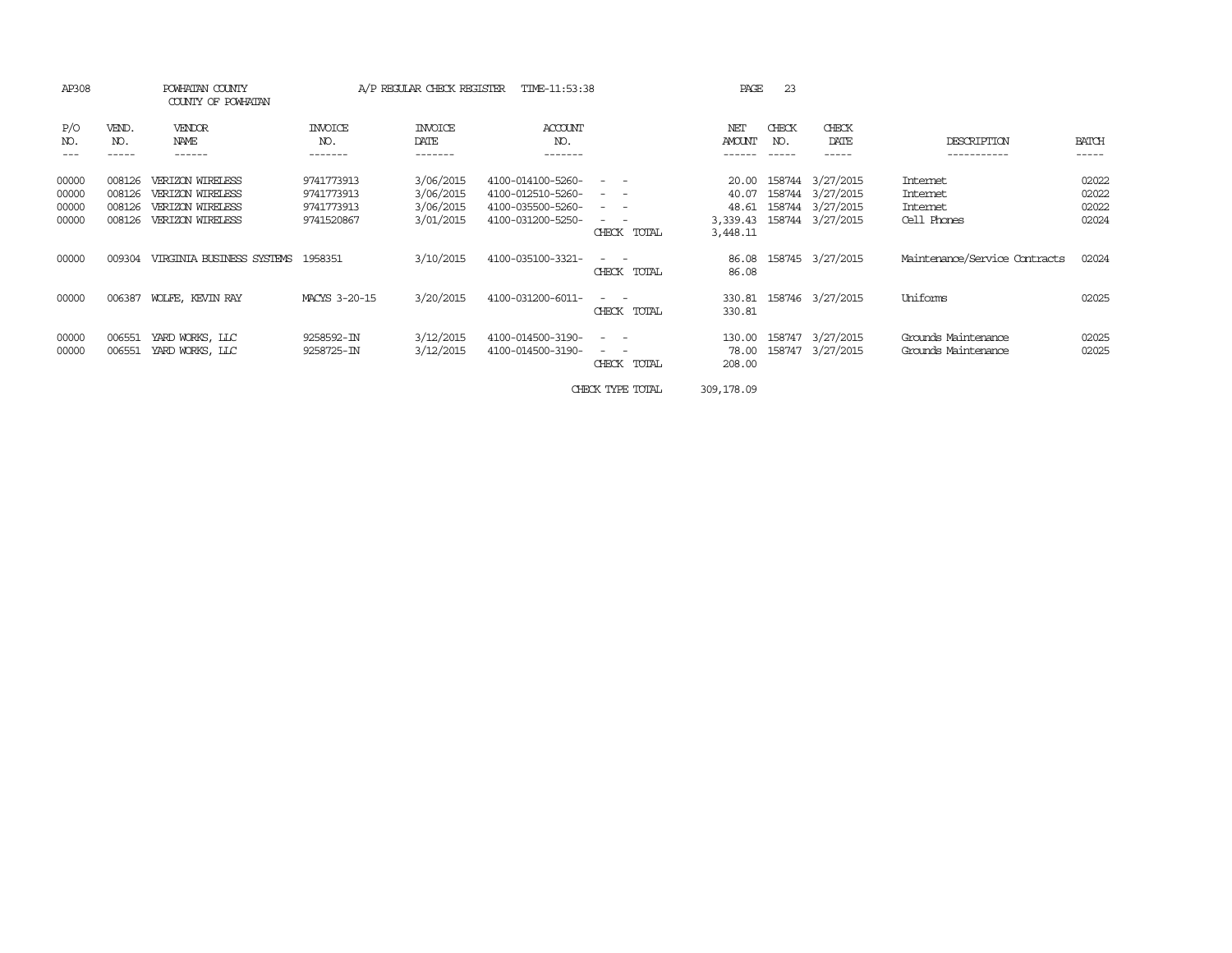| AP308                            |                                      | POWHATAN COUNTY<br>COUNTY OF POWHATAN                                        |                                                      | A/P REGULAR CHECK REGISTER                       | TIME-11:53:38                                                                    |                                                                                                                                                                                                                                                                                                      | PAGE                                            | 23           |                                                                       |                                                        |                                  |
|----------------------------------|--------------------------------------|------------------------------------------------------------------------------|------------------------------------------------------|--------------------------------------------------|----------------------------------------------------------------------------------|------------------------------------------------------------------------------------------------------------------------------------------------------------------------------------------------------------------------------------------------------------------------------------------------------|-------------------------------------------------|--------------|-----------------------------------------------------------------------|--------------------------------------------------------|----------------------------------|
| P/O<br>NO.                       | VEND.<br>NO.<br>-----                | VENDOR<br>NAME<br>------                                                     | INVOICE<br>NO.<br>-------                            | <b>INVOICE</b><br>DATE<br>-------                | ACCOUNT<br>NO.<br>-------                                                        |                                                                                                                                                                                                                                                                                                      | NET<br><b>AMOUNT</b>                            | CHECK<br>NO. | CHECK<br>DATE<br>-----                                                | DESCRIPTION<br>-----------                             | <b>BATCH</b><br>-----            |
| 00000<br>00000<br>00000<br>00000 | 008126<br>008126<br>008126<br>008126 | VERIZON WIRELESS<br>VERIZON WIRELESS<br>VERIZON WIRELESS<br>VERIZON WIRELESS | 9741773913<br>9741773913<br>9741773913<br>9741520867 | 3/06/2015<br>3/06/2015<br>3/06/2015<br>3/01/2015 | 4100-014100-5260-<br>4100-012510-5260-<br>4100-035500-5260-<br>4100-031200-5250- | $ -$<br>$\frac{1}{2} \left( \frac{1}{2} \right) \left( \frac{1}{2} \right) \left( \frac{1}{2} \right) \left( \frac{1}{2} \right)$<br>$\frac{1}{2} \left( \frac{1}{2} \right) \left( \frac{1}{2} \right) = \frac{1}{2} \left( \frac{1}{2} \right)$<br>$ -$<br>$\overline{\phantom{0}}$<br>CHECK TOTAL | 20.00<br>40.07<br>48.61<br>3,339.43<br>3,448.11 | 158744       | 3/27/2015<br>158744 3/27/2015<br>158744 3/27/2015<br>158744 3/27/2015 | <b>Internet</b><br>Internet<br>Internet<br>Cell Phones | 02022<br>02022<br>02022<br>02024 |
| 00000                            | 009304                               | VIRGINIA BUSINESS SYSTEMS                                                    | 1958351                                              | 3/10/2015                                        | 4100-035100-3321-                                                                | $ -$<br>CHECK TOTAL                                                                                                                                                                                                                                                                                  | 86.08<br>86.08                                  |              | 158745 3/27/2015                                                      | Maintenance/Service Contracts                          | 02024                            |
| 00000                            | 006387                               | WOLFE, KEVIN RAY                                                             | MACYS 3-20-15                                        | 3/20/2015                                        | 4100-031200-6011-                                                                | $ -$<br>CHECK TOTAL                                                                                                                                                                                                                                                                                  | 330.81<br>330.81                                |              | 158746 3/27/2015                                                      | Uniforms                                               | 02025                            |
| 00000<br>00000                   | 006551<br>006551                     | YARD WORKS, LLC<br>YARD WORKS, LLC                                           | 9258592-IN<br>9258725-IN                             | 3/12/2015<br>3/12/2015                           | 4100-014500-3190-<br>4100-014500-3190-                                           | $ -$<br>$\overline{\phantom{a}}$<br>$ -$<br>$\overline{\phantom{a}}$<br>CHECK TOTAL                                                                                                                                                                                                                  | 130.00<br>78.00<br>208.00                       |              | 158747 3/27/2015<br>158747 3/27/2015                                  | Grounds Maintenance<br>Grounds Maintenance             | 02025<br>02025                   |

CHECK TYPE TOTAL 309,178.09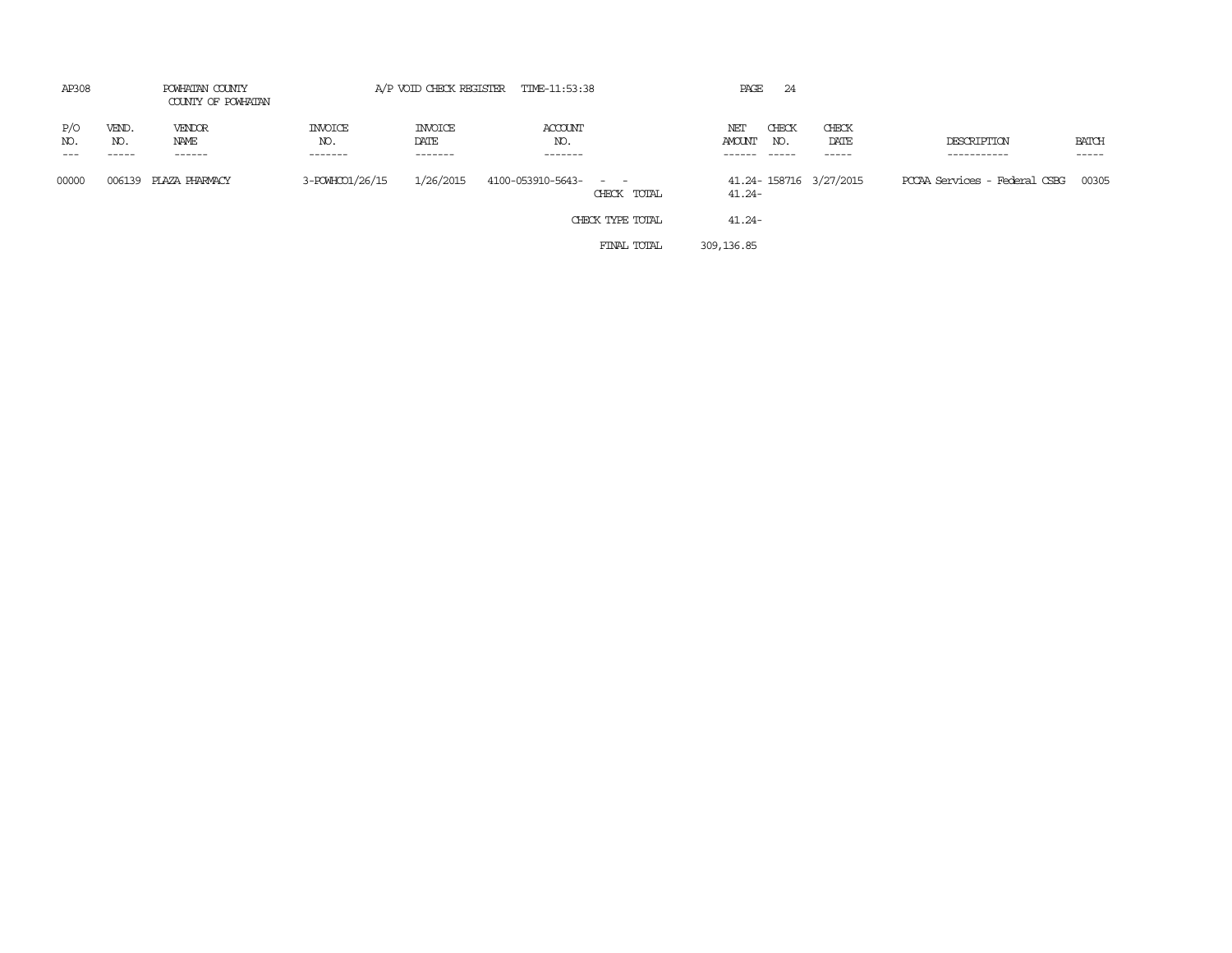| AP308              |                       | POWHATAN COUNTY<br>COUNTY OF POWHATAN |                           |                            | A/P VOID CHECK REGISTER TIME-11:53:38 |                  | PAGE          | -24          |                         |                                     |                       |
|--------------------|-----------------------|---------------------------------------|---------------------------|----------------------------|---------------------------------------|------------------|---------------|--------------|-------------------------|-------------------------------------|-----------------------|
| P/O<br>NO.<br>$--$ | VEND.<br>NO.<br>----- | VENDOR<br>NAME<br>-------             | INVOICE<br>NO.<br>------- | INVOICE<br>DATE<br>------- | ACCOUNT<br>NO.<br>$- - - - - - -$     |                  | NET<br>AMOUNT | CHECK<br>NO. | CHECK<br>DATE<br>------ | DESCRIPTION<br>-----------          | <b>BATCH</b><br>----- |
| 00000              |                       | 006139 PLAZA PHARMACY                 | 3-POWHCO1/26/15           | 1/26/2015                  | 4100-053910-5643- - -                 | CHECK TOTAL      | $41.24 -$     |              | 41.24-158716 3/27/2015  | PCCAA Services - Federal CSBG 00305 |                       |
|                    |                       |                                       |                           |                            |                                       | CHECK TYPE TOTAL | $41.24 -$     |              |                         |                                     |                       |
|                    |                       |                                       |                           |                            |                                       | FINAL TOTAL      | 309, 136, 85  |              |                         |                                     |                       |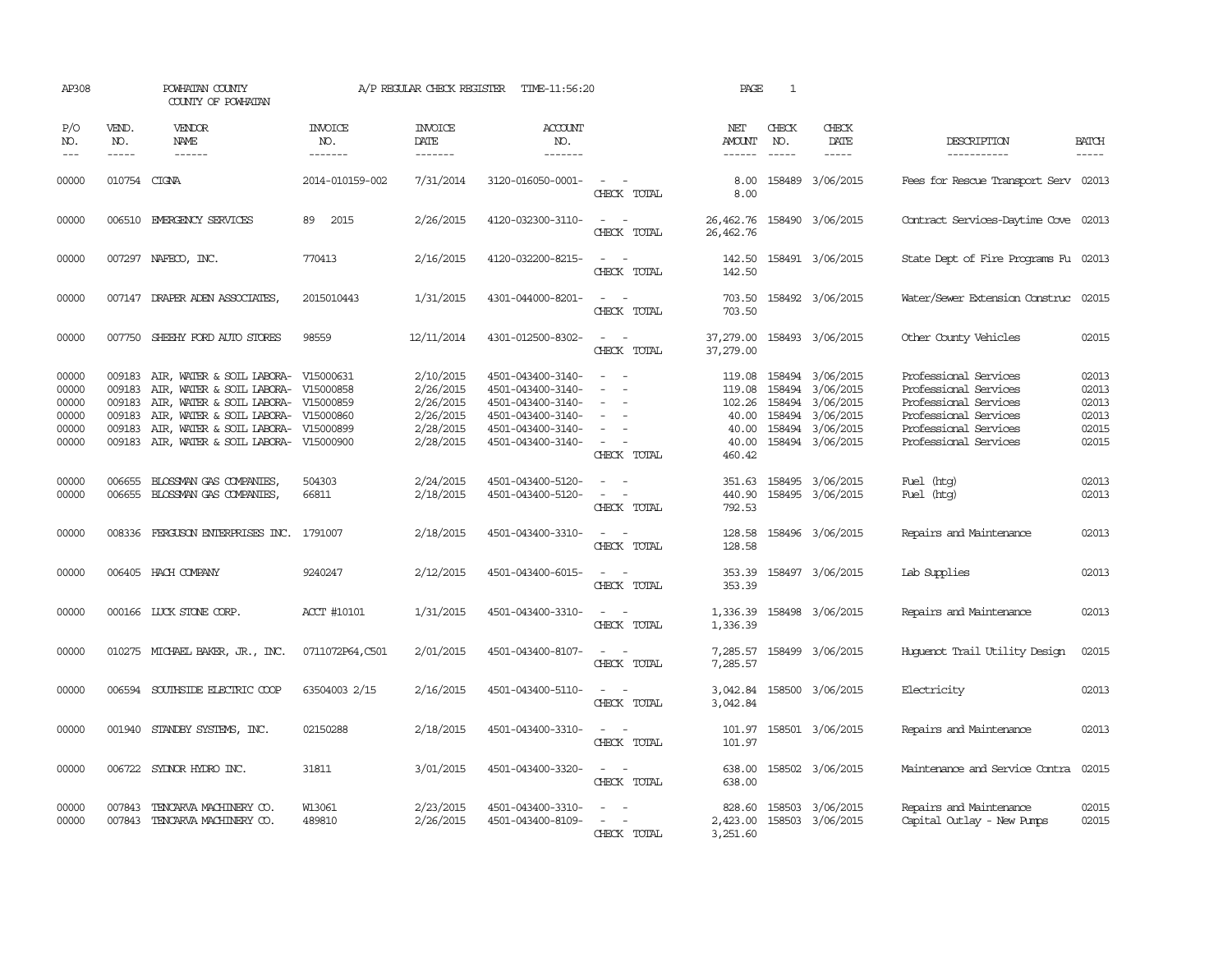| AP308                                              |                                                | POWHATAN COUNTY<br>COUNTY OF POWHATAN                                                                                                                                                       |                                                               | A/P REGULAR CHECK REGISTER                                                 | TIME-11:56:20                                                                                                              |                                                                                           | PAGE                                                            | $\mathbf{1}$               |                                                                                                 |                                                                                                                                                    |                                                    |
|----------------------------------------------------|------------------------------------------------|---------------------------------------------------------------------------------------------------------------------------------------------------------------------------------------------|---------------------------------------------------------------|----------------------------------------------------------------------------|----------------------------------------------------------------------------------------------------------------------------|-------------------------------------------------------------------------------------------|-----------------------------------------------------------------|----------------------------|-------------------------------------------------------------------------------------------------|----------------------------------------------------------------------------------------------------------------------------------------------------|----------------------------------------------------|
| P/O<br>NO.<br>$---$                                | VEND.<br>NO.<br>$- - - - -$                    | VENDOR<br>NAME<br>------                                                                                                                                                                    | <b>INVOICE</b><br>NO.<br>-------                              | <b>INVOICE</b><br><b>DATE</b><br>-------                                   | <b>ACCOUNT</b><br>NO.<br>-------                                                                                           |                                                                                           | NET<br>AMOUNT<br>$- - - - - -$                                  | CHECK<br>NO.               | CHECK<br>DATE<br>$- - - - -$                                                                    | DESCRIPTION<br>-----------                                                                                                                         | <b>BATCH</b><br>-----                              |
| 00000                                              | 010754 CIGNA                                   |                                                                                                                                                                                             | 2014-010159-002                                               | 7/31/2014                                                                  | 3120-016050-0001-                                                                                                          | $\sim$<br>CHECK TOTAL                                                                     | 8.00<br>8.00                                                    |                            | 158489 3/06/2015                                                                                | Fees for Rescue Transport Serv 02013                                                                                                               |                                                    |
| 00000                                              |                                                | 006510 EMERGENCY SERVICES                                                                                                                                                                   | 2015<br>89                                                    | 2/26/2015                                                                  | 4120-032300-3110-                                                                                                          | $\sim$<br>$\overline{\phantom{a}}$<br>CHECK TOTAL                                         | 26,462.76<br>26, 462.76                                         |                            | 158490 3/06/2015                                                                                | Contract Services-Daytime Cove 02013                                                                                                               |                                                    |
| 00000                                              |                                                | 007297 NAFECO, INC.                                                                                                                                                                         | 770413                                                        | 2/16/2015                                                                  | 4120-032200-8215-                                                                                                          | CHECK TOTAL                                                                               | 142.50<br>142.50                                                |                            | 158491 3/06/2015                                                                                | State Dept of Fire Programs Fu 02013                                                                                                               |                                                    |
| 00000                                              |                                                | 007147 DRAPER ADEN ASSOCIATES,                                                                                                                                                              | 2015010443                                                    | 1/31/2015                                                                  | 4301-044000-8201-                                                                                                          | $\sim$ $\sim$<br>CHECK TOTAL                                                              | 703.50<br>703.50                                                |                            | 158492 3/06/2015                                                                                | Water/Sewer Extension Construc 02015                                                                                                               |                                                    |
| 00000                                              |                                                | 007750 SHEEHY FORD AUTO STORES                                                                                                                                                              | 98559                                                         | 12/11/2014                                                                 | 4301-012500-8302-                                                                                                          | $\sim$ $\sim$<br>CHECK TOTAL                                                              | 37,279.00<br>37,279.00                                          |                            | 158493 3/06/2015                                                                                | Other County Vehicles                                                                                                                              | 02015                                              |
| 00000<br>00000<br>00000<br>00000<br>00000<br>00000 | 009183<br>009183<br>009183<br>009183<br>009183 | AIR, WATER & SOIL LABORA-<br>AIR, WATER & SOIL LABORA-<br>AIR, WATER & SOIL LABORA-<br>AIR, WATER & SOIL LABORA-<br>AIR, WATER & SOIL LABORA-<br>009183 AIR, WATER & SOIL LABORA- V15000900 | V15000631<br>V15000858<br>V15000859<br>V15000860<br>V15000899 | 2/10/2015<br>2/26/2015<br>2/26/2015<br>2/26/2015<br>2/28/2015<br>2/28/2015 | 4501-043400-3140-<br>4501-043400-3140-<br>4501-043400-3140-<br>4501-043400-3140-<br>4501-043400-3140-<br>4501-043400-3140- | $\overline{\phantom{a}}$<br>$\overline{\phantom{a}}$<br>$\equiv$<br>$\sim$<br>CHECK TOTAL | 119.08<br>119.08<br>102.26<br>40.00<br>40.00<br>40.00<br>460.42 | 158494<br>158494<br>158494 | 158494 3/06/2015<br>3/06/2015<br>3/06/2015<br>3/06/2015<br>158494 3/06/2015<br>158494 3/06/2015 | Professional Services<br>Professional Services<br>Professional Services<br>Professional Services<br>Professional Services<br>Professional Services | 02013<br>02013<br>02013<br>02013<br>02015<br>02015 |
| 00000<br>00000                                     | 006655                                         | BLOSSMAN GAS COMPANIES,<br>006655 BLOSSMAN GAS COMPANIES,                                                                                                                                   | 504303<br>66811                                               | 2/24/2015<br>2/18/2015                                                     | 4501-043400-5120-<br>4501-043400-5120-                                                                                     | $\sim$ 100 $\mu$<br>$\overline{\phantom{a}}$<br>CHECK TOTAL                               | 351.63<br>440.90<br>792.53                                      |                            | 158495 3/06/2015<br>158495 3/06/2015                                                            | Fuel (htg)<br>Fuel (htg)                                                                                                                           | 02013<br>02013                                     |
| 00000                                              |                                                | 008336 FERGUSON ENTERPRISES INC. 1791007                                                                                                                                                    |                                                               | 2/18/2015                                                                  | 4501-043400-3310-                                                                                                          | $\omega_{\rm{max}}$ , $\omega_{\rm{max}}$<br>CHECK TOTAL                                  | 128.58<br>128.58                                                |                            | 158496 3/06/2015                                                                                | Repairs and Maintenance                                                                                                                            | 02013                                              |
| 00000                                              |                                                | 006405 HACH COMPANY                                                                                                                                                                         | 9240247                                                       | 2/12/2015                                                                  | 4501-043400-6015-                                                                                                          | $\sim$ $ \sim$<br>CHECK TOTAL                                                             | 353.39<br>353.39                                                |                            | 158497 3/06/2015                                                                                | Lab Supplies                                                                                                                                       | 02013                                              |
| 00000                                              |                                                | 000166 LUCK STONE CORP.                                                                                                                                                                     | ACCT #10101                                                   | 1/31/2015                                                                  | 4501-043400-3310-                                                                                                          | $\sim$ $  -$<br>CHECK TOTAL                                                               | 1,336.39<br>1,336.39                                            |                            | 158498 3/06/2015                                                                                | Repairs and Maintenance                                                                                                                            | 02013                                              |
| 00000                                              |                                                | 010275 MICHAEL BAKER, JR., INC.                                                                                                                                                             | 0711072P64, C501                                              | 2/01/2015                                                                  | 4501-043400-8107-                                                                                                          | $\sim$<br>CHECK TOTAL                                                                     | 7,285.57<br>7,285.57                                            |                            | 158499 3/06/2015                                                                                | Huquenot Trail Utility Design                                                                                                                      | 02015                                              |
| 00000                                              | 006594                                         | SOUTHSIDE ELECTRIC COOP                                                                                                                                                                     | 63504003 2/15                                                 | 2/16/2015                                                                  | 4501-043400-5110-                                                                                                          | CHECK TOTAL                                                                               | 3,042.84<br>3,042.84                                            |                            | 158500 3/06/2015                                                                                | Electricity                                                                                                                                        | 02013                                              |
| 00000                                              | 001940                                         | STANDBY SYSTEMS, INC.                                                                                                                                                                       | 02150288                                                      | 2/18/2015                                                                  | 4501-043400-3310-                                                                                                          | $\overline{\phantom{a}}$<br>CHECK TOTAL                                                   | 101.97<br>101.97                                                |                            | 158501 3/06/2015                                                                                | Repairs and Maintenance                                                                                                                            | 02013                                              |
| 00000                                              |                                                | 006722 SYDNOR HYDRO INC.                                                                                                                                                                    | 31811                                                         | 3/01/2015                                                                  | 4501-043400-3320-                                                                                                          | $\overline{\phantom{a}}$<br>CHECK TOTAL                                                   | 638.00<br>638.00                                                |                            | 158502 3/06/2015                                                                                | Maintenance and Service Contra                                                                                                                     | 02015                                              |
| 00000<br>00000                                     |                                                | 007843 TENCARVA MACHINERY CO.<br>007843 TENCARVA MACHINERY CO.                                                                                                                              | W13061<br>489810                                              | 2/23/2015<br>2/26/2015                                                     | 4501-043400-3310-<br>4501-043400-8109-                                                                                     | $\sim$<br>$\sim$<br>CHECK TOTAL                                                           | 828.60<br>2,423.00<br>3,251.60                                  |                            | 158503 3/06/2015<br>158503 3/06/2015                                                            | Repairs and Maintenance<br>Capital Outlay - New Pumps                                                                                              | 02015<br>02015                                     |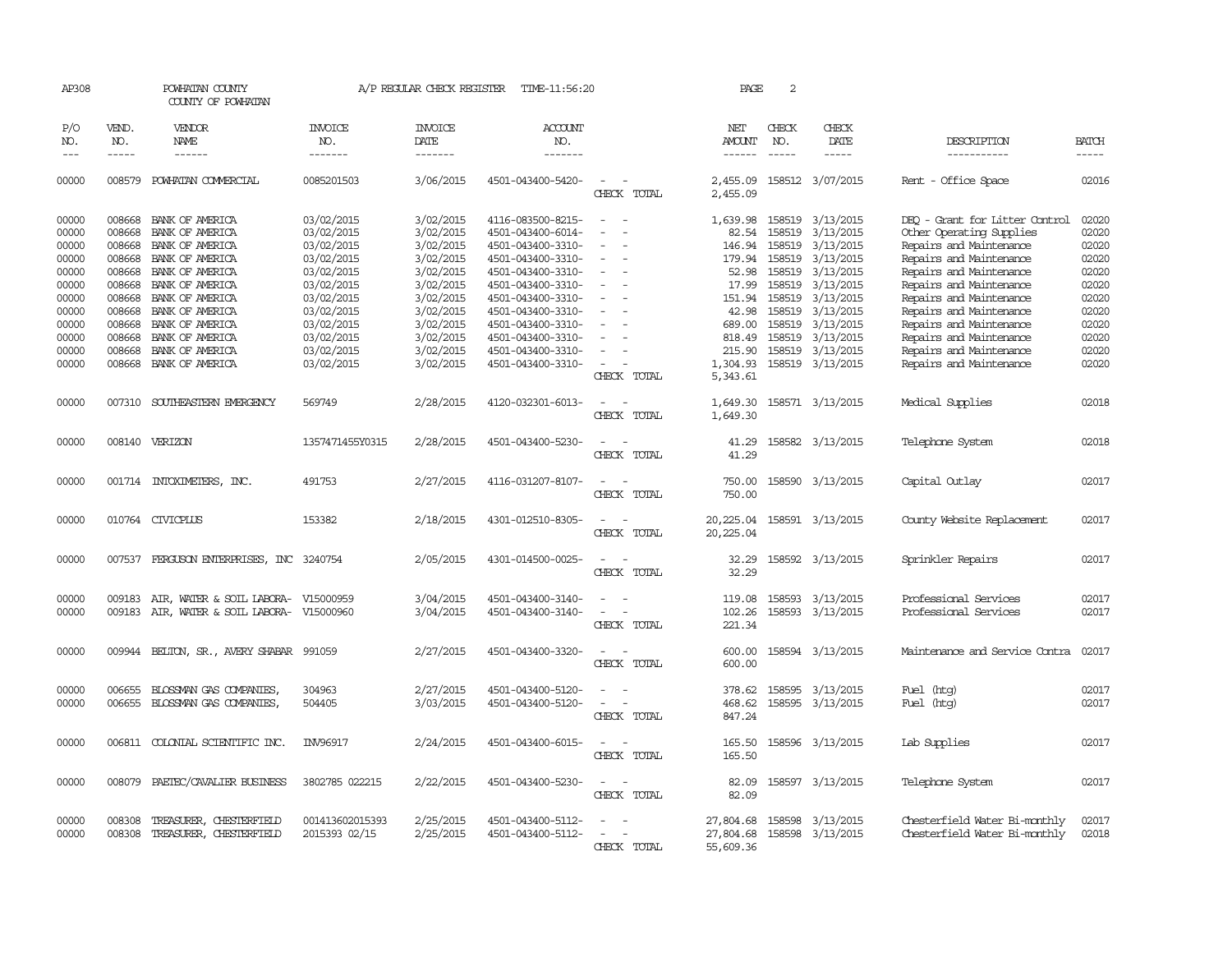| AP308                                                       |                                                          | POWHATAN COUNTY<br>COUNTY OF POWHATAN                                                                                                    |                                                                                                | A/P REGULAR CHECK REGISTER                                                              | TIME-11:56:20                                                                                                                                   |                                         | PAGE                                                               | 2                                                        |                                                                                                |                                                                                                                                                                                           |                                                             |
|-------------------------------------------------------------|----------------------------------------------------------|------------------------------------------------------------------------------------------------------------------------------------------|------------------------------------------------------------------------------------------------|-----------------------------------------------------------------------------------------|-------------------------------------------------------------------------------------------------------------------------------------------------|-----------------------------------------|--------------------------------------------------------------------|----------------------------------------------------------|------------------------------------------------------------------------------------------------|-------------------------------------------------------------------------------------------------------------------------------------------------------------------------------------------|-------------------------------------------------------------|
| P/O<br>NO.<br>$---$                                         | VEND.<br>NO.<br>$- - - - -$                              | VENDOR<br>NAME<br>------                                                                                                                 | <b>INVOICE</b><br>NO.<br>-------                                                               | <b>INVOICE</b><br>DATE<br>-------                                                       | <b>ACCOUNT</b><br>NO.<br>-------                                                                                                                |                                         | NET<br>AMOUNT<br>$- - - - - -$                                     | CHECK<br>NO.<br>$- - - - -$                              | CHECK<br>DATE                                                                                  | DESCRIPTION<br>-----------                                                                                                                                                                | <b>BATCH</b><br>-----                                       |
|                                                             |                                                          |                                                                                                                                          |                                                                                                |                                                                                         |                                                                                                                                                 |                                         |                                                                    |                                                          |                                                                                                |                                                                                                                                                                                           |                                                             |
| 00000                                                       | 008579                                                   | POWHATAN COMMERCIAL                                                                                                                      | 0085201503                                                                                     | 3/06/2015                                                                               | 4501-043400-5420-                                                                                                                               | $\overline{\phantom{a}}$<br>CHECK TOTAL | 2,455.09<br>2,455.09                                               |                                                          | 158512 3/07/2015                                                                               | Rent - Office Space                                                                                                                                                                       | 02016                                                       |
| 00000<br>00000<br>00000<br>00000<br>00000                   | 008668<br>008668<br>008668<br>008668<br>008668           | BANK OF AMERICA<br>BANK OF AMERICA<br>BANK OF AMERICA<br>BANK OF AMERICA<br>BANK OF AMERICA                                              | 03/02/2015<br>03/02/2015<br>03/02/2015<br>03/02/2015<br>03/02/2015                             | 3/02/2015<br>3/02/2015<br>3/02/2015<br>3/02/2015<br>3/02/2015                           | 4116-083500-8215-<br>4501-043400-6014-<br>4501-043400-3310-<br>4501-043400-3310-<br>4501-043400-3310-                                           |                                         | 1,639.98<br>82.54<br>146.94<br>179.94<br>52.98                     | 158519<br>158519<br>158519<br>158519                     | 158519 3/13/2015<br>3/13/2015<br>3/13/2015<br>3/13/2015<br>3/13/2015                           | DEO - Grant for Litter Control<br>Other Operating Supplies<br>Repairs and Maintenance<br>Repairs and Maintenance<br>Repairs and Maintenance                                               | 02020<br>02020<br>02020<br>02020<br>02020                   |
| 00000<br>00000<br>00000<br>00000<br>00000<br>00000<br>00000 | 008668<br>008668<br>008668<br>008668<br>008668<br>008668 | BANK OF AMERICA<br>BANK OF AMERICA<br>BANK OF AMERICA<br>BANK OF AMERICA<br>BANK OF AMERICA<br>BANK OF AMERICA<br>008668 BANK OF AMERICA | 03/02/2015<br>03/02/2015<br>03/02/2015<br>03/02/2015<br>03/02/2015<br>03/02/2015<br>03/02/2015 | 3/02/2015<br>3/02/2015<br>3/02/2015<br>3/02/2015<br>3/02/2015<br>3/02/2015<br>3/02/2015 | 4501-043400-3310-<br>4501-043400-3310-<br>4501-043400-3310-<br>4501-043400-3310-<br>4501-043400-3310-<br>4501-043400-3310-<br>4501-043400-3310- | $\equiv$                                | 17.99<br>151.94<br>42.98<br>689.00<br>818.49<br>215.90<br>1,304.93 | 158519<br>158519<br>158519<br>158519<br>158519<br>158519 | 3/13/2015<br>3/13/2015<br>3/13/2015<br>3/13/2015<br>3/13/2015<br>3/13/2015<br>158519 3/13/2015 | Repairs and Maintenance<br>Repairs and Maintenance<br>Repairs and Maintenance<br>Repairs and Maintenance<br>Repairs and Maintenance<br>Repairs and Maintenance<br>Repairs and Maintenance | 02020<br>02020<br>02020<br>02020<br>02020<br>02020<br>02020 |
| 00000                                                       | 007310                                                   | SOUTHEASTERN EMERGENCY                                                                                                                   | 569749                                                                                         | 2/28/2015                                                                               | 4120-032301-6013-                                                                                                                               | CHECK TOTAL                             | 5,343.61<br>1,649.30                                               |                                                          | 158571 3/13/2015                                                                               | Medical Supplies                                                                                                                                                                          | 02018                                                       |
| 00000                                                       |                                                          | 008140 VERIZON                                                                                                                           | 1357471455Y0315                                                                                | 2/28/2015                                                                               | 4501-043400-5230-                                                                                                                               | CHECK TOTAL<br>CHECK TOTAL              | 1,649.30<br>41.29<br>41.29                                         |                                                          | 158582 3/13/2015                                                                               | Telephone System                                                                                                                                                                          | 02018                                                       |
| 00000                                                       |                                                          | 001714 INTOXIMETERS, INC.                                                                                                                | 491753                                                                                         | 2/27/2015                                                                               | 4116-031207-8107-                                                                                                                               | CHECK TOTAL                             | 750.00<br>750.00                                                   |                                                          | 158590 3/13/2015                                                                               | Capital Outlay                                                                                                                                                                            | 02017                                                       |
| 00000                                                       |                                                          | 010764 CIVICPLUS                                                                                                                         | 153382                                                                                         | 2/18/2015                                                                               | 4301-012510-8305-                                                                                                                               | CHECK TOTAL                             | 20,225.04<br>20,225.04                                             |                                                          | 158591 3/13/2015                                                                               | County Website Replacement                                                                                                                                                                | 02017                                                       |
| 00000                                                       |                                                          | 007537 FERGUSON ENTERPRISES, INC 3240754                                                                                                 |                                                                                                | 2/05/2015                                                                               | 4301-014500-0025-                                                                                                                               | CHECK TOTAL                             | 32.29<br>32.29                                                     |                                                          | 158592 3/13/2015                                                                               | Sprinkler Repairs                                                                                                                                                                         | 02017                                                       |
| 00000<br>00000                                              | 009183<br>009183                                         | AIR, WATER & SOIL LABORA- V15000959<br>AIR, WATER & SOIL LABORA- V15000960                                                               |                                                                                                | 3/04/2015<br>3/04/2015                                                                  | 4501-043400-3140-<br>4501-043400-3140-                                                                                                          | $\equiv$<br>CHECK TOTAL                 | 119.08<br>102.26<br>221.34                                         |                                                          | 158593 3/13/2015<br>158593 3/13/2015                                                           | Professional Services<br>Professional Services                                                                                                                                            | 02017<br>02017                                              |
| 00000                                                       |                                                          | 009944 BELTON, SR., AVERY SHABAR 991059                                                                                                  |                                                                                                | 2/27/2015                                                                               | 4501-043400-3320-                                                                                                                               | CHECK TOTAL                             | 600.00<br>600.00                                                   |                                                          | 158594 3/13/2015                                                                               | Maintenance and Service Contra                                                                                                                                                            | 02017                                                       |
| 00000<br>00000                                              | 006655<br>006655                                         | BLOSSMAN GAS COMPANIES,<br>BLOSSMAN GAS COMPANIES,                                                                                       | 304963<br>504405                                                                               | 2/27/2015<br>3/03/2015                                                                  | 4501-043400-5120-<br>4501-043400-5120-                                                                                                          | CHECK TOTAL                             | 378.62<br>468.62<br>847.24                                         |                                                          | 158595 3/13/2015<br>158595 3/13/2015                                                           | Fuel (htg)<br>Fuel (htg)                                                                                                                                                                  | 02017<br>02017                                              |
| 00000                                                       | 006811                                                   | COLONIAL SCIENTIFIC INC.                                                                                                                 | INV96917                                                                                       | 2/24/2015                                                                               | 4501-043400-6015-                                                                                                                               | CHECK TOTAL                             | 165.50<br>165.50                                                   |                                                          | 158596 3/13/2015                                                                               | Lab Supplies                                                                                                                                                                              | 02017                                                       |
| 00000                                                       | 008079                                                   | PAETEC/CAVALIER BUSINESS                                                                                                                 | 3802785 022215                                                                                 | 2/22/2015                                                                               | 4501-043400-5230-                                                                                                                               | $\equiv$<br>CHECK TOTAL                 | 82.09<br>82.09                                                     |                                                          | 158597 3/13/2015                                                                               | Telephone System                                                                                                                                                                          | 02017                                                       |
| 00000<br>00000                                              | 008308<br>008308                                         | TREASURER, CHESTERFIELD<br>TREASURER, CHESTERFIELD                                                                                       | 001413602015393<br>2015393 02/15                                                               | 2/25/2015<br>2/25/2015                                                                  | 4501-043400-5112-<br>4501-043400-5112-                                                                                                          | CHECK TOTAL                             | 27,804.68<br>27,804.68<br>55,609.36                                |                                                          | 158598 3/13/2015<br>158598 3/13/2015                                                           | Chesterfield Water Bi-monthly<br>Chesterfield Water Bi-monthly                                                                                                                            | 02017<br>02018                                              |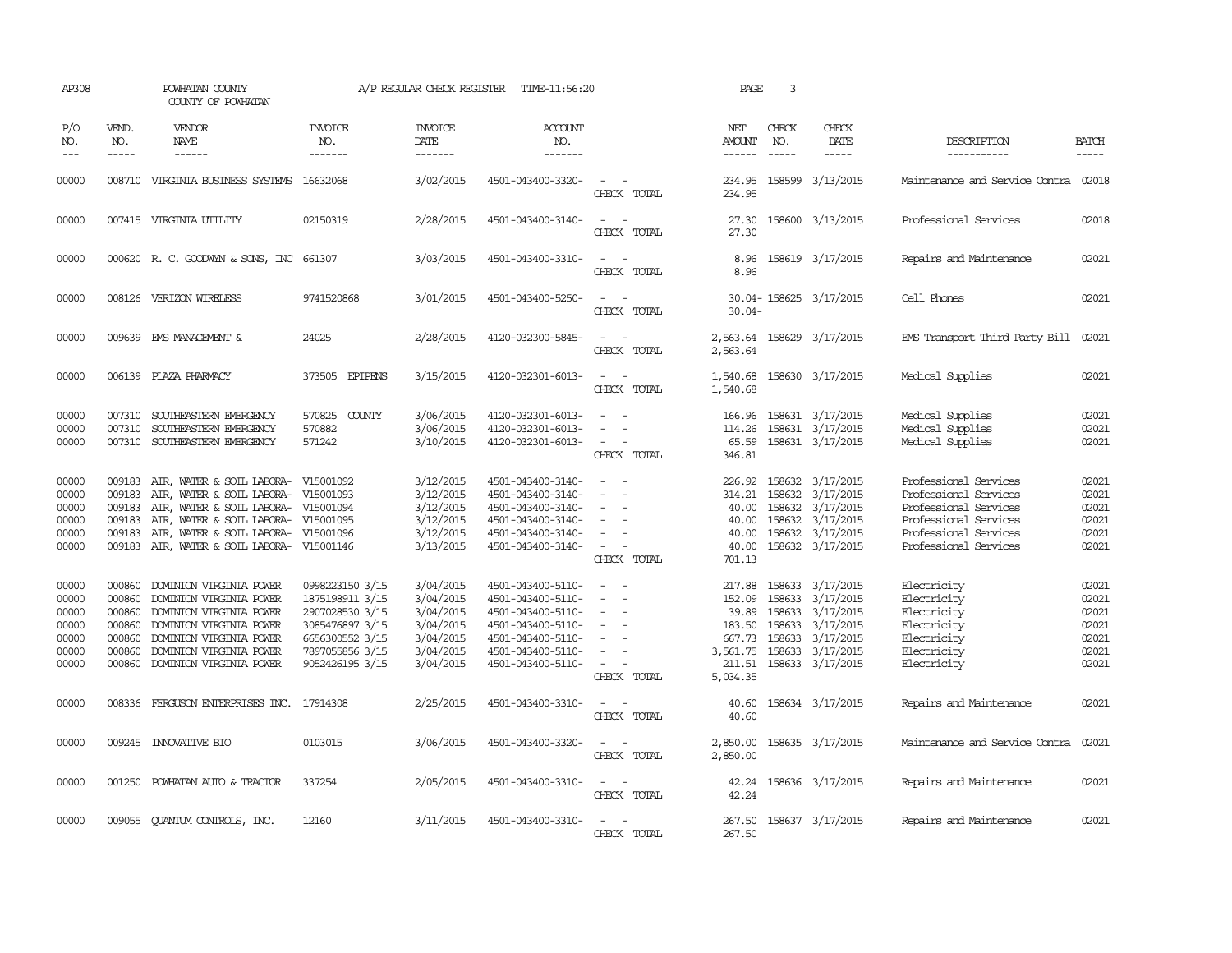| AP308                                                       |                                                          | POWHATAN COUNTY<br>COUNTY OF POWHATAN                                                                                                                                                                    |                                                                                                                                   | A/P REGULAR CHECK REGISTER                                                              | TIME-11:56:20                                                                                                                                   |                                                                                                                                 | PAGE                                                                  | 3                             |                                                                                                                                                 |                                                                                                                                                    |                                                             |
|-------------------------------------------------------------|----------------------------------------------------------|----------------------------------------------------------------------------------------------------------------------------------------------------------------------------------------------------------|-----------------------------------------------------------------------------------------------------------------------------------|-----------------------------------------------------------------------------------------|-------------------------------------------------------------------------------------------------------------------------------------------------|---------------------------------------------------------------------------------------------------------------------------------|-----------------------------------------------------------------------|-------------------------------|-------------------------------------------------------------------------------------------------------------------------------------------------|----------------------------------------------------------------------------------------------------------------------------------------------------|-------------------------------------------------------------|
| P/O<br>NO.<br>$---$                                         | VEND.<br>NO.<br>$- - - - -$                              | <b>VENDOR</b><br>NAME                                                                                                                                                                                    | <b>INVOICE</b><br>NO.<br>-------                                                                                                  | <b>INVOICE</b><br>DATE<br>-------                                                       | <b>ACCOUNT</b><br>NO.<br>-------                                                                                                                |                                                                                                                                 | NET<br>AMOUNT<br>------                                               | CHECK<br>NO.<br>$\frac{1}{2}$ | CHECK<br>DATE<br>$- - - - -$                                                                                                                    | DESCRIPTION<br>------------                                                                                                                        | <b>BATCH</b><br>-----                                       |
| 00000                                                       |                                                          | 008710 VIRGINIA BUSINESS SYSTEMS 16632068                                                                                                                                                                |                                                                                                                                   | 3/02/2015                                                                               | 4501-043400-3320-                                                                                                                               | $\overline{a}$<br>CHECK TOTAL                                                                                                   | 234.95<br>234.95                                                      |                               | 158599 3/13/2015                                                                                                                                | Maintenance and Service Contra                                                                                                                     | 02018                                                       |
| 00000                                                       |                                                          | 007415 VIRGINIA UTILITY                                                                                                                                                                                  | 02150319                                                                                                                          | 2/28/2015                                                                               | 4501-043400-3140-                                                                                                                               | $\sim$ $-$<br>$\overline{\phantom{a}}$<br>CHECK TOTAL                                                                           | 27.30<br>27.30                                                        |                               | 158600 3/13/2015                                                                                                                                | Professional Services                                                                                                                              | 02018                                                       |
| 00000                                                       |                                                          | 000620 R. C. GOODWYN & SONS, INC 661307                                                                                                                                                                  |                                                                                                                                   | 3/03/2015                                                                               | 4501-043400-3310-                                                                                                                               | CHECK TOTAL                                                                                                                     | 8.96<br>8.96                                                          |                               | 158619 3/17/2015                                                                                                                                | Repairs and Maintenance                                                                                                                            | 02021                                                       |
| 00000                                                       |                                                          | 008126 VERIZON WIRELESS                                                                                                                                                                                  | 9741520868                                                                                                                        | 3/01/2015                                                                               | 4501-043400-5250-                                                                                                                               | CHECK TOTAL                                                                                                                     | $30.04 -$                                                             |                               | 30.04-158625 3/17/2015                                                                                                                          | Cell Phones                                                                                                                                        | 02021                                                       |
| 00000                                                       |                                                          | 009639 EMS MANAGEMENT &                                                                                                                                                                                  | 24025                                                                                                                             | 2/28/2015                                                                               | 4120-032300-5845-                                                                                                                               | CHECK TOTAL                                                                                                                     | 2,563.64                                                              |                               | 2,563.64 158629 3/17/2015                                                                                                                       | EMS Transport Third Party Bill                                                                                                                     | 02021                                                       |
| 00000                                                       |                                                          | 006139 PLAZA PHARMACY                                                                                                                                                                                    | 373505 EPIPENS                                                                                                                    | 3/15/2015                                                                               | 4120-032301-6013-                                                                                                                               | $\frac{1}{2} \left( \frac{1}{2} \right) \left( \frac{1}{2} \right) = \frac{1}{2} \left( \frac{1}{2} \right)$<br>CHECK TOTAL     | 1,540.68                                                              |                               | 1,540.68 158630 3/17/2015                                                                                                                       | Medical Supplies                                                                                                                                   | 02021                                                       |
| 00000<br>00000<br>00000                                     | 007310<br>007310                                         | SOUTHEASTERN EMERGENCY<br>SOUTHEASTERN EMERGENCY<br>007310 SOUTHEASTERN EMERGENCY                                                                                                                        | 570825<br>COUNTY<br>570882<br>571242                                                                                              | 3/06/2015<br>3/06/2015<br>3/10/2015                                                     | 4120-032301-6013-<br>4120-032301-6013-<br>4120-032301-6013-                                                                                     | $\sim$<br>$\sim$<br>CHECK TOTAL                                                                                                 | 166.96<br>114.26<br>65.59<br>346.81                                   |                               | 158631 3/17/2015<br>158631 3/17/2015<br>158631 3/17/2015                                                                                        | Medical Supplies<br>Medical Supplies<br>Medical Supplies                                                                                           | 02021<br>02021<br>02021                                     |
| 00000<br>00000<br>00000<br>00000<br>00000<br>00000          | 009183<br>009183<br>009183<br>009183<br>009183<br>009183 | AIR, WATER & SOIL LABORA- V15001092<br>AIR, WATER & SOIL LABORA- V15001093<br>AIR, WATER & SOIL LABORA- V15001094<br>AIR, WATER & SOIL LABORA-<br>AIR, WATER & SOIL LABORA-<br>AIR, WATER & SOIL LABORA- | V15001095<br>V15001096<br>V15001146                                                                                               | 3/12/2015<br>3/12/2015<br>3/12/2015<br>3/12/2015<br>3/12/2015<br>3/13/2015              | 4501-043400-3140-<br>4501-043400-3140-<br>4501-043400-3140-<br>4501-043400-3140-<br>4501-043400-3140-<br>4501-043400-3140-                      | $\equiv$<br>$\sim$<br>$\overline{\phantom{a}}$<br>$\sim$<br>$\overline{\phantom{a}}$<br>$\overline{\phantom{a}}$<br>CHECK TOTAL | 226.92<br>314.21<br>40.00<br>40.00<br>40.00<br>40.00<br>701.13        |                               | 158632 3/17/2015<br>158632 3/17/2015<br>158632 3/17/2015<br>158632 3/17/2015<br>158632 3/17/2015<br>158632 3/17/2015                            | Professional Services<br>Professional Services<br>Professional Services<br>Professional Services<br>Professional Services<br>Professional Services | 02021<br>02021<br>02021<br>02021<br>02021<br>02021          |
| 00000<br>00000<br>00000<br>00000<br>00000<br>00000<br>00000 | 000860<br>000860<br>000860<br>000860<br>000860<br>000860 | DOMINION VIRGINIA POWER<br>DOMINION VIRGINIA POWER<br>DOMINION VIRGINIA POWER<br>DOMINION VIRGINIA POWER<br>DOMINION VIRGINIA POWER<br>DOMINION VIRGINIA POWER<br>000860 DOMINION VIRGINIA POWER         | 0998223150 3/15<br>1875198911 3/15<br>2907028530 3/15<br>3085476897 3/15<br>6656300552 3/15<br>7897055856 3/15<br>9052426195 3/15 | 3/04/2015<br>3/04/2015<br>3/04/2015<br>3/04/2015<br>3/04/2015<br>3/04/2015<br>3/04/2015 | 4501-043400-5110-<br>4501-043400-5110-<br>4501-043400-5110-<br>4501-043400-5110-<br>4501-043400-5110-<br>4501-043400-5110-<br>4501-043400-5110- | $\sim$<br>$\sim$<br>CHECK TOTAL                                                                                                 | 217.88<br>152.09<br>39.89<br>667.73<br>3,561.75<br>211.51<br>5,034.35 |                               | 158633 3/17/2015<br>158633 3/17/2015<br>158633 3/17/2015<br>183.50 158633 3/17/2015<br>158633 3/17/2015<br>158633 3/17/2015<br>158633 3/17/2015 | Electricity<br>Electricity<br>Electricity<br>Electricity<br>Electricity<br>Electricity<br>Electricity                                              | 02021<br>02021<br>02021<br>02021<br>02021<br>02021<br>02021 |
| 00000                                                       |                                                          | 008336 FERGUSON ENTERPRISES INC. 17914308                                                                                                                                                                |                                                                                                                                   | 2/25/2015                                                                               | 4501-043400-3310-                                                                                                                               | CHECK TOTAL                                                                                                                     | 40.60<br>40.60                                                        |                               | 158634 3/17/2015                                                                                                                                | Repairs and Maintenance                                                                                                                            | 02021                                                       |
| 00000                                                       |                                                          | 009245 INNOVATIVE BIO                                                                                                                                                                                    | 0103015                                                                                                                           | 3/06/2015                                                                               | 4501-043400-3320-                                                                                                                               | CHECK TOTAL                                                                                                                     | 2,850.00<br>2,850.00                                                  |                               | 158635 3/17/2015                                                                                                                                | Maintenance and Service Contra                                                                                                                     | 02021                                                       |
| 00000                                                       |                                                          | 001250 POWHATAN AUTO & TRACTOR                                                                                                                                                                           | 337254                                                                                                                            | 2/05/2015                                                                               | 4501-043400-3310-                                                                                                                               | $\frac{1}{2} \left( \frac{1}{2} \right) \left( \frac{1}{2} \right) = \frac{1}{2} \left( \frac{1}{2} \right)$<br>CHECK TOTAL     | 42.24                                                                 |                               | 42.24 158636 3/17/2015                                                                                                                          | Repairs and Maintenance                                                                                                                            | 02021                                                       |
| 00000                                                       |                                                          | 009055 CLANTUM CONTROLS, INC.                                                                                                                                                                            | 12160                                                                                                                             | 3/11/2015                                                                               | 4501-043400-3310-                                                                                                                               | CHECK TOTAL                                                                                                                     | 267.50<br>267.50                                                      |                               | 158637 3/17/2015                                                                                                                                | Repairs and Maintenance                                                                                                                            | 02021                                                       |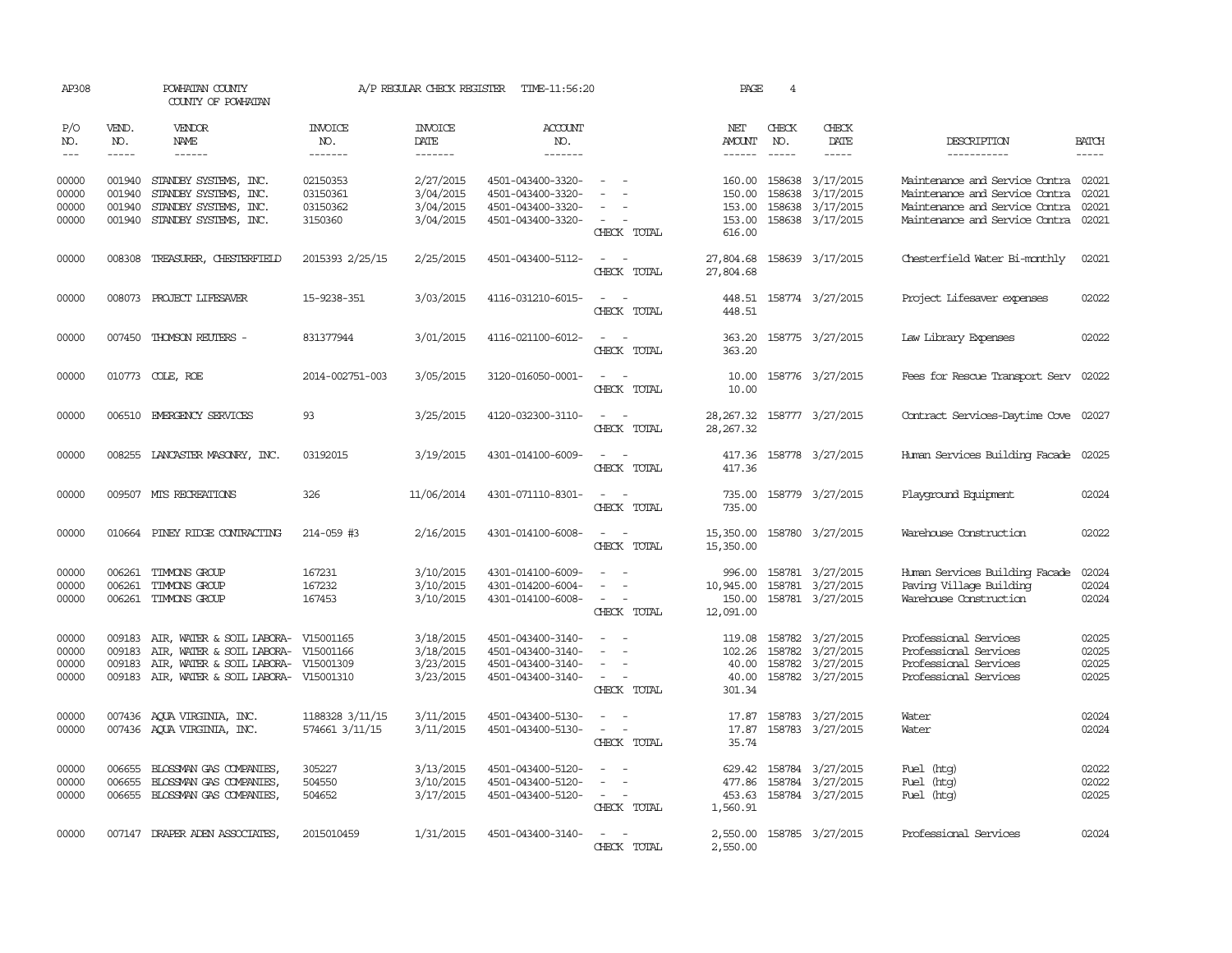| AP308                            |                             | POWHATAN COUNTY<br>COUNTY OF POWHATAN                                                                                                       |                                             | A/P REGULAR CHECK REGISTER                       | TIME-11:56:20                                                                    |                                           | PAGE                                           | 4                             |                                                                       |                                                                                                                                            |                                  |
|----------------------------------|-----------------------------|---------------------------------------------------------------------------------------------------------------------------------------------|---------------------------------------------|--------------------------------------------------|----------------------------------------------------------------------------------|-------------------------------------------|------------------------------------------------|-------------------------------|-----------------------------------------------------------------------|--------------------------------------------------------------------------------------------------------------------------------------------|----------------------------------|
| P/O<br>NO.<br>$---$              | VEND.<br>NO.<br>$- - - - -$ | VENDOR<br>NAME<br>$- - - - - -$                                                                                                             | INVOICE<br>NO.<br>-------                   | <b>INVOICE</b><br>DATE<br>-------                | <b>ACCOUNT</b><br>NO.<br>-------                                                 |                                           | NET<br>AMOUNT<br>------                        | CHECK<br>NO.<br>$\frac{1}{2}$ | CHECK<br>DATE<br>$- - - - -$                                          | DESCRIPTION<br>-----------                                                                                                                 | <b>BATCH</b><br>$- - - - -$      |
| 00000<br>00000<br>00000<br>00000 | 001940<br>001940<br>001940  | STANDBY SYSTEMS, INC.<br>STANDBY SYSTEMS, INC.<br>STANDBY SYSTEMS, INC.<br>001940 STANDBY SYSTEMS, INC.                                     | 02150353<br>03150361<br>03150362<br>3150360 | 2/27/2015<br>3/04/2015<br>3/04/2015<br>3/04/2015 | 4501-043400-3320-<br>4501-043400-3320-<br>4501-043400-3320-<br>4501-043400-3320- | $\sim$<br>CHECK TOTAL                     | 160.00<br>150.00<br>153.00<br>153.00<br>616.00 | 158638<br>158638              | 158638 3/17/2015<br>3/17/2015<br>3/17/2015<br>158638 3/17/2015        | Maintenance and Service Contra 02021<br>Maintenance and Service Contra<br>Maintenance and Service Contra<br>Maintenance and Service Contra | 02021<br>02021<br>02021          |
| 00000                            |                             | 008308 TREASURER, CHESTERFIELD                                                                                                              | 2015393 2/25/15                             | 2/25/2015                                        | 4501-043400-5112-                                                                | CHECK TOTAL                               | 27,804.68<br>27,804.68                         |                               | 158639 3/17/2015                                                      | Chesterfield Water Bi-monthly                                                                                                              | 02021                            |
| 00000                            |                             | 008073 PROJECT LIFESAVER                                                                                                                    | 15-9238-351                                 | 3/03/2015                                        | 4116-031210-6015-                                                                | CHECK TOTAL                               | 448.51<br>448.51                               |                               | 158774 3/27/2015                                                      | Project Lifesaver expenses                                                                                                                 | 02022                            |
| 00000                            |                             | 007450 THOMSON REUTERS -                                                                                                                    | 831377944                                   | 3/01/2015                                        | 4116-021100-6012-                                                                | CHECK TOTAL                               | 363.20<br>363.20                               |                               | 158775 3/27/2015                                                      | Law Library Expenses                                                                                                                       | 02022                            |
| 00000                            |                             | 010773 COLE, ROE                                                                                                                            | 2014-002751-003                             | 3/05/2015                                        | 3120-016050-0001-                                                                | CHECK TOTAL                               | 10.00<br>10.00                                 |                               | 158776 3/27/2015                                                      | Fees for Rescue Transport Serv                                                                                                             | 02022                            |
| 00000                            |                             | 006510 EMERGENCY SERVICES                                                                                                                   | 93                                          | 3/25/2015                                        | 4120-032300-3110-                                                                | - -<br>CHECK TOTAL                        | 28, 267.32<br>28, 267.32                       |                               | 158777 3/27/2015                                                      | Contract Services-Daytime Cove 02027                                                                                                       |                                  |
| 00000                            |                             | 008255 LANCASTER MASONRY, INC.                                                                                                              | 03192015                                    | 3/19/2015                                        | 4301-014100-6009-                                                                | CHECK TOTAL                               | 417.36<br>417.36                               |                               | 158778 3/27/2015                                                      | Human Services Building Facade                                                                                                             | 02025                            |
| 00000                            |                             | 009507 MTS RECREATIONS                                                                                                                      | 326                                         | 11/06/2014                                       | 4301-071110-8301-                                                                | $\sim$ 100 $\mu$<br>$\sim$<br>CHECK TOTAL | 735.00<br>735.00                               |                               | 158779 3/27/2015                                                      | Playground Equipment                                                                                                                       | 02024                            |
| 00000                            |                             | 010664 PINEY RIDGE CONTRACTING                                                                                                              | 214-059 #3                                  | 2/16/2015                                        | 4301-014100-6008-                                                                | $\sim$<br>$\equiv$<br>CHECK TOTAL         | 15,350.00<br>15,350.00                         |                               | 158780 3/27/2015                                                      | Warehouse Construction                                                                                                                     | 02022                            |
| 00000<br>00000<br>00000          | 006261<br>006261            | TIMMONS GROUP<br>TIMMONS GROUP<br>006261 TIMMONS GROUP                                                                                      | 167231<br>167232<br>167453                  | 3/10/2015<br>3/10/2015<br>3/10/2015              | 4301-014100-6009-<br>4301-014200-6004-<br>4301-014100-6008-                      | $\equiv$<br>CHECK TOTAL                   | 996.00<br>10,945.00<br>150.00<br>12,091.00     |                               | 158781 3/27/2015<br>158781 3/27/2015<br>158781 3/27/2015              | Human Services Building Facade<br>Paving Village Building<br>Warehouse Construction                                                        | 02024<br>02024<br>02024          |
| 00000<br>00000<br>00000<br>00000 | 009183<br>009183<br>009183  | AIR, WATER & SOIL LABORA- V15001165<br>AIR, WATER & SOIL LABORA-<br>AIR, WATER & SOIL LABORA-<br>009183 AIR, WATER & SOIL LABORA- V15001310 | V15001166<br>V15001309                      | 3/18/2015<br>3/18/2015<br>3/23/2015<br>3/23/2015 | 4501-043400-3140-<br>4501-043400-3140-<br>4501-043400-3140-<br>4501-043400-3140- | $\equiv$<br>CHECK TOTAL                   | 119.08<br>102.26<br>40.00<br>40.00<br>301.34   | 158782                        | 158782 3/27/2015<br>158782 3/27/2015<br>3/27/2015<br>158782 3/27/2015 | Professional Services<br>Professional Services<br>Professional Services<br>Professional Services                                           | 02025<br>02025<br>02025<br>02025 |
| 00000<br>00000                   |                             | 007436 AQUA VIRGINIA, INC.<br>007436 AQUA VIRGINIA, INC.                                                                                    | 1188328 3/11/15<br>574661 3/11/15           | 3/11/2015<br>3/11/2015                           | 4501-043400-5130-<br>4501-043400-5130-                                           | CHECK TOTAL                               | 17.87<br>17.87<br>35.74                        |                               | 158783 3/27/2015<br>158783 3/27/2015                                  | Water<br>Water                                                                                                                             | 02024<br>02024                   |
| 00000<br>00000<br>00000          | 006655<br>006655            | BLOSSMAN GAS COMPANIES,<br>BLOSSMAN GAS COMPANIES,<br>006655 BLOSSMAN GAS COMPANIES,                                                        | 305227<br>504550<br>504652                  | 3/13/2015<br>3/10/2015<br>3/17/2015              | 4501-043400-5120-<br>4501-043400-5120-<br>4501-043400-5120-                      | $\sim$<br>CHECK TOTAL                     | 629.42<br>477.86<br>453.63<br>1,560.91         |                               | 158784 3/27/2015<br>158784 3/27/2015<br>158784 3/27/2015              | Fuel (htg)<br>Fuel (htg)<br>Fuel (htg)                                                                                                     | 02022<br>02022<br>02025          |
| 00000                            |                             | 007147 DRAPER ADEN ASSOCIATES                                                                                                               | 2015010459                                  | 1/31/2015                                        | 4501-043400-3140-                                                                | $ -$<br>CHECK TOTAL                       | 2,550.00<br>2,550.00                           |                               | 158785 3/27/2015                                                      | Professional Services                                                                                                                      | 02024                            |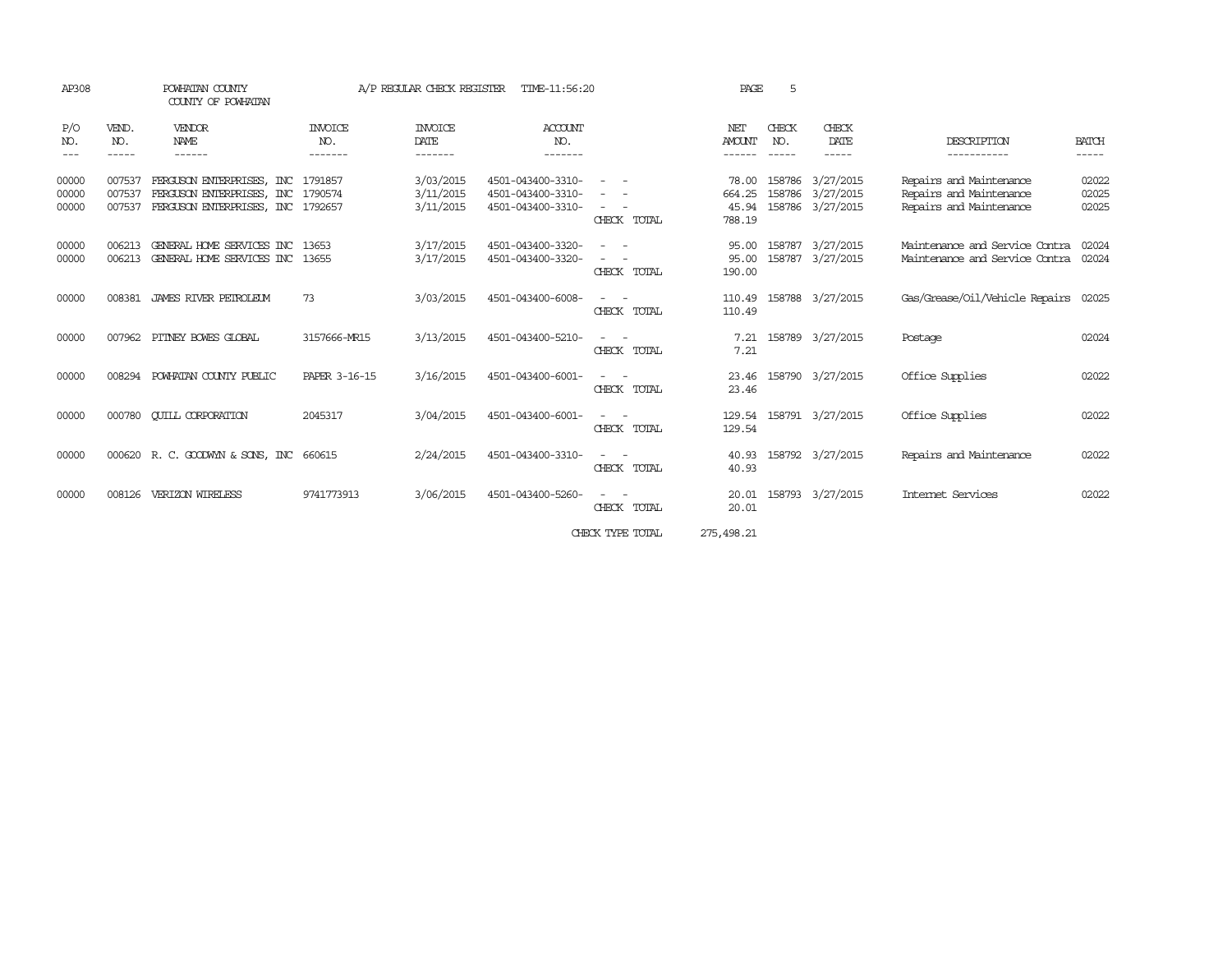| AP308                   |                             | POWHATAN COUNTY<br>A/P REGULAR CHECK REGISTER<br>TIME-11:56:20<br>COUNTY OF POWHATAN                        |                                  |                                     | PAGE<br>5                                                   |                                  |                                |                               |                                                                      |                                                                               |                         |
|-------------------------|-----------------------------|-------------------------------------------------------------------------------------------------------------|----------------------------------|-------------------------------------|-------------------------------------------------------------|----------------------------------|--------------------------------|-------------------------------|----------------------------------------------------------------------|-------------------------------------------------------------------------------|-------------------------|
| P/O<br>NO.<br>$---$     | VEND.<br>NO.<br>$- - - - -$ | <b>VENDOR</b><br>NAME<br>------                                                                             | <b>INVOICE</b><br>NO.<br>------- | <b>INVOICE</b><br>DATE<br>-------   | ACCOUNT<br>NO.<br>-------                                   |                                  | NET<br><b>AMOUNT</b><br>------ | CHECK<br>NO.<br>$- - - - - -$ | CHECK<br>DATE<br>-----                                               | DESCRIPTION<br>-----------                                                    | <b>BATCH</b><br>-----   |
| 00000<br>00000<br>00000 | 007537<br>007537<br>007537  | FERGUSON ENTERPRISES, INC 1791857<br>FERGUSON ENTERPRISES, INC 1790574<br>FERGUSON ENTERPRISES, INC 1792657 |                                  | 3/03/2015<br>3/11/2015<br>3/11/2015 | 4501-043400-3310-<br>4501-043400-3310-<br>4501-043400-3310- | $ -$<br>CHECK TOTAL              | 664.25<br>788.19               |                               | 78.00 158786 3/27/2015<br>158786 3/27/2015<br>45.94 158786 3/27/2015 | Repairs and Maintenance<br>Repairs and Maintenance<br>Repairs and Maintenance | 02022<br>02025<br>02025 |
| 00000<br>00000          | 006213<br>006213            | GENERAL HOME SERVICES INC 13653<br>GENERAL HOME SERVICES INC 13655                                          |                                  | 3/17/2015<br>3/17/2015              | 4501-043400-3320-<br>4501-043400-3320-                      | CHECK TOTAL                      | 95.00<br>95.00<br>190.00       |                               | 158787 3/27/2015<br>158787 3/27/2015                                 | Maintenance and Service Contra<br>Maintenance and Service Contra              | 02024<br>02024          |
| 00000                   | 008381                      | JAMES RIVER PETROLEUM                                                                                       | 73                               | 3/03/2015                           | 4501-043400-6008-                                           | CHECK TOTAL                      | 110.49<br>110.49               |                               | 158788 3/27/2015                                                     | Gas/Grease/Oil/Vehicle Repairs 02025                                          |                         |
| 00000                   | 007962                      | PITNEY BOWES GLOBAL                                                                                         | 3157666-MR15                     | 3/13/2015                           | 4501-043400-5210-                                           | $\sim$ 100 $\sim$<br>CHECK TOTAL | 7.21<br>7.21                   |                               | 158789 3/27/2015                                                     | Postage                                                                       | 02024                   |
| 00000                   | 008294                      | POWHATAN COUNTY PUBLIC                                                                                      | PAPER 3-16-15                    | 3/16/2015                           | 4501-043400-6001-                                           | CHECK TOTAL                      | 23.46                          |                               | 23.46 158790 3/27/2015                                               | Office Supplies                                                               | 02022                   |
| 00000                   | 000780                      | <b>CUILL CORPORATION</b>                                                                                    | 2045317                          | 3/04/2015                           | 4501-043400-6001-                                           | CHECK TOTAL                      | 129.54                         |                               | 129.54 158791 3/27/2015                                              | Office Supplies                                                               | 02022                   |
| 00000                   |                             | 000620 R. C. GOODWYN & SONS, INC 660615                                                                     |                                  | 2/24/2015                           | 4501-043400-3310-                                           | $ -$<br>CHECK TOTAL              | 40.93                          |                               | 40.93 158792 3/27/2015                                               | Repairs and Maintenance                                                       | 02022                   |
| 00000                   | 008126                      | VERIZON WIRELESS                                                                                            | 9741773913                       | 3/06/2015                           | 4501-043400-5260-                                           | CHECK TOTAL                      | 20.01                          |                               | 20.01 158793 3/27/2015                                               | Internet Services                                                             | 02022                   |
|                         |                             |                                                                                                             |                                  |                                     |                                                             |                                  |                                |                               |                                                                      |                                                                               |                         |

CHECK TYPE TOTAL 275,498.21